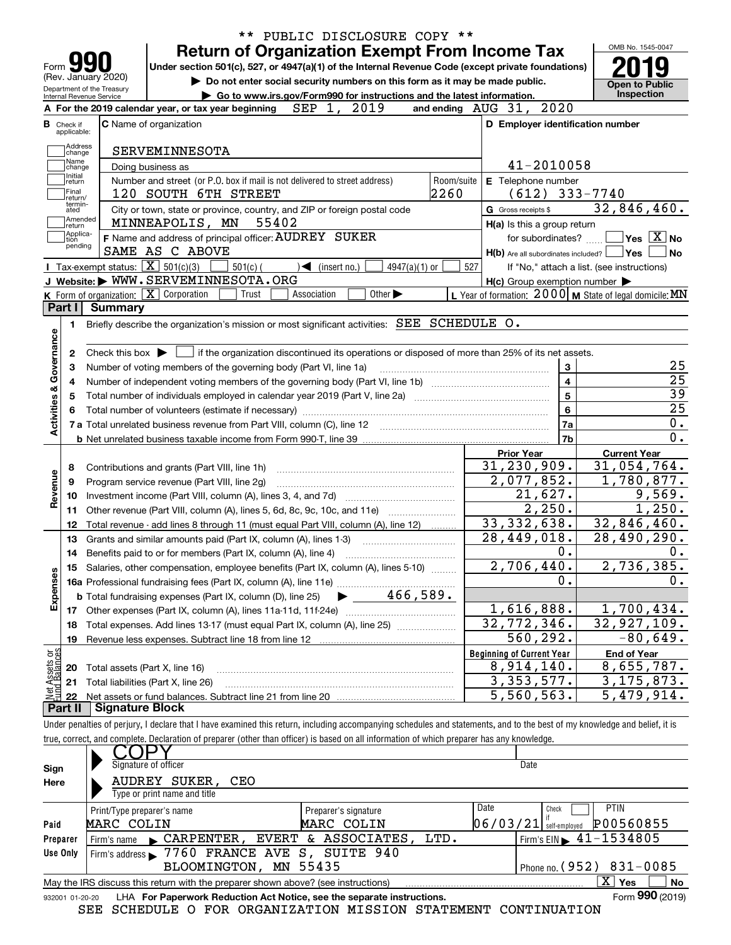|                                 |                                                   |                                                                          | PUBLIC DISCLOSURE COPY **                                                                                                                                                  |                                                                |                                                    |
|---------------------------------|---------------------------------------------------|--------------------------------------------------------------------------|----------------------------------------------------------------------------------------------------------------------------------------------------------------------------|----------------------------------------------------------------|----------------------------------------------------|
|                                 |                                                   |                                                                          | <b>Return of Organization Exempt From Income Tax</b>                                                                                                                       |                                                                | OMB No. 1545-0047                                  |
| Form JY                         |                                                   |                                                                          | Under section 501(c), 527, or 4947(a)(1) of the Internal Revenue Code (except private foundations)                                                                         |                                                                |                                                    |
|                                 | (Rev. January 2020)<br>Department of the Treasury |                                                                          | Do not enter social security numbers on this form as it may be made public.                                                                                                |                                                                | <b>Open to Public</b>                              |
| Internal Revenue Service        |                                                   | A For the 2019 calendar year, or tax year beginning                      | Go to www.irs.gov/Form990 for instructions and the latest information.<br>2019<br>SEP 1,                                                                                   | and ending AUG 31, 2020                                        | <b>Inspection</b>                                  |
| <b>B</b> Check if               |                                                   | <b>C</b> Name of organization                                            |                                                                                                                                                                            | D Employer identification number                               |                                                    |
| applicable:                     |                                                   |                                                                          |                                                                                                                                                                            |                                                                |                                                    |
| Address<br>change               |                                                   | SERVEMINNESOTA                                                           |                                                                                                                                                                            |                                                                |                                                    |
| Name<br>change                  |                                                   | Doing business as                                                        |                                                                                                                                                                            | 41-2010058                                                     |                                                    |
| Initial<br>return               |                                                   |                                                                          | Number and street (or P.O. box if mail is not delivered to street address)                                                                                                 | E Telephone number<br>Room/suite                               |                                                    |
| Final<br>Ireturn/               |                                                   | 120 SOUTH 6TH STREET                                                     |                                                                                                                                                                            | 2260<br>$(612)$ 333-7740                                       |                                                    |
| termin-<br>ated<br>Amended      |                                                   |                                                                          | City or town, state or province, country, and ZIP or foreign postal code                                                                                                   | G Gross receipts \$                                            | 32,846,460.                                        |
| ∣return<br> Applica-            |                                                   | MINNEAPOLIS, MN                                                          | 55402                                                                                                                                                                      | H(a) Is this a group return                                    |                                                    |
| tion<br>pending                 |                                                   | F Name and address of principal officer: AUDREY SUKER<br>SAME AS C ABOVE |                                                                                                                                                                            | for subordinates?                                              | $\sqrt{}$ Yes $\sqrt{}$ X $\sqrt{}$ No             |
|                                 |                                                   | Tax-exempt status: $\boxed{\mathbf{X}}$ 501(c)(3)<br>$501(c)$ (          | $4947(a)(1)$ or<br>$\sqrt{\frac{1}{1}}$ (insert no.)                                                                                                                       | $H(b)$ Are all subordinates included? $\Box$ Yes<br>527        | l No<br>If "No," attach a list. (see instructions) |
|                                 |                                                   | J Website: WWW.SERVEMINNESOTA.ORG                                        |                                                                                                                                                                            | $H(c)$ Group exemption number $\blacktriangleright$            |                                                    |
|                                 |                                                   | K Form of organization:   X Corporation<br>Trust                         | Other $\blacktriangleright$<br>Association                                                                                                                                 | L Year of formation: $2000 \mid M$ State of legal domicile: MN |                                                    |
| Part I                          | <b>Summary</b>                                    |                                                                          |                                                                                                                                                                            |                                                                |                                                    |
| 1.                              |                                                   |                                                                          | Briefly describe the organization's mission or most significant activities: SEE SCHEDULE O.                                                                                |                                                                |                                                    |
|                                 |                                                   |                                                                          |                                                                                                                                                                            |                                                                |                                                    |
| 2                               | Check this box $\blacktriangleright$ $\parallel$  |                                                                          | if the organization discontinued its operations or disposed of more than 25% of its net assets.                                                                            |                                                                |                                                    |
| З                               |                                                   | Number of voting members of the governing body (Part VI, line 1a)        |                                                                                                                                                                            | 3                                                              | 25                                                 |
| 4                               |                                                   |                                                                          |                                                                                                                                                                            | 4                                                              | $\overline{25}$<br>$\overline{39}$                 |
| 5                               |                                                   |                                                                          |                                                                                                                                                                            | $\overline{5}$<br>$\bf 6$                                      | $\overline{25}$                                    |
| Activities & Governance         |                                                   |                                                                          |                                                                                                                                                                            | 7a                                                             | 0.                                                 |
|                                 |                                                   |                                                                          |                                                                                                                                                                            | 7b                                                             | 0.                                                 |
|                                 |                                                   |                                                                          |                                                                                                                                                                            | <b>Prior Year</b>                                              | <b>Current Year</b>                                |
| 8                               |                                                   | Contributions and grants (Part VIII, line 1h)                            |                                                                                                                                                                            | 31, 230, 909.                                                  | 31,054,764.                                        |
| 9                               |                                                   | Program service revenue (Part VIII, line 2g)                             |                                                                                                                                                                            | 2,077,852.                                                     | 1,780,877.                                         |
| Revenue<br>10                   |                                                   |                                                                          |                                                                                                                                                                            | 21,627.                                                        | 9,569.                                             |
| 11                              |                                                   |                                                                          | Other revenue (Part VIII, column (A), lines 5, 6d, 8c, 9c, 10c, and 11e)                                                                                                   | 2,250.                                                         | 1,250.                                             |
| 12                              |                                                   |                                                                          | Total revenue - add lines 8 through 11 (must equal Part VIII, column (A), line 12)                                                                                         | 33, 332, 638.<br>$\overline{28,449,018}$ .                     | 32,846,460.<br>28,490,290.                         |
| 13                              |                                                   |                                                                          | Grants and similar amounts paid (Part IX, column (A), lines 1-3)                                                                                                           | 0.                                                             | 0.                                                 |
| 14                              |                                                   |                                                                          | 15 Salaries, other compensation, employee benefits (Part IX, column (A), lines 5-10)                                                                                       | 2,706,440.                                                     | 2,736,385.                                         |
| Expenses                        |                                                   |                                                                          |                                                                                                                                                                            | 0.                                                             | 0.                                                 |
|                                 |                                                   | <b>b</b> Total fundraising expenses (Part IX, column (D), line 25)       | 466,589.                                                                                                                                                                   |                                                                |                                                    |
| 17                              |                                                   |                                                                          |                                                                                                                                                                            | 1,616,888.                                                     | 1,700,434.                                         |
| 18                              |                                                   |                                                                          | Total expenses. Add lines 13-17 (must equal Part IX, column (A), line 25)                                                                                                  | 32,772,346.                                                    | 32,927,109.                                        |
| 19                              |                                                   | Revenue less expenses. Subtract line 18 from line 12                     |                                                                                                                                                                            | 560,292.                                                       | $-80,649.$                                         |
|                                 |                                                   |                                                                          |                                                                                                                                                                            | <b>Beginning of Current Year</b>                               | <b>End of Year</b>                                 |
| : Assets or<br>d Balances<br>20 |                                                   | Total assets (Part X, line 16)                                           |                                                                                                                                                                            | 8,914,140.<br>3,353,577.                                       | 8,655,787.<br>3, 175, 873.                         |
| 21<br>-22                       |                                                   | Total liabilities (Part X, line 26)                                      |                                                                                                                                                                            | 5,560,563.                                                     | 5,479,914.                                         |
| Part II                         | <b>Signature Block</b>                            |                                                                          |                                                                                                                                                                            |                                                                |                                                    |
|                                 |                                                   |                                                                          | Under penalties of perjury, I declare that I have examined this return, including accompanying schedules and statements, and to the best of my knowledge and belief, it is |                                                                |                                                    |
|                                 |                                                   |                                                                          | true, correct, and complete. Declaration of preparer (other than officer) is based on all information of which preparer has any knowledge.                                 |                                                                |                                                    |
|                                 |                                                   |                                                                          |                                                                                                                                                                            |                                                                |                                                    |
| Sign                            |                                                   | Signature of officer                                                     |                                                                                                                                                                            | Date                                                           |                                                    |
| Here                            |                                                   | AUDREY SUKER,<br>CEO                                                     |                                                                                                                                                                            |                                                                |                                                    |
|                                 |                                                   | Type or print name and title                                             |                                                                                                                                                                            |                                                                |                                                    |
|                                 | Print/Type preparer's name                        |                                                                          | Preparer's signature                                                                                                                                                       | Date<br>Check                                                  | PTIN                                               |
| Paid                            | MARC COLIN                                        |                                                                          | MARC COLIN                                                                                                                                                                 | $06/03/21$ self-employed                                       | P00560855                                          |
| Preparer                        | Firm's name                                       |                                                                          | CARPENTER, EVERT & ASSOCIATES,                                                                                                                                             | LTD.<br>Firm's $EIN$                                           | 41-1534805                                         |
| Use Only                        |                                                   |                                                                          | Firm's address > 7760 FRANCE AVE S, SUITE 940                                                                                                                              |                                                                |                                                    |

|                       | МN<br><b>BLOOMINGTON</b>                                                          | Phone no. | 0085            |  |
|-----------------------|-----------------------------------------------------------------------------------|-----------|-----------------|--|
|                       | May the IRS discuss this return with the preparer shown above? (see instructions) |           | <b>Yes</b><br>▵ |  |
| <b>000001 0100.00</b> | LLLA Cau Denomicale Deduction Act Notice and the conquete inctrustions            |           | 990000          |  |

 **No 990**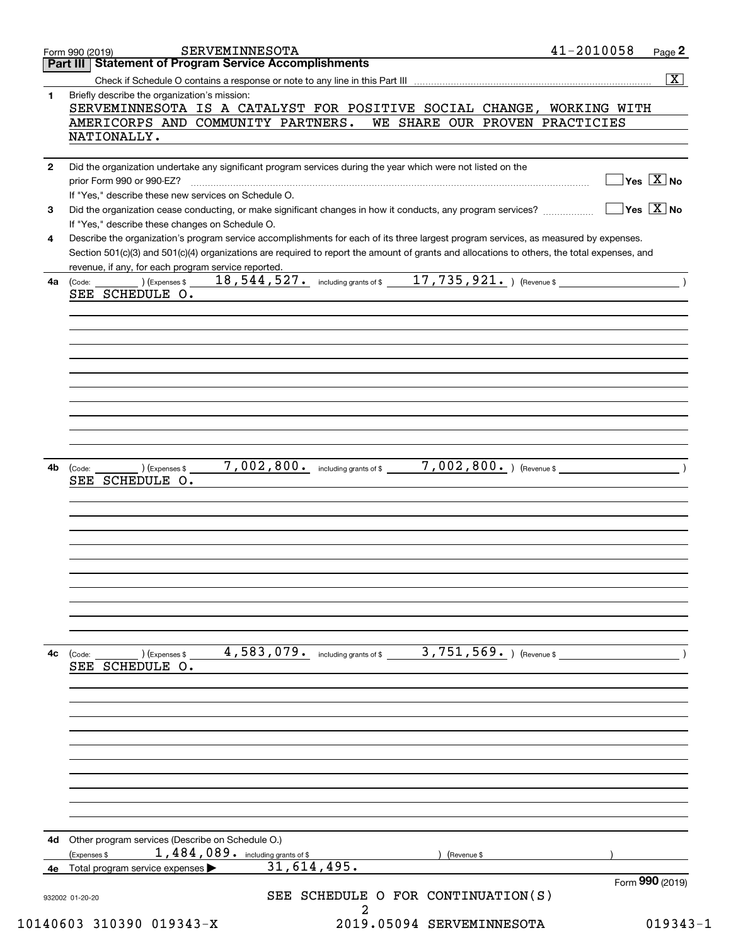|    | SERVEMINNESOTA<br>Form 990 (2019)<br>Part III Statement of Program Service Accomplishments                                                                                                                   | 41-2010058 | Page 2                                 |
|----|--------------------------------------------------------------------------------------------------------------------------------------------------------------------------------------------------------------|------------|----------------------------------------|
|    |                                                                                                                                                                                                              |            | $\overline{\mathbf{x}}$                |
| 1  | Briefly describe the organization's mission:<br>SERVEMINNESOTA IS A CATALYST FOR POSITIVE SOCIAL CHANGE, WORKING WITH<br>AMERICORPS AND COMMUNITY PARTNERS.<br>WE SHARE OUR PROVEN PRACTICIES<br>NATIONALLY. |            |                                        |
|    |                                                                                                                                                                                                              |            |                                        |
| 2  | Did the organization undertake any significant program services during the year which were not listed on the<br>prior Form 990 or 990-EZ?<br>If "Yes," describe these new services on Schedule O.            |            | $\sqrt{}$ Yes $\sqrt{}$ X $\sqrt{}$ No |
| 3  | Did the organization cease conducting, or make significant changes in how it conducts, any program services?                                                                                                 |            | $\sqrt{}$ Yes $\sqrt{}$ X $\sqrt{}$ No |
| 4  | If "Yes," describe these changes on Schedule O.<br>Describe the organization's program service accomplishments for each of its three largest program services, as measured by expenses.                      |            |                                        |
|    | Section 501(c)(3) and 501(c)(4) organizations are required to report the amount of grants and allocations to others, the total expenses, and<br>revenue, if any, for each program service reported.          |            |                                        |
| 4a | 18, 544, 527. including grants of \$ 17, 735, 921. ) (Revenue \$<br>(Expenses \$<br>(Code:<br>SEE SCHEDULE O.                                                                                                |            |                                        |
|    |                                                                                                                                                                                                              |            |                                        |
|    |                                                                                                                                                                                                              |            |                                        |
|    |                                                                                                                                                                                                              |            |                                        |
| 4b | 7,002,800. including grants of \$7,002,800. ) (Revenue \$<br>) (Expenses \$<br>(Code:                                                                                                                        |            |                                        |
|    | SEE SCHEDULE O.                                                                                                                                                                                              |            |                                        |
|    |                                                                                                                                                                                                              |            |                                        |
|    |                                                                                                                                                                                                              |            |                                        |
|    |                                                                                                                                                                                                              |            |                                        |
| 4с | 4,583,079. including grants of \$3,751,569. ) (Revenue \$<br>) (Expenses \$<br>(Code:<br>SEE SCHEDULE O.                                                                                                     |            |                                        |
|    |                                                                                                                                                                                                              |            |                                        |
|    |                                                                                                                                                                                                              |            |                                        |
|    |                                                                                                                                                                                                              |            |                                        |
|    |                                                                                                                                                                                                              |            |                                        |
| 4d | Other program services (Describe on Schedule O.)<br>1,484,089. including grants of \$<br>Expenses \$<br>Revenue \$                                                                                           |            |                                        |
| 4e | 31,614,495.<br>Total program service expenses<br>SEE SCHEDULE O FOR CONTINUATION(S)<br>932002 01-20-20                                                                                                       |            | Form 990 (2019)                        |
|    | 2                                                                                                                                                                                                            |            |                                        |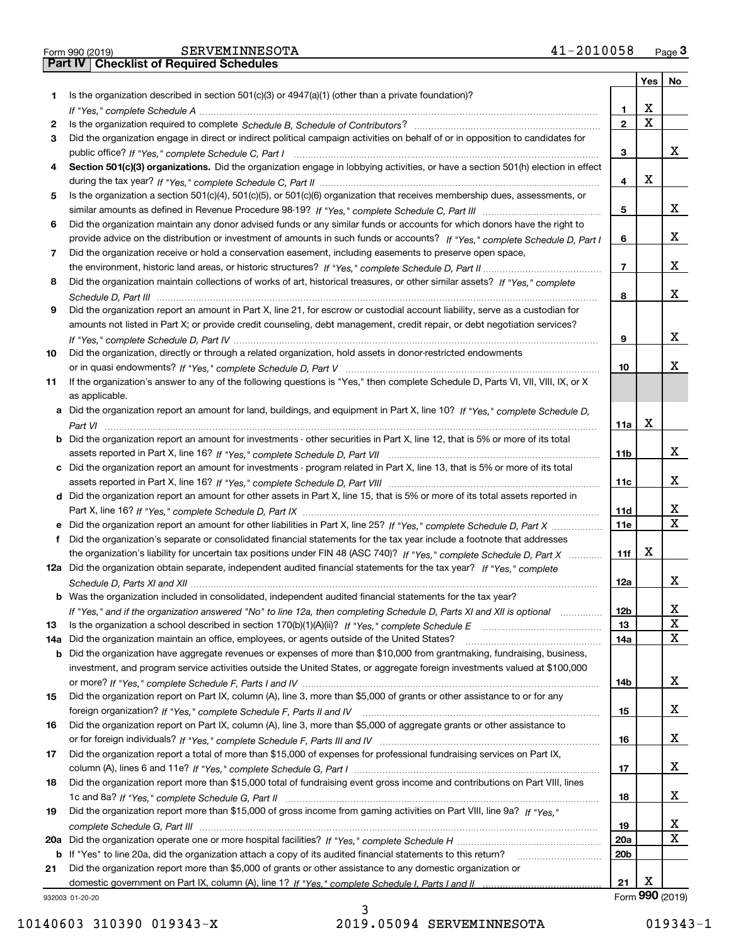|  | Form 990 (2019) |  |
|--|-----------------|--|
|  |                 |  |

|    |                                                                                                                                       |                 |   | Yes   No        |
|----|---------------------------------------------------------------------------------------------------------------------------------------|-----------------|---|-----------------|
| 1. | Is the organization described in section $501(c)(3)$ or $4947(a)(1)$ (other than a private foundation)?                               |                 |   |                 |
|    |                                                                                                                                       | 1.              | х |                 |
| 2  |                                                                                                                                       | $\mathbf{2}$    | X |                 |
| 3  | Did the organization engage in direct or indirect political campaign activities on behalf of or in opposition to candidates for       |                 |   |                 |
|    |                                                                                                                                       | 3               |   | x               |
| 4  | Section 501(c)(3) organizations. Did the organization engage in lobbying activities, or have a section 501(h) election in effect      |                 |   |                 |
|    |                                                                                                                                       | 4               | х |                 |
| 5  | Is the organization a section 501(c)(4), 501(c)(5), or 501(c)(6) organization that receives membership dues, assessments, or          |                 |   |                 |
|    |                                                                                                                                       | 5               |   | x               |
| 6  | Did the organization maintain any donor advised funds or any similar funds or accounts for which donors have the right to             |                 |   |                 |
|    | provide advice on the distribution or investment of amounts in such funds or accounts? If "Yes," complete Schedule D, Part I          | 6               |   | x               |
| 7  | Did the organization receive or hold a conservation easement, including easements to preserve open space,                             |                 |   |                 |
|    |                                                                                                                                       | $\overline{7}$  |   | x               |
| 8  | Did the organization maintain collections of works of art, historical treasures, or other similar assets? If "Yes," complete          |                 |   |                 |
|    |                                                                                                                                       | 8               |   | x               |
| 9  | Did the organization report an amount in Part X, line 21, for escrow or custodial account liability, serve as a custodian for         |                 |   |                 |
|    | amounts not listed in Part X; or provide credit counseling, debt management, credit repair, or debt negotiation services?             |                 |   |                 |
|    |                                                                                                                                       | 9               |   | x               |
| 10 | Did the organization, directly or through a related organization, hold assets in donor-restricted endowments                          |                 |   |                 |
|    |                                                                                                                                       | 10              |   | x               |
| 11 | If the organization's answer to any of the following questions is "Yes," then complete Schedule D, Parts VI, VII, VIII, IX, or X      |                 |   |                 |
|    | as applicable.                                                                                                                        |                 |   |                 |
|    | a Did the organization report an amount for land, buildings, and equipment in Part X, line 10? If "Yes," complete Schedule D,         |                 |   |                 |
|    |                                                                                                                                       | 11a             | X |                 |
|    | <b>b</b> Did the organization report an amount for investments - other securities in Part X, line 12, that is 5% or more of its total |                 |   |                 |
|    |                                                                                                                                       | 11b             |   | x               |
|    | c Did the organization report an amount for investments - program related in Part X, line 13, that is 5% or more of its total         |                 |   |                 |
|    |                                                                                                                                       | 11c             |   | x               |
|    | d Did the organization report an amount for other assets in Part X, line 15, that is 5% or more of its total assets reported in       |                 |   |                 |
|    |                                                                                                                                       | <b>11d</b>      |   | X               |
|    | e Did the organization report an amount for other liabilities in Part X, line 25? If "Yes," complete Schedule D, Part X               | 11e             |   | X               |
| f  | Did the organization's separate or consolidated financial statements for the tax year include a footnote that addresses               |                 |   |                 |
|    | the organization's liability for uncertain tax positions under FIN 48 (ASC 740)? If "Yes," complete Schedule D, Part X                | 11f             | X |                 |
|    | 12a Did the organization obtain separate, independent audited financial statements for the tax year? If "Yes," complete               |                 |   |                 |
|    |                                                                                                                                       | 12a             |   | x               |
|    | <b>b</b> Was the organization included in consolidated, independent audited financial statements for the tax year?                    |                 |   |                 |
|    | If "Yes," and if the organization answered "No" to line 12a, then completing Schedule D, Parts XI and XII is optional                 | 12 <sub>b</sub> |   | х               |
| 13 |                                                                                                                                       | 13              |   | X               |
|    | 14a Did the organization maintain an office, employees, or agents outside of the United States?                                       | 14a             |   | x               |
|    | <b>b</b> Did the organization have aggregate revenues or expenses of more than \$10,000 from grantmaking, fundraising, business,      |                 |   |                 |
|    | investment, and program service activities outside the United States, or aggregate foreign investments valued at \$100,000            |                 |   |                 |
|    |                                                                                                                                       | 14b             |   | x               |
| 15 | Did the organization report on Part IX, column (A), line 3, more than \$5,000 of grants or other assistance to or for any             |                 |   |                 |
|    |                                                                                                                                       | 15              |   | x               |
| 16 | Did the organization report on Part IX, column (A), line 3, more than \$5,000 of aggregate grants or other assistance to              |                 |   |                 |
|    |                                                                                                                                       | 16              |   | X.              |
| 17 | Did the organization report a total of more than \$15,000 of expenses for professional fundraising services on Part IX,               |                 |   |                 |
|    |                                                                                                                                       | 17              |   | X.              |
| 18 | Did the organization report more than \$15,000 total of fundraising event gross income and contributions on Part VIII, lines          |                 |   |                 |
|    |                                                                                                                                       | 18              |   | x               |
| 19 | Did the organization report more than \$15,000 of gross income from gaming activities on Part VIII, line 9a? If "Yes."                |                 |   |                 |
|    |                                                                                                                                       | 19              |   | x               |
|    |                                                                                                                                       | 20a             |   | x               |
|    | b If "Yes" to line 20a, did the organization attach a copy of its audited financial statements to this return?                        | 20 <sub>b</sub> |   |                 |
| 21 | Did the organization report more than \$5,000 of grants or other assistance to any domestic organization or                           |                 |   |                 |
|    |                                                                                                                                       | 21              | x |                 |
|    | 932003 01-20-20                                                                                                                       |                 |   | Form 990 (2019) |

932003 01-20-20

3 10140603 310390 019343-X 2019.05094 SERVEMINNESOTA 019343-1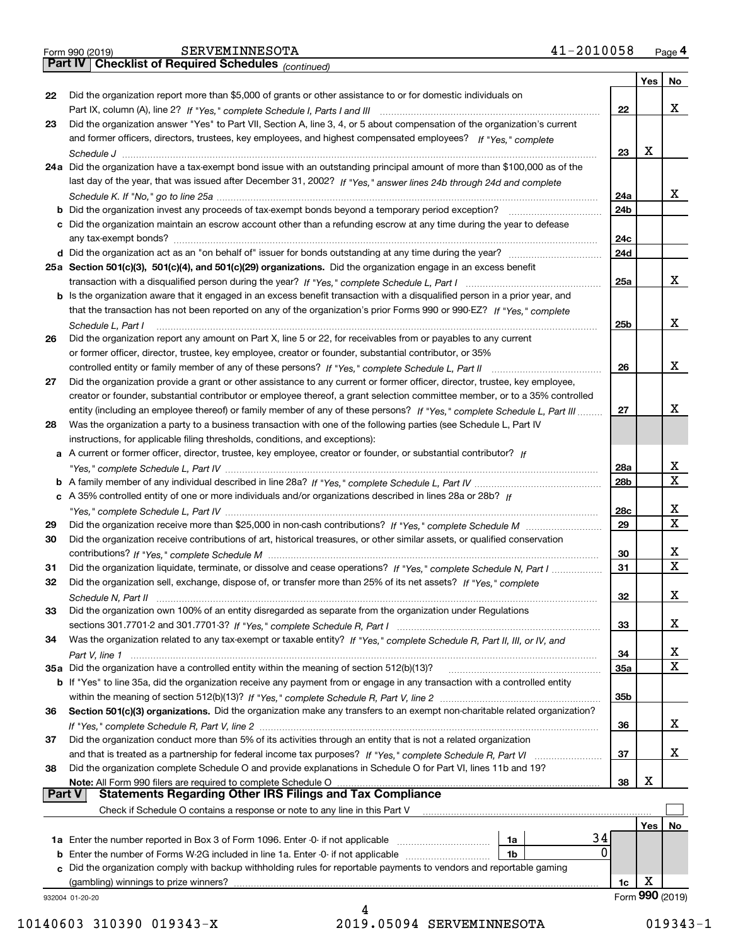| Form 990 (2019) |  |  |
|-----------------|--|--|
|                 |  |  |

*(continued)*

|               |                                                                                                                                                                                                    |                 | Yes | <b>No</b>       |
|---------------|----------------------------------------------------------------------------------------------------------------------------------------------------------------------------------------------------|-----------------|-----|-----------------|
| 22            | Did the organization report more than \$5,000 of grants or other assistance to or for domestic individuals on                                                                                      |                 |     |                 |
|               |                                                                                                                                                                                                    | 22              |     | x               |
| 23            | Did the organization answer "Yes" to Part VII, Section A, line 3, 4, or 5 about compensation of the organization's current                                                                         |                 |     |                 |
|               | and former officers, directors, trustees, key employees, and highest compensated employees? If "Yes," complete                                                                                     |                 | X   |                 |
|               | 24a Did the organization have a tax-exempt bond issue with an outstanding principal amount of more than \$100,000 as of the                                                                        | 23              |     |                 |
|               | last day of the year, that was issued after December 31, 2002? If "Yes," answer lines 24b through 24d and complete                                                                                 |                 |     |                 |
|               |                                                                                                                                                                                                    | 24a             |     | x               |
|               | b Did the organization invest any proceeds of tax-exempt bonds beyond a temporary period exception?                                                                                                | 24b             |     |                 |
|               | c Did the organization maintain an escrow account other than a refunding escrow at any time during the year to defease                                                                             |                 |     |                 |
|               |                                                                                                                                                                                                    | 24c             |     |                 |
|               | d Did the organization act as an "on behalf of" issuer for bonds outstanding at any time during the year?                                                                                          | 24d             |     |                 |
|               | 25a Section 501(c)(3), 501(c)(4), and 501(c)(29) organizations. Did the organization engage in an excess benefit                                                                                   |                 |     |                 |
|               |                                                                                                                                                                                                    | 25a             |     | x               |
|               | b Is the organization aware that it engaged in an excess benefit transaction with a disqualified person in a prior year, and                                                                       |                 |     |                 |
|               | that the transaction has not been reported on any of the organization's prior Forms 990 or 990-EZ? If "Yes," complete                                                                              |                 |     |                 |
|               | Schedule L. Part I                                                                                                                                                                                 | 25 <sub>b</sub> |     | x               |
| 26            | Did the organization report any amount on Part X, line 5 or 22, for receivables from or payables to any current                                                                                    |                 |     |                 |
|               | or former officer, director, trustee, key employee, creator or founder, substantial contributor, or 35%                                                                                            |                 |     |                 |
|               |                                                                                                                                                                                                    | 26              |     | x               |
| 27            | Did the organization provide a grant or other assistance to any current or former officer, director, trustee, key employee,                                                                        |                 |     |                 |
|               | creator or founder, substantial contributor or employee thereof, a grant selection committee member, or to a 35% controlled                                                                        |                 |     | x               |
|               | entity (including an employee thereof) or family member of any of these persons? If "Yes," complete Schedule L, Part III                                                                           | 27              |     |                 |
| 28            | Was the organization a party to a business transaction with one of the following parties (see Schedule L, Part IV                                                                                  |                 |     |                 |
|               | instructions, for applicable filing thresholds, conditions, and exceptions):<br>a A current or former officer, director, trustee, key employee, creator or founder, or substantial contributor? If |                 |     |                 |
|               |                                                                                                                                                                                                    | 28a             |     | х               |
|               |                                                                                                                                                                                                    | 28 <sub>b</sub> |     | $\mathbf X$     |
|               | c A 35% controlled entity of one or more individuals and/or organizations described in lines 28a or 28b? If                                                                                        |                 |     |                 |
|               |                                                                                                                                                                                                    | 28c             |     | x               |
| 29            |                                                                                                                                                                                                    | 29              |     | $\mathbf X$     |
| 30            | Did the organization receive contributions of art, historical treasures, or other similar assets, or qualified conservation                                                                        |                 |     |                 |
|               |                                                                                                                                                                                                    | 30              |     | x               |
| 31            | Did the organization liquidate, terminate, or dissolve and cease operations? If "Yes," complete Schedule N, Part I                                                                                 | 31              |     | $\mathbf X$     |
| 32            | Did the organization sell, exchange, dispose of, or transfer more than 25% of its net assets? If "Yes," complete                                                                                   |                 |     |                 |
|               |                                                                                                                                                                                                    | 32              |     | х               |
| 33            | Did the organization own 100% of an entity disregarded as separate from the organization under Regulations                                                                                         |                 |     |                 |
|               |                                                                                                                                                                                                    | 33              |     | х               |
| 34            | Was the organization related to any tax-exempt or taxable entity? If "Yes," complete Schedule R, Part II, III, or IV, and                                                                          |                 |     |                 |
|               |                                                                                                                                                                                                    | 34              |     | х               |
|               | 35a Did the organization have a controlled entity within the meaning of section 512(b)(13)?                                                                                                        | 35a             |     | $\mathbf X$     |
|               | <b>b</b> If "Yes" to line 35a, did the organization receive any payment from or engage in any transaction with a controlled entity                                                                 |                 |     |                 |
|               |                                                                                                                                                                                                    | 35 <sub>b</sub> |     |                 |
| 36            | Section 501(c)(3) organizations. Did the organization make any transfers to an exempt non-charitable related organization?                                                                         | 36              |     | x               |
| 37            | Did the organization conduct more than 5% of its activities through an entity that is not a related organization                                                                                   |                 |     |                 |
|               |                                                                                                                                                                                                    | 37              |     | x               |
| 38            | Did the organization complete Schedule O and provide explanations in Schedule O for Part VI, lines 11b and 19?                                                                                     |                 |     |                 |
|               | Note: All Form 990 filers are required to complete Schedule O                                                                                                                                      | 38              | X   |                 |
| <b>Part V</b> | <b>Statements Regarding Other IRS Filings and Tax Compliance</b>                                                                                                                                   |                 |     |                 |
|               | Check if Schedule O contains a response or note to any line in this Part V                                                                                                                         |                 |     |                 |
|               |                                                                                                                                                                                                    |                 | Yes | No              |
|               | 34<br>1a                                                                                                                                                                                           |                 |     |                 |
|               | 0<br><b>b</b> Enter the number of Forms W-2G included in line 1a. Enter -0- if not applicable<br>1b                                                                                                |                 |     |                 |
| c             | Did the organization comply with backup withholding rules for reportable payments to vendors and reportable gaming                                                                                 |                 |     |                 |
|               | (gambling) winnings to prize winners?                                                                                                                                                              | 1c              | х   |                 |
|               | 932004 01-20-20                                                                                                                                                                                    |                 |     | Form 990 (2019) |

4 10140603 310390 019343-X 2019.05094 SERVEMINNESOTA 019343-1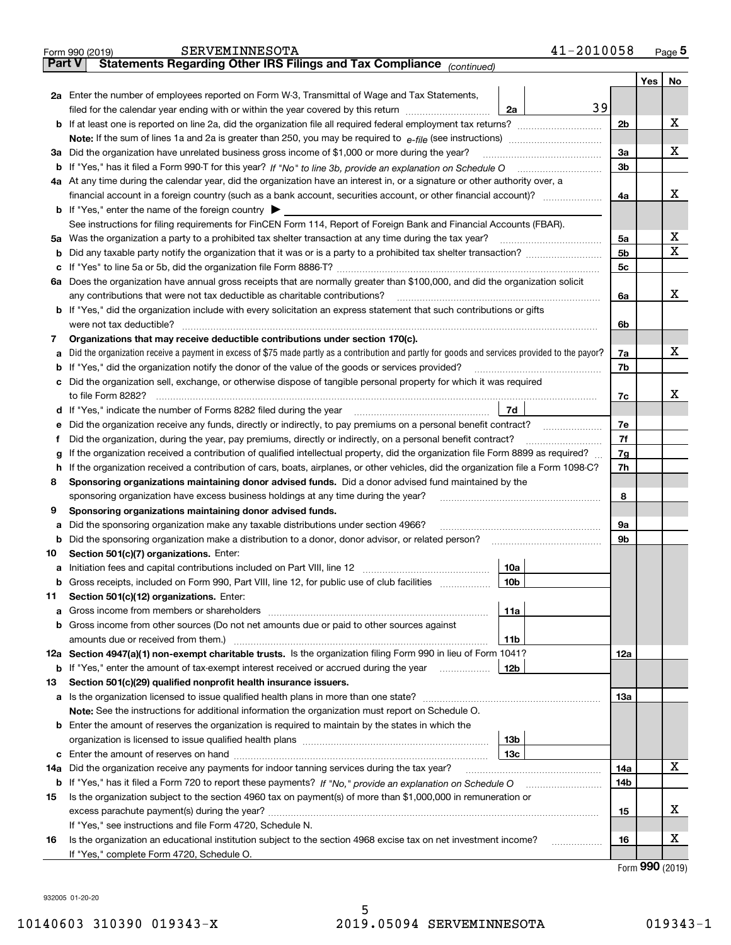|               | 41-2010058<br>SERVEMINNESOTA<br>Form 990 (2019)                                                                                                        |                |         | <u>Page</u> 5 |  |  |  |  |  |  |  |
|---------------|--------------------------------------------------------------------------------------------------------------------------------------------------------|----------------|---------|---------------|--|--|--|--|--|--|--|
| <b>Part V</b> | Statements Regarding Other IRS Filings and Tax Compliance (continued)                                                                                  |                |         |               |  |  |  |  |  |  |  |
|               |                                                                                                                                                        |                | Yes $ $ | No            |  |  |  |  |  |  |  |
|               | 2a Enter the number of employees reported on Form W-3, Transmittal of Wage and Tax Statements,                                                         |                |         |               |  |  |  |  |  |  |  |
|               | 39<br>filed for the calendar year ending with or within the year covered by this return <i>manumumumum</i><br>2a                                       |                |         |               |  |  |  |  |  |  |  |
|               |                                                                                                                                                        |                |         |               |  |  |  |  |  |  |  |
|               |                                                                                                                                                        |                |         |               |  |  |  |  |  |  |  |
|               | 3a Did the organization have unrelated business gross income of \$1,000 or more during the year?                                                       |                |         |               |  |  |  |  |  |  |  |
|               |                                                                                                                                                        | 3b             |         |               |  |  |  |  |  |  |  |
|               | 4a At any time during the calendar year, did the organization have an interest in, or a signature or other authority over, a                           |                |         |               |  |  |  |  |  |  |  |
|               |                                                                                                                                                        | 4a             |         | х             |  |  |  |  |  |  |  |
|               | <b>b</b> If "Yes," enter the name of the foreign country $\blacktriangleright$                                                                         |                |         |               |  |  |  |  |  |  |  |
|               | See instructions for filing requirements for FinCEN Form 114, Report of Foreign Bank and Financial Accounts (FBAR).                                    |                |         |               |  |  |  |  |  |  |  |
|               | 5a Was the organization a party to a prohibited tax shelter transaction at any time during the tax year?                                               | 5a             |         | X             |  |  |  |  |  |  |  |
| b             |                                                                                                                                                        | 5 <sub>b</sub> |         | х             |  |  |  |  |  |  |  |
|               |                                                                                                                                                        | 5с             |         |               |  |  |  |  |  |  |  |
|               | 6a Does the organization have annual gross receipts that are normally greater than \$100,000, and did the organization solicit                         |                |         |               |  |  |  |  |  |  |  |
|               |                                                                                                                                                        | 6a             |         | х             |  |  |  |  |  |  |  |
|               | <b>b</b> If "Yes," did the organization include with every solicitation an express statement that such contributions or gifts                          |                |         |               |  |  |  |  |  |  |  |
|               |                                                                                                                                                        | 6b             |         |               |  |  |  |  |  |  |  |
| 7             | Organizations that may receive deductible contributions under section 170(c).                                                                          |                |         |               |  |  |  |  |  |  |  |
| a             | Did the organization receive a payment in excess of \$75 made partly as a contribution and partly for goods and services provided to the payor?        | 7a             |         | х             |  |  |  |  |  |  |  |
|               | <b>b</b> If "Yes," did the organization notify the donor of the value of the goods or services provided?                                               | 7b             |         |               |  |  |  |  |  |  |  |
|               | c Did the organization sell, exchange, or otherwise dispose of tangible personal property for which it was required                                    |                |         |               |  |  |  |  |  |  |  |
|               |                                                                                                                                                        | 7с             |         | x             |  |  |  |  |  |  |  |
|               | 7d<br>d If "Yes," indicate the number of Forms 8282 filed during the year [11] [11] The S, The Indicate the number of Forms 8282 filed during the year |                |         |               |  |  |  |  |  |  |  |
| е             | Did the organization receive any funds, directly or indirectly, to pay premiums on a personal benefit contract?                                        | 7e             |         |               |  |  |  |  |  |  |  |
| f             | Did the organization, during the year, pay premiums, directly or indirectly, on a personal benefit contract?                                           | 7f             |         |               |  |  |  |  |  |  |  |
| g             | If the organization received a contribution of qualified intellectual property, did the organization file Form 8899 as required?                       | 7g             |         |               |  |  |  |  |  |  |  |
| h.            | If the organization received a contribution of cars, boats, airplanes, or other vehicles, did the organization file a Form 1098-C?                     |                |         |               |  |  |  |  |  |  |  |
| 8             | Sponsoring organizations maintaining donor advised funds. Did a donor advised fund maintained by the                                                   |                |         |               |  |  |  |  |  |  |  |
|               | sponsoring organization have excess business holdings at any time during the year?                                                                     | 8              |         |               |  |  |  |  |  |  |  |
| 9             | Sponsoring organizations maintaining donor advised funds.                                                                                              |                |         |               |  |  |  |  |  |  |  |
| а             | Did the sponsoring organization make any taxable distributions under section 4966?                                                                     | 9а             |         |               |  |  |  |  |  |  |  |
|               |                                                                                                                                                        | 9b             |         |               |  |  |  |  |  |  |  |
| 10            | Section 501(c)(7) organizations. Enter:                                                                                                                |                |         |               |  |  |  |  |  |  |  |
|               | 10a                                                                                                                                                    |                |         |               |  |  |  |  |  |  |  |
|               | 10b <br>Gross receipts, included on Form 990, Part VIII, line 12, for public use of club facilities                                                    |                |         |               |  |  |  |  |  |  |  |
| 11            | Section 501(c)(12) organizations. Enter:                                                                                                               |                |         |               |  |  |  |  |  |  |  |
|               | <b>a</b> Gross income from members or shareholders<br>11a                                                                                              |                |         |               |  |  |  |  |  |  |  |
|               | b Gross income from other sources (Do not net amounts due or paid to other sources against                                                             |                |         |               |  |  |  |  |  |  |  |
|               | 11b                                                                                                                                                    |                |         |               |  |  |  |  |  |  |  |
|               | 12a Section 4947(a)(1) non-exempt charitable trusts. Is the organization filing Form 990 in lieu of Form 1041?                                         | 12a            |         |               |  |  |  |  |  |  |  |
|               | 12b<br><b>b</b> If "Yes," enter the amount of tax-exempt interest received or accrued during the year                                                  |                |         |               |  |  |  |  |  |  |  |
| 13            | Section 501(c)(29) qualified nonprofit health insurance issuers.                                                                                       |                |         |               |  |  |  |  |  |  |  |
|               | a Is the organization licensed to issue qualified health plans in more than one state?                                                                 | 13а            |         |               |  |  |  |  |  |  |  |
|               | Note: See the instructions for additional information the organization must report on Schedule O.                                                      |                |         |               |  |  |  |  |  |  |  |
|               | <b>b</b> Enter the amount of reserves the organization is required to maintain by the states in which the                                              |                |         |               |  |  |  |  |  |  |  |
|               | 13b                                                                                                                                                    |                |         |               |  |  |  |  |  |  |  |
|               | 13с                                                                                                                                                    |                |         |               |  |  |  |  |  |  |  |
| 14a           | Did the organization receive any payments for indoor tanning services during the tax year?                                                             | 14a            |         | x             |  |  |  |  |  |  |  |
|               | <b>b</b> If "Yes," has it filed a Form 720 to report these payments? If "No," provide an explanation on Schedule O                                     | 14b            |         |               |  |  |  |  |  |  |  |
| 15            | Is the organization subject to the section 4960 tax on payment(s) of more than \$1,000,000 in remuneration or                                          |                |         |               |  |  |  |  |  |  |  |
|               |                                                                                                                                                        | 15             |         | x             |  |  |  |  |  |  |  |
|               | If "Yes," see instructions and file Form 4720, Schedule N.                                                                                             |                |         |               |  |  |  |  |  |  |  |
| 16            | Is the organization an educational institution subject to the section 4968 excise tax on net investment income?                                        | 16             |         | х             |  |  |  |  |  |  |  |
|               | If "Yes," complete Form 4720, Schedule O.                                                                                                              |                |         |               |  |  |  |  |  |  |  |

Form (2019) **990**

932005 01-20-20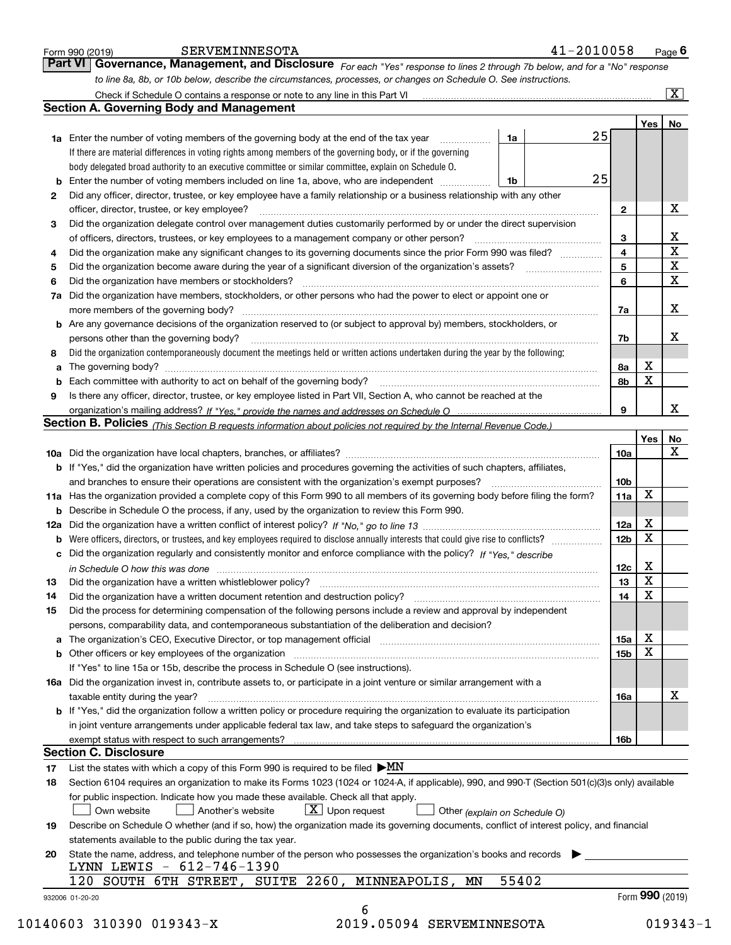|        | to line 8a, 8b, or 10b below, describe the circumstances, processes, or changes on Schedule O. See instructions.                                 |       |                 |                         | $\overline{\mathbf{x}}$ |
|--------|--------------------------------------------------------------------------------------------------------------------------------------------------|-------|-----------------|-------------------------|-------------------------|
|        | <b>Section A. Governing Body and Management</b>                                                                                                  |       |                 |                         |                         |
|        |                                                                                                                                                  |       |                 | Yes                     | No                      |
|        | 1a Enter the number of voting members of the governing body at the end of the tax year <i>manumum</i>                                            | 1a    | 25              |                         |                         |
|        | If there are material differences in voting rights among members of the governing body, or if the governing                                      |       |                 |                         |                         |
|        | body delegated broad authority to an executive committee or similar committee, explain on Schedule O.                                            |       |                 |                         |                         |
| b      | Enter the number of voting members included on line 1a, above, who are independent                                                               | 1b    | 25              |                         |                         |
| 2      | Did any officer, director, trustee, or key employee have a family relationship or a business relationship with any other                         |       |                 |                         |                         |
|        | officer, director, trustee, or key employee?                                                                                                     |       | $\mathbf{2}$    |                         | х                       |
| 3      | Did the organization delegate control over management duties customarily performed by or under the direct supervision                            |       |                 |                         |                         |
|        | of officers, directors, trustees, or key employees to a management company or other person?                                                      |       | 3               |                         | X                       |
| 4      | Did the organization make any significant changes to its governing documents since the prior Form 990 was filed?                                 |       | 4               |                         | $\overline{\textbf{X}}$ |
| 5      |                                                                                                                                                  |       | 5               |                         | $\overline{\textbf{X}}$ |
| 6      | Did the organization have members or stockholders?                                                                                               |       | 6               |                         | X                       |
| 7a     | Did the organization have members, stockholders, or other persons who had the power to elect or appoint one or                                   |       |                 |                         |                         |
|        |                                                                                                                                                  |       | 7a              |                         | X                       |
|        | <b>b</b> Are any governance decisions of the organization reserved to (or subject to approval by) members, stockholders, or                      |       |                 |                         | X                       |
|        | persons other than the governing body?                                                                                                           |       | 7b              |                         |                         |
| 8      | Did the organization contemporaneously document the meetings held or written actions undertaken during the year by the following:                |       |                 | х                       |                         |
| а      |                                                                                                                                                  |       | 8а<br>8b        | $\mathbf X$             |                         |
| b<br>9 | Is there any officer, director, trustee, or key employee listed in Part VII, Section A, who cannot be reached at the                             |       |                 |                         |                         |
|        |                                                                                                                                                  |       | 9               |                         | x                       |
|        | Section B. Policies (This Section B requests information about policies not required by the Internal Revenue Code.)                              |       |                 |                         |                         |
|        |                                                                                                                                                  |       |                 | Yes                     | No                      |
|        |                                                                                                                                                  |       | <b>10a</b>      |                         | X                       |
|        | b If "Yes," did the organization have written policies and procedures governing the activities of such chapters, affiliates,                     |       |                 |                         |                         |
|        |                                                                                                                                                  |       | 10 <sub>b</sub> |                         |                         |
|        | 11a Has the organization provided a complete copy of this Form 990 to all members of its governing body before filing the form?                  |       | 11a             | X                       |                         |
|        | <b>b</b> Describe in Schedule O the process, if any, used by the organization to review this Form 990.                                           |       |                 |                         |                         |
|        |                                                                                                                                                  |       | 12a             | X                       |                         |
| b      |                                                                                                                                                  |       | 12 <sub>b</sub> | $\mathbf X$             |                         |
|        | c Did the organization regularly and consistently monitor and enforce compliance with the policy? If "Yes," describe                             |       |                 |                         |                         |
|        |                                                                                                                                                  |       | 12c             | X                       |                         |
| 13     | Did the organization have a written whistleblower policy?                                                                                        |       | 13              | $\overline{\textbf{X}}$ |                         |
| 14     | Did the organization have a written document retention and destruction policy?                                                                   |       | 14              | X                       |                         |
| 15     | Did the process for determining compensation of the following persons include a review and approval by independent                               |       |                 |                         |                         |
|        | persons, comparability data, and contemporaneous substantiation of the deliberation and decision?                                                |       |                 |                         |                         |
|        |                                                                                                                                                  |       | 15a             | х                       |                         |
|        | <b>b</b> Other officers or key employees of the organization                                                                                     |       | 15b             | X                       |                         |
|        | If "Yes" to line 15a or 15b, describe the process in Schedule O (see instructions).                                                              |       |                 |                         |                         |
|        | 16a Did the organization invest in, contribute assets to, or participate in a joint venture or similar arrangement with a                        |       |                 |                         |                         |
|        | taxable entity during the year?                                                                                                                  |       | 16a             |                         | x                       |
|        | <b>b</b> If "Yes," did the organization follow a written policy or procedure requiring the organization to evaluate its participation            |       |                 |                         |                         |
|        | in joint venture arrangements under applicable federal tax law, and take steps to safeguard the organization's                                   |       |                 |                         |                         |
|        |                                                                                                                                                  |       | 16b             |                         |                         |
|        | <b>Section C. Disclosure</b>                                                                                                                     |       |                 |                         |                         |
| 17     | List the states with which a copy of this Form 990 is required to be filed $\blacktriangleright MN$                                              |       |                 |                         |                         |
| 18     | Section 6104 requires an organization to make its Forms 1023 (1024 or 1024-A, if applicable), 990, and 990-T (Section 501(c)(3)s only) available |       |                 |                         |                         |
|        | for public inspection. Indicate how you made these available. Check all that apply.                                                              |       |                 |                         |                         |
|        | $X$ Upon request<br>Own website<br>Another's website<br>Other (explain on Schedule O)                                                            |       |                 |                         |                         |
| 19     | Describe on Schedule O whether (and if so, how) the organization made its governing documents, conflict of interest policy, and financial        |       |                 |                         |                         |
|        | statements available to the public during the tax year.                                                                                          |       |                 |                         |                         |
| 20     | State the name, address, and telephone number of the person who possesses the organization's books and records                                   |       |                 |                         |                         |
|        | LYNN LEWIS - 612-746-1390                                                                                                                        |       |                 |                         |                         |
|        |                                                                                                                                                  |       |                 |                         |                         |
|        | 120 SOUTH 6TH STREET, SUITE 2260, MINNEAPOLIS, MN                                                                                                | 55402 |                 | Form 990 (2019)         |                         |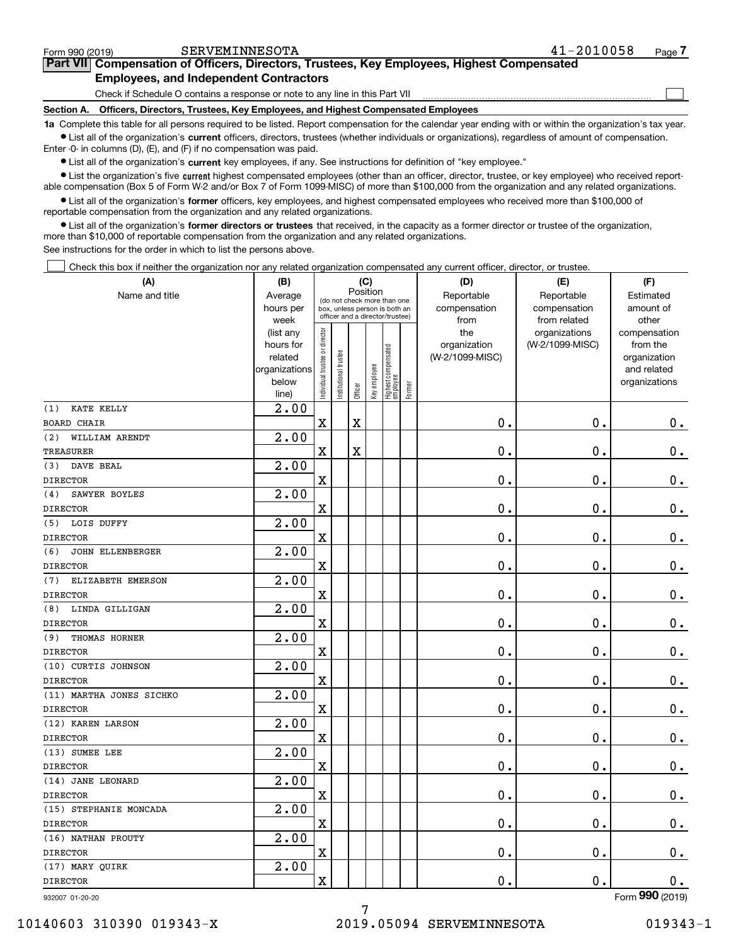| Form 990 (2019)   | SERVEMINNESOTA                                                                                                                                            | $41 - 2010058$ | Page - |
|-------------------|-----------------------------------------------------------------------------------------------------------------------------------------------------------|----------------|--------|
|                   | Part VII Compensation of Officers, Directors, Trustees, Key Employees, Highest Compensated                                                                |                |        |
|                   | <b>Employees, and Independent Contractors</b>                                                                                                             |                |        |
|                   | Check if Schedule O contains a response or note to any line in this Part VII                                                                              |                |        |
| <b>Section A.</b> | Officers, Directors, Trustees, Key Employees, and Highest Compensated Employees                                                                           |                |        |
|                   | to Complete this tople for all persons required to be listed. Benef compensation for the colondary very ending with or within the examination's toy year. |                |        |

**1a •** List all of the organization's current officers, directors, trustees (whether individuals or organizations), regardless of amount of compensation. Complete this table for all persons required to be listed. Report compensation for the calendar year ending with or within the organization's tax year. Enter -0- in columns (D), (E), and (F) if no compensation was paid.

 $\bullet$  List all of the organization's  $\,$ current key employees, if any. See instructions for definition of "key employee."

**•** List the organization's five current highest compensated employees (other than an officer, director, trustee, or key employee) who received reportable compensation (Box 5 of Form W-2 and/or Box 7 of Form 1099-MISC) of more than \$100,000 from the organization and any related organizations.

**•** List all of the organization's former officers, key employees, and highest compensated employees who received more than \$100,000 of reportable compensation from the organization and any related organizations.

**former directors or trustees**  ¥ List all of the organization's that received, in the capacity as a former director or trustee of the organization, more than \$10,000 of reportable compensation from the organization and any related organizations.

See instructions for the order in which to list the persons above.

Check this box if neither the organization nor any related organization compensated any current officer, director, or trustee.  $\mathcal{L}^{\text{max}}$ 

| (A)                      | (B)                                                                  |                                                                                                             |                      | (C)                     |              |                                   |        | (D)                                    | (E)                                        | (F)                                                                      |  |  |
|--------------------------|----------------------------------------------------------------------|-------------------------------------------------------------------------------------------------------------|----------------------|-------------------------|--------------|-----------------------------------|--------|----------------------------------------|--------------------------------------------|--------------------------------------------------------------------------|--|--|
| Name and title           | Average<br>hours per<br>week                                         | Position<br>(do not check more than one<br>box, unless person is both an<br>officer and a director/trustee) |                      |                         |              |                                   |        | Reportable<br>compensation<br>from     | Reportable<br>compensation<br>from related | Estimated<br>amount of<br>other                                          |  |  |
|                          | (list any<br>hours for<br>related<br>organizations<br>below<br>line) | Individual trustee or director                                                                              | nstitutional trustee | Officer                 | Key employee | Highest compensated<br>  employee | Former | the<br>organization<br>(W-2/1099-MISC) | organizations<br>(W-2/1099-MISC)           | compensation<br>from the<br>organization<br>and related<br>organizations |  |  |
| KATE KELLY<br>(1)        | 2.00                                                                 |                                                                                                             |                      |                         |              |                                   |        |                                        |                                            |                                                                          |  |  |
| <b>BOARD CHAIR</b>       |                                                                      | $\rm X$                                                                                                     |                      | $\overline{\textbf{X}}$ |              |                                   |        | 0.                                     | $\mathbf 0$ .                              | $0_{.}$                                                                  |  |  |
| (2)<br>WILLIAM ARENDT    | 2.00                                                                 |                                                                                                             |                      |                         |              |                                   |        |                                        |                                            |                                                                          |  |  |
| <b>TREASURER</b>         |                                                                      | $\overline{\text{X}}$                                                                                       |                      | $\overline{\textbf{X}}$ |              |                                   |        | 0.                                     | 0.                                         | $\mathbf 0$ .                                                            |  |  |
| DAVE BEAL<br>(3)         | $\overline{2.00}$                                                    |                                                                                                             |                      |                         |              |                                   |        |                                        |                                            |                                                                          |  |  |
| <b>DIRECTOR</b>          |                                                                      | X                                                                                                           |                      |                         |              |                                   |        | 0.                                     | $\mathbf 0$ .                              | $\mathbf 0$ .                                                            |  |  |
| (4)<br>SAWYER BOYLES     | $\overline{2.00}$                                                    |                                                                                                             |                      |                         |              |                                   |        |                                        |                                            |                                                                          |  |  |
| <b>DIRECTOR</b>          |                                                                      | X                                                                                                           |                      |                         |              |                                   |        | 0.                                     | $\mathbf 0$ .                              | $\mathbf 0$ .                                                            |  |  |
| LOIS DUFFY<br>(5)        | 2.00                                                                 |                                                                                                             |                      |                         |              |                                   |        |                                        |                                            |                                                                          |  |  |
| <b>DIRECTOR</b>          |                                                                      | X                                                                                                           |                      |                         |              |                                   |        | 0.                                     | $\mathbf 0$ .                              | $\mathbf 0$ .                                                            |  |  |
| (6)<br>JOHN ELLENBERGER  | 2.00                                                                 |                                                                                                             |                      |                         |              |                                   |        |                                        |                                            |                                                                          |  |  |
| <b>DIRECTOR</b>          |                                                                      | $\overline{\textbf{X}}$                                                                                     |                      |                         |              |                                   |        | 0.                                     | $\mathbf 0$ .                              | $\mathbf 0$ .                                                            |  |  |
| ELIZABETH EMERSON<br>(7) | 2.00                                                                 |                                                                                                             |                      |                         |              |                                   |        |                                        |                                            |                                                                          |  |  |
| <b>DIRECTOR</b>          |                                                                      | $\rm X$                                                                                                     |                      |                         |              |                                   |        | 0.                                     | $\mathbf 0$ .                              | $0$ .                                                                    |  |  |
| LINDA GILLIGAN<br>(8)    | 2.00                                                                 |                                                                                                             |                      |                         |              |                                   |        |                                        |                                            |                                                                          |  |  |
| <b>DIRECTOR</b>          |                                                                      | $\overline{\text{X}}$                                                                                       |                      |                         |              |                                   |        | 0.                                     | $\mathbf 0$ .                              | $\mathbf 0$ .                                                            |  |  |
| THOMAS HORNER<br>(9)     | 2.00                                                                 |                                                                                                             |                      |                         |              |                                   |        |                                        |                                            |                                                                          |  |  |
| <b>DIRECTOR</b>          |                                                                      | $\mathbf X$                                                                                                 |                      |                         |              |                                   |        | 0.                                     | $\mathbf 0$ .                              | $\mathbf 0$ .                                                            |  |  |
| (10) CURTIS JOHNSON      | 2.00                                                                 |                                                                                                             |                      |                         |              |                                   |        |                                        |                                            |                                                                          |  |  |
| <b>DIRECTOR</b>          |                                                                      | $\mathbf x$                                                                                                 |                      |                         |              |                                   |        | $\mathbf{0}$ .                         | $\mathbf{0}$ .                             | 0.                                                                       |  |  |
| (11) MARTHA JONES SICHKO | 2.00                                                                 |                                                                                                             |                      |                         |              |                                   |        |                                        |                                            |                                                                          |  |  |
| <b>DIRECTOR</b>          |                                                                      | $\mathbf X$                                                                                                 |                      |                         |              |                                   |        | $\mathbf{0}$ .                         | $\mathbf 0$ .                              | $\mathbf 0$ .                                                            |  |  |
| (12) KAREN LARSON        | 2.00                                                                 |                                                                                                             |                      |                         |              |                                   |        |                                        |                                            |                                                                          |  |  |
| <b>DIRECTOR</b>          |                                                                      | $\mathbf X$                                                                                                 |                      |                         |              |                                   |        | 0.                                     | $\mathbf 0$ .                              | $\mathbf 0$ .                                                            |  |  |
| (13) SUMEE LEE           | 2.00                                                                 |                                                                                                             |                      |                         |              |                                   |        |                                        |                                            |                                                                          |  |  |
| <b>DIRECTOR</b>          |                                                                      | $\rm X$                                                                                                     |                      |                         |              |                                   |        | 0.                                     | $\mathbf 0$ .                              | $0_{.}$                                                                  |  |  |
| (14) JANE LEONARD        | 2.00                                                                 |                                                                                                             |                      |                         |              |                                   |        |                                        |                                            |                                                                          |  |  |
| <b>DIRECTOR</b>          |                                                                      | $\mathbf X$                                                                                                 |                      |                         |              |                                   |        | 0.                                     | $\mathbf 0$ .                              | $\mathbf 0$ .                                                            |  |  |
| (15) STEPHANIE MONCADA   | 2.00                                                                 |                                                                                                             |                      |                         |              |                                   |        |                                        |                                            |                                                                          |  |  |
| <b>DIRECTOR</b>          |                                                                      | $\rm X$                                                                                                     |                      |                         |              |                                   |        | 0.                                     | $\mathbf 0$ .                              | $0$ .                                                                    |  |  |
| (16) NATHAN PROUTY       | 2.00                                                                 |                                                                                                             |                      |                         |              |                                   |        |                                        |                                            |                                                                          |  |  |
| <b>DIRECTOR</b>          |                                                                      | $\rm X$                                                                                                     |                      |                         |              |                                   |        | 0.                                     | $\mathbf 0$ .                              | $\mathbf 0$ .                                                            |  |  |
| (17) MARY QUIRK          | 2.00                                                                 |                                                                                                             |                      |                         |              |                                   |        |                                        |                                            |                                                                          |  |  |
| <b>DIRECTOR</b>          |                                                                      | X                                                                                                           |                      |                         |              |                                   |        | 0.                                     | $\mathbf 0$ .                              | $\mathbf 0$ .                                                            |  |  |

7

932007 01-20-20

Form (2019) **990**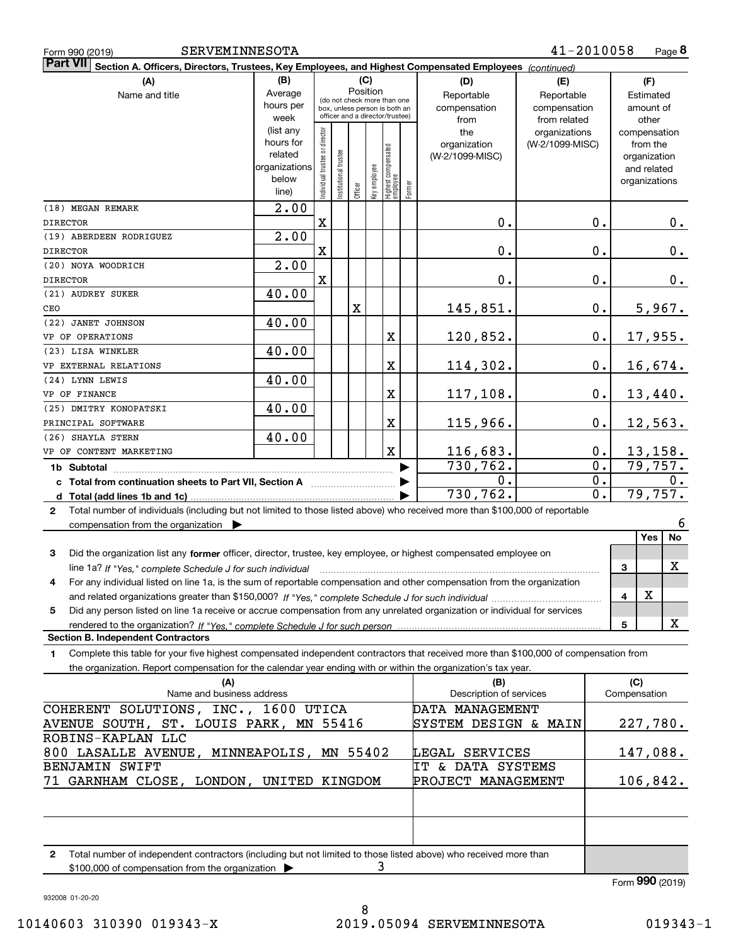| SERVEMINNESOTA<br>Form 990 (2019)                                                                                                         |                                                                                                                                                           |                                |                      |         |              |                                   |        |                                           | 41-2010058                                        |                  |                     | Page 8                                                                   |
|-------------------------------------------------------------------------------------------------------------------------------------------|-----------------------------------------------------------------------------------------------------------------------------------------------------------|--------------------------------|----------------------|---------|--------------|-----------------------------------|--------|-------------------------------------------|---------------------------------------------------|------------------|---------------------|--------------------------------------------------------------------------|
| Part VII Section A. Officers, Directors, Trustees, Key Employees, and Highest Compensated Employees (continued)                           |                                                                                                                                                           |                                |                      |         |              |                                   |        |                                           |                                                   |                  |                     |                                                                          |
| (A)<br>Name and title                                                                                                                     | (B)<br>(C)<br>Position<br>Average<br>(do not check more than one<br>hours per<br>box, unless person is both an<br>officer and a director/trustee)<br>week |                                |                      |         |              |                                   |        | (D)<br>Reportable<br>compensation<br>from | (E)<br>Reportable<br>compensation<br>from related |                  |                     | (F)<br>Estimated<br>amount of<br>other                                   |
|                                                                                                                                           | (list any<br>hours for<br>related<br>organizations<br>below<br>line)                                                                                      | Individual trustee or director | nstitutional trustee | Officer | Key employee | Highest compensated<br>  employee | Former | the<br>organization<br>(W-2/1099-MISC)    | organizations<br>(W-2/1099-MISC)                  |                  |                     | compensation<br>from the<br>organization<br>and related<br>organizations |
| (18) MEGAN REMARK<br><b>DIRECTOR</b>                                                                                                      | 2.00                                                                                                                                                      | X                              |                      |         |              |                                   |        | 0.                                        |                                                   | 0.               |                     | 0.                                                                       |
| (19) ABERDEEN RODRIGUEZ                                                                                                                   | 2.00                                                                                                                                                      |                                |                      |         |              |                                   |        |                                           |                                                   |                  |                     |                                                                          |
| <b>DIRECTOR</b>                                                                                                                           |                                                                                                                                                           | X                              |                      |         |              |                                   |        | 0.                                        |                                                   | 0.               |                     | 0.                                                                       |
| (20) NOYA WOODRICH                                                                                                                        | 2.00                                                                                                                                                      |                                |                      |         |              |                                   |        |                                           |                                                   |                  |                     |                                                                          |
| <b>DIRECTOR</b>                                                                                                                           |                                                                                                                                                           | $\mathbf x$                    |                      |         |              |                                   |        | 0.                                        |                                                   | 0.               |                     | 0.                                                                       |
| (21) AUDREY SUKER<br>CEO                                                                                                                  | 40.00                                                                                                                                                     |                                |                      | X       |              |                                   |        | 145,851.                                  |                                                   | 0.               |                     | 5,967.                                                                   |
| (22) JANET JOHNSON                                                                                                                        | 40.00                                                                                                                                                     |                                |                      |         |              |                                   |        |                                           |                                                   |                  |                     |                                                                          |
| VP OF OPERATIONS                                                                                                                          |                                                                                                                                                           |                                |                      |         |              | $\mathbf X$                       |        | 120,852.                                  |                                                   | 0.               |                     | 17,955.                                                                  |
| (23) LISA WINKLER                                                                                                                         | 40.00                                                                                                                                                     |                                |                      |         |              |                                   |        |                                           |                                                   |                  |                     |                                                                          |
| VP EXTERNAL RELATIONS                                                                                                                     |                                                                                                                                                           |                                |                      |         |              | $\mathbf X$                       |        | 114,302.                                  |                                                   | 0.               |                     | 16,674.                                                                  |
| (24) LYNN LEWIS<br>VP OF FINANCE                                                                                                          | 40.00                                                                                                                                                     |                                |                      |         |              | $\mathbf X$                       |        | 117,108.                                  |                                                   | $0$ .            |                     | 13,440.                                                                  |
| (25) DMITRY KONOPATSKI                                                                                                                    | 40.00                                                                                                                                                     |                                |                      |         |              |                                   |        |                                           |                                                   |                  |                     |                                                                          |
| PRINCIPAL SOFTWARE                                                                                                                        |                                                                                                                                                           |                                |                      |         |              | $\mathbf X$                       |        | 115,966.                                  |                                                   | $0$ .            |                     | 12,563.                                                                  |
| (26) SHAYLA STERN                                                                                                                         | 40.00                                                                                                                                                     |                                |                      |         |              |                                   |        |                                           |                                                   |                  |                     |                                                                          |
| VP OF CONTENT MARKETING                                                                                                                   |                                                                                                                                                           |                                |                      |         |              | $\mathbf x$                       |        | 116,683.                                  |                                                   | 0.               |                     | <u>13,158.</u>                                                           |
| 1b Subtotal                                                                                                                               |                                                                                                                                                           |                                |                      |         |              |                                   |        | 730, 762.                                 |                                                   | $\overline{0}$ . |                     | 79,757.                                                                  |
| c Total from continuation sheets to Part VII, Section A manufactured and response Total from extension                                    |                                                                                                                                                           |                                |                      |         |              |                                   |        | 0.                                        |                                                   | $\overline{0}$ . |                     | $0$ .                                                                    |
|                                                                                                                                           |                                                                                                                                                           |                                |                      |         |              |                                   |        | 730, 762.                                 |                                                   | $\overline{0}$ . |                     | 79,757.                                                                  |
| Total number of individuals (including but not limited to those listed above) who received more than \$100,000 of reportable<br>2         |                                                                                                                                                           |                                |                      |         |              |                                   |        |                                           |                                                   |                  |                     |                                                                          |
| compensation from the organization $\blacktriangleright$                                                                                  |                                                                                                                                                           |                                |                      |         |              |                                   |        |                                           |                                                   |                  |                     | 6<br>No<br><b>Yes</b>                                                    |
| 3<br>Did the organization list any former officer, director, trustee, key employee, or highest compensated employee on                    |                                                                                                                                                           |                                |                      |         |              |                                   |        |                                           |                                                   |                  |                     |                                                                          |
| line 1a? If "Yes," complete Schedule J for such individual manufactured contained and the Yes," complete Schedule J for such individual   |                                                                                                                                                           |                                |                      |         |              |                                   |        |                                           |                                                   |                  | 3                   | X                                                                        |
| 4<br>For any individual listed on line 1a, is the sum of reportable compensation and other compensation from the organization             |                                                                                                                                                           |                                |                      |         |              |                                   |        |                                           |                                                   |                  |                     |                                                                          |
|                                                                                                                                           |                                                                                                                                                           |                                |                      |         |              |                                   |        |                                           |                                                   |                  | 4                   | X                                                                        |
| Did any person listed on line 1a receive or accrue compensation from any unrelated organization or individual for services<br>5           |                                                                                                                                                           |                                |                      |         |              |                                   |        |                                           |                                                   |                  |                     |                                                                          |
|                                                                                                                                           |                                                                                                                                                           |                                |                      |         |              |                                   |        |                                           |                                                   |                  | 5                   | X                                                                        |
| <b>Section B. Independent Contractors</b>                                                                                                 |                                                                                                                                                           |                                |                      |         |              |                                   |        |                                           |                                                   |                  |                     |                                                                          |
| Complete this table for your five highest compensated independent contractors that received more than \$100,000 of compensation from<br>1 |                                                                                                                                                           |                                |                      |         |              |                                   |        |                                           |                                                   |                  |                     |                                                                          |
| the organization. Report compensation for the calendar year ending with or within the organization's tax year.                            |                                                                                                                                                           |                                |                      |         |              |                                   |        |                                           |                                                   |                  |                     |                                                                          |
| (A)<br>Name and business address                                                                                                          |                                                                                                                                                           |                                |                      |         |              |                                   |        | (B)<br>Description of services            |                                                   |                  | (C)<br>Compensation |                                                                          |
| COHERENT SOLUTIONS, INC., 1600 UTICA                                                                                                      |                                                                                                                                                           |                                |                      |         |              |                                   |        | DATA MANAGEMENT                           |                                                   |                  |                     |                                                                          |
| AVENUE SOUTH, ST. LOUIS PARK, MN 55416<br>ROBINS-KAPLAN LLC                                                                               |                                                                                                                                                           |                                |                      |         |              |                                   |        | <b>SYSTEM DESIGN &amp; MAIN</b>           |                                                   |                  |                     | 227,780.                                                                 |
| 800 LASALLE AVENUE, MINNEAPOLIS, MN 55402                                                                                                 |                                                                                                                                                           |                                |                      |         |              |                                   |        | LEGAL SERVICES                            |                                                   |                  |                     | 147,088.                                                                 |
| BENJAMIN SWIFT                                                                                                                            |                                                                                                                                                           |                                |                      |         |              |                                   |        | IT & DATA SYSTEMS                         |                                                   |                  |                     |                                                                          |
| 71 GARNHAM CLOSE, LONDON, UNITED KINGDOM                                                                                                  |                                                                                                                                                           |                                |                      |         |              |                                   |        | PROJECT MANAGEMENT                        |                                                   |                  |                     | 106,842.                                                                 |
|                                                                                                                                           |                                                                                                                                                           |                                |                      |         |              |                                   |        |                                           |                                                   |                  |                     |                                                                          |
|                                                                                                                                           |                                                                                                                                                           |                                |                      |         |              |                                   |        |                                           |                                                   |                  |                     |                                                                          |
|                                                                                                                                           |                                                                                                                                                           |                                |                      |         |              |                                   |        |                                           |                                                   |                  |                     |                                                                          |
|                                                                                                                                           |                                                                                                                                                           |                                |                      |         |              |                                   |        |                                           |                                                   |                  |                     |                                                                          |

**2**Total number of independent contractors (including but not limited to those listed above) who received more than \$100,000 of compensation from the organization  $\blacktriangleright$ 3

Form (2019) **990**

932008 01-20-20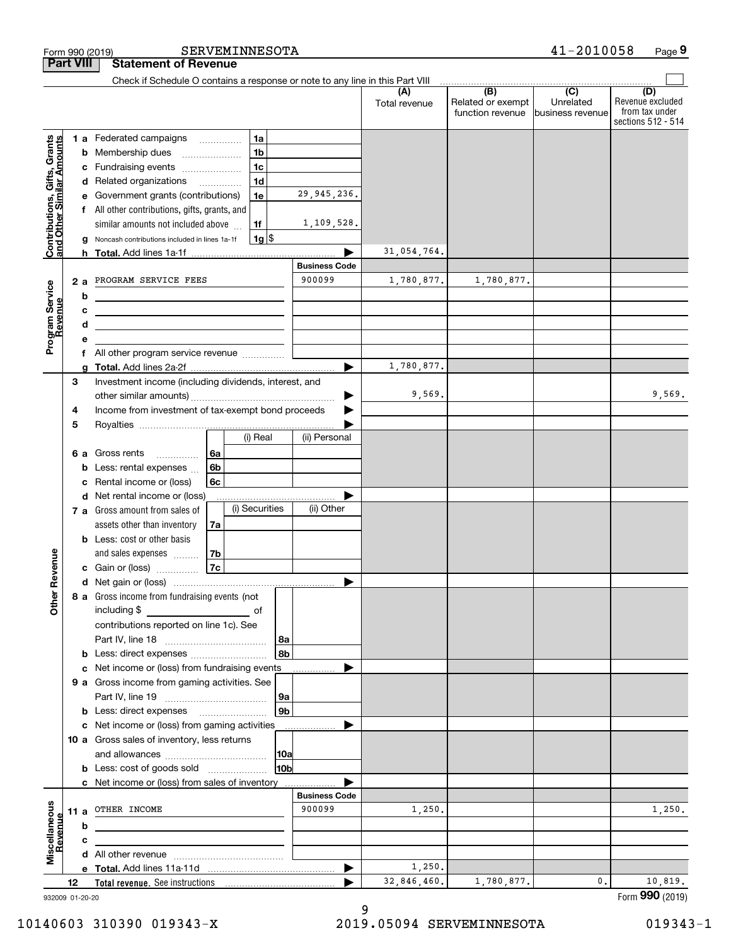|                                                           |    |   | <b>SERVEMINNESOTA</b><br>Form 990 (2019)                                                |     |                      |                       |                                       | 41-2010058                    | Page 9                                                   |
|-----------------------------------------------------------|----|---|-----------------------------------------------------------------------------------------|-----|----------------------|-----------------------|---------------------------------------|-------------------------------|----------------------------------------------------------|
| <b>Part VIII</b>                                          |    |   | <b>Statement of Revenue</b>                                                             |     |                      |                       |                                       |                               |                                                          |
|                                                           |    |   | Check if Schedule O contains a response or note to any line in this Part VIII           |     |                      | (A)                   | $\overline{(B)}$                      | $\overline{(C)}$              | (D)                                                      |
|                                                           |    |   |                                                                                         |     |                      | Total revenue         | Related or exempt<br>function revenue | Unrelated<br>business revenue | Revenue excluded<br>from tax under<br>sections 512 - 514 |
|                                                           |    |   | 1a<br>1 a Federated campaigns                                                           |     |                      |                       |                                       |                               |                                                          |
| Contributions, Gifts, Grants<br>and Other Similar Amounts |    |   | 1 <sub>b</sub><br><b>b</b> Membership dues                                              |     |                      |                       |                                       |                               |                                                          |
|                                                           |    |   | 1 <sub>c</sub><br>c Fundraising events                                                  |     |                      |                       |                                       |                               |                                                          |
|                                                           |    |   | 1 <sub>d</sub><br>d Related organizations                                               |     |                      |                       |                                       |                               |                                                          |
|                                                           |    |   | e Government grants (contributions)<br>1e                                               |     | 29, 945, 236.        |                       |                                       |                               |                                                          |
|                                                           |    |   | All other contributions, gifts, grants, and<br>similar amounts not included above<br>1f |     | 1,109,528.           |                       |                                       |                               |                                                          |
|                                                           |    |   | $1g$ \$<br>g Noncash contributions included in lines 1a-1f                              |     |                      |                       |                                       |                               |                                                          |
|                                                           |    |   |                                                                                         |     |                      | 31,054,764.           |                                       |                               |                                                          |
|                                                           |    |   |                                                                                         |     | <b>Business Code</b> |                       |                                       |                               |                                                          |
|                                                           | 2a |   | PROGRAM SERVICE FEES                                                                    |     | 900099               | 1,780,877.            | 1,780,877.                            |                               |                                                          |
|                                                           |    | b |                                                                                         |     |                      |                       |                                       |                               |                                                          |
|                                                           |    | c |                                                                                         |     |                      |                       |                                       |                               |                                                          |
| Program Service<br>Revenue                                |    | d |                                                                                         |     |                      |                       |                                       |                               |                                                          |
|                                                           |    | е | f All other program service revenue                                                     |     |                      |                       |                                       |                               |                                                          |
|                                                           |    |   |                                                                                         |     |                      | 1,780,877.            |                                       |                               |                                                          |
|                                                           | 3  |   | Investment income (including dividends, interest, and                                   |     |                      |                       |                                       |                               |                                                          |
|                                                           |    |   |                                                                                         |     |                      | 9,569.                |                                       |                               | 9,569.                                                   |
|                                                           | 4  |   | Income from investment of tax-exempt bond proceeds                                      |     |                      |                       |                                       |                               |                                                          |
|                                                           | 5  |   |                                                                                         |     |                      |                       |                                       |                               |                                                          |
|                                                           |    |   | (i) Real                                                                                |     | (ii) Personal        |                       |                                       |                               |                                                          |
|                                                           |    |   | 6 a Gross rents<br>6a                                                                   |     |                      |                       |                                       |                               |                                                          |
|                                                           |    |   | 6b<br>Less: rental expenses<br>6c                                                       |     |                      |                       |                                       |                               |                                                          |
|                                                           |    |   | Rental income or (loss)<br>d Net rental income or (loss)                                |     |                      |                       |                                       |                               |                                                          |
|                                                           |    |   | (i) Securities<br>7 a Gross amount from sales of                                        |     | (ii) Other           |                       |                                       |                               |                                                          |
|                                                           |    |   | assets other than inventory<br>7a                                                       |     |                      |                       |                                       |                               |                                                          |
|                                                           |    |   | <b>b</b> Less: cost or other basis                                                      |     |                      |                       |                                       |                               |                                                          |
|                                                           |    |   | and sales expenses<br>l 7b                                                              |     |                      |                       |                                       |                               |                                                          |
| evenue                                                    |    |   | 7c<br>c Gain or (loss)                                                                  |     |                      |                       |                                       |                               |                                                          |
| č                                                         |    |   |                                                                                         |     |                      |                       |                                       |                               |                                                          |
| Other                                                     |    |   | 8 a Gross income from fundraising events (not                                           |     |                      |                       |                                       |                               |                                                          |
|                                                           |    |   | including \$<br>of<br>contributions reported on line 1c). See                           |     |                      |                       |                                       |                               |                                                          |
|                                                           |    |   |                                                                                         | 8a  |                      |                       |                                       |                               |                                                          |
|                                                           |    |   | <b>b</b> Less: direct expenses                                                          | 8b  |                      |                       |                                       |                               |                                                          |
|                                                           |    |   | c Net income or (loss) from fundraising events                                          |     |                      |                       |                                       |                               |                                                          |
|                                                           |    |   | 9 a Gross income from gaming activities. See                                            |     |                      |                       |                                       |                               |                                                          |
|                                                           |    |   |                                                                                         | 9a  |                      |                       |                                       |                               |                                                          |
|                                                           |    |   |                                                                                         | 9b  |                      |                       |                                       |                               |                                                          |
|                                                           |    |   | c Net income or (loss) from gaming activities                                           |     |                      |                       |                                       |                               |                                                          |
|                                                           |    |   | 10 a Gross sales of inventory, less returns                                             | 10a |                      |                       |                                       |                               |                                                          |
|                                                           |    |   | <b>b</b> Less: cost of goods sold                                                       | 10b |                      |                       |                                       |                               |                                                          |
|                                                           |    |   | c Net income or (loss) from sales of inventory                                          |     |                      |                       |                                       |                               |                                                          |
|                                                           |    |   |                                                                                         |     | <b>Business Code</b> |                       |                                       |                               |                                                          |
|                                                           |    |   | 11 a OTHER INCOME                                                                       |     | 900099               | 1,250.                |                                       |                               | 1,250.                                                   |
| Miscellaneous<br>Revenue                                  |    | b |                                                                                         |     |                      |                       |                                       |                               |                                                          |
|                                                           |    | с |                                                                                         |     |                      |                       |                                       |                               |                                                          |
|                                                           |    |   |                                                                                         |     |                      |                       |                                       |                               |                                                          |
|                                                           |    |   |                                                                                         |     |                      | 1,250.<br>32,846,460. | 1,780,877.                            | 0.                            | 10,819.                                                  |
| 932009 01-20-20                                           | 12 |   |                                                                                         |     |                      |                       |                                       |                               | Form 990 (2019)                                          |
|                                                           |    |   |                                                                                         |     |                      |                       |                                       |                               |                                                          |

9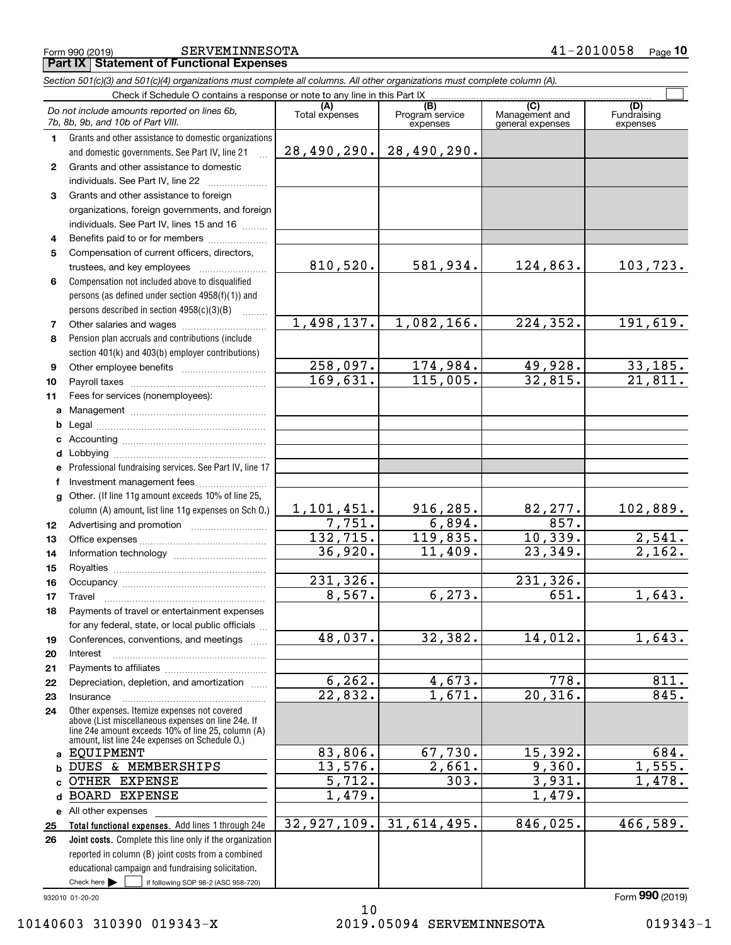SERVEMINNESOTA 41-2010058

|              | Section 501(c)(3) and 501(c)(4) organizations must complete all columns. All other organizations must complete column (A).                                                                                 |                        |                                    |                                    |                                |  |  |  |  |
|--------------|------------------------------------------------------------------------------------------------------------------------------------------------------------------------------------------------------------|------------------------|------------------------------------|------------------------------------|--------------------------------|--|--|--|--|
|              | Check if Schedule O contains a response or note to any line in this Part IX<br>$\overline{C}$                                                                                                              |                        |                                    |                                    |                                |  |  |  |  |
|              | Do not include amounts reported on lines 6b,<br>7b, 8b, 9b, and 10b of Part VIII.                                                                                                                          | (A)<br>Total expenses  | (B)<br>Program service<br>expenses | Management and<br>general expenses | (D)<br>Fundraising<br>expenses |  |  |  |  |
| 1.           | Grants and other assistance to domestic organizations                                                                                                                                                      |                        |                                    |                                    |                                |  |  |  |  |
|              | and domestic governments. See Part IV, line 21                                                                                                                                                             | 28,490,290.            | 28,490,290.                        |                                    |                                |  |  |  |  |
| $\mathbf{2}$ | Grants and other assistance to domestic                                                                                                                                                                    |                        |                                    |                                    |                                |  |  |  |  |
|              | individuals. See Part IV, line 22                                                                                                                                                                          |                        |                                    |                                    |                                |  |  |  |  |
| 3            | Grants and other assistance to foreign                                                                                                                                                                     |                        |                                    |                                    |                                |  |  |  |  |
|              | organizations, foreign governments, and foreign                                                                                                                                                            |                        |                                    |                                    |                                |  |  |  |  |
|              | individuals. See Part IV, lines 15 and 16                                                                                                                                                                  |                        |                                    |                                    |                                |  |  |  |  |
| 4            | Benefits paid to or for members                                                                                                                                                                            |                        |                                    |                                    |                                |  |  |  |  |
| 5            | Compensation of current officers, directors,                                                                                                                                                               |                        |                                    |                                    |                                |  |  |  |  |
|              | trustees, and key employees                                                                                                                                                                                | 810,520.               | 581,934.                           | 124,863.                           | 103, 723.                      |  |  |  |  |
| 6            | Compensation not included above to disqualified                                                                                                                                                            |                        |                                    |                                    |                                |  |  |  |  |
|              | persons (as defined under section 4958(f)(1)) and                                                                                                                                                          |                        |                                    |                                    |                                |  |  |  |  |
|              | persons described in section $4958(c)(3)(B)$<br>.                                                                                                                                                          |                        |                                    |                                    |                                |  |  |  |  |
| 7            |                                                                                                                                                                                                            | 1,498,137.             | 1,082,166.                         | 224,352.                           | 191,619.                       |  |  |  |  |
| 8            | Pension plan accruals and contributions (include                                                                                                                                                           |                        |                                    |                                    |                                |  |  |  |  |
|              | section 401(k) and 403(b) employer contributions)                                                                                                                                                          |                        |                                    |                                    |                                |  |  |  |  |
| 9            |                                                                                                                                                                                                            | $\overline{258,097}$ . | 174,984.                           | 49,928.                            | $\frac{33,185}{21,811}$ .      |  |  |  |  |
| 10           |                                                                                                                                                                                                            | 169,631.               | 115,005.                           | 32,815.                            |                                |  |  |  |  |
| 11           | Fees for services (nonemployees):                                                                                                                                                                          |                        |                                    |                                    |                                |  |  |  |  |
| a            |                                                                                                                                                                                                            |                        |                                    |                                    |                                |  |  |  |  |
| b            |                                                                                                                                                                                                            |                        |                                    |                                    |                                |  |  |  |  |
|              |                                                                                                                                                                                                            |                        |                                    |                                    |                                |  |  |  |  |
| d            |                                                                                                                                                                                                            |                        |                                    |                                    |                                |  |  |  |  |
| е            | Professional fundraising services. See Part IV, line 17                                                                                                                                                    |                        |                                    |                                    |                                |  |  |  |  |
| f            | Investment management fees                                                                                                                                                                                 |                        |                                    |                                    |                                |  |  |  |  |
| g            | Other. (If line 11g amount exceeds 10% of line 25,                                                                                                                                                         |                        |                                    |                                    |                                |  |  |  |  |
|              | column (A) amount, list line 11g expenses on Sch O.)                                                                                                                                                       | <u>1,101,451.</u>      | 916, 285.                          | 82,277.                            | 102,889.                       |  |  |  |  |
| 12           |                                                                                                                                                                                                            | 7,751.                 | 6,894.                             | 857.                               |                                |  |  |  |  |
| 13           |                                                                                                                                                                                                            | 132, 715.              | 119,835.                           | 10,339.                            | $\frac{2,541}{2,162}$          |  |  |  |  |
| 14           |                                                                                                                                                                                                            | 36,920.                | 11,409.                            | 23,349.                            |                                |  |  |  |  |
| 15           |                                                                                                                                                                                                            |                        |                                    |                                    |                                |  |  |  |  |
| 16           |                                                                                                                                                                                                            | 231,326.               |                                    | 231,326.                           |                                |  |  |  |  |
| 17           |                                                                                                                                                                                                            | 8,567.                 | 6, 273.                            | 651.                               | 1,643.                         |  |  |  |  |
| 18           | Payments of travel or entertainment expenses                                                                                                                                                               |                        |                                    |                                    |                                |  |  |  |  |
|              | for any federal, state, or local public officials                                                                                                                                                          |                        |                                    |                                    |                                |  |  |  |  |
| 19           | Conferences, conventions, and meetings                                                                                                                                                                     | 48,037.                | 32,382.                            | 14,012.                            | 1,643.                         |  |  |  |  |
| 20           | Interest                                                                                                                                                                                                   |                        |                                    |                                    |                                |  |  |  |  |
| 21           |                                                                                                                                                                                                            |                        |                                    |                                    |                                |  |  |  |  |
| 22           | Depreciation, depletion, and amortization                                                                                                                                                                  | 6, 262.                | 4,673.                             | 778.                               | 811.                           |  |  |  |  |
| 23           | Insurance                                                                                                                                                                                                  | 22,832.                | 1,671.                             | 20,316.                            | 845.                           |  |  |  |  |
| 24           | Other expenses. Itemize expenses not covered<br>above (List miscellaneous expenses on line 24e. If<br>line 24e amount exceeds 10% of line 25, column (A)<br>amount, list line 24e expenses on Schedule O.) |                        |                                    |                                    |                                |  |  |  |  |
|              | a EQUIPMENT                                                                                                                                                                                                | 83,806.                | 67,730.                            | 15,392.                            | 684.                           |  |  |  |  |
| b            | DUES & MEMBERSHIPS                                                                                                                                                                                         | 13,576.                | 2,661.                             | 9,360.                             | 1,555.                         |  |  |  |  |
|              | OTHER EXPENSE                                                                                                                                                                                              | 5,712.                 | 303.                               | 3,931.                             | 1,478.                         |  |  |  |  |
| d            | <b>BOARD EXPENSE</b>                                                                                                                                                                                       | 1,479.                 |                                    | 1,479.                             |                                |  |  |  |  |
|              | e All other expenses                                                                                                                                                                                       |                        |                                    |                                    |                                |  |  |  |  |
| 25           | Total functional expenses. Add lines 1 through 24e                                                                                                                                                         | 32,927,109.            | 31,614,495.                        | 846,025.                           | 466,589.                       |  |  |  |  |
| 26           | Joint costs. Complete this line only if the organization                                                                                                                                                   |                        |                                    |                                    |                                |  |  |  |  |
|              | reported in column (B) joint costs from a combined                                                                                                                                                         |                        |                                    |                                    |                                |  |  |  |  |
|              | educational campaign and fundraising solicitation.                                                                                                                                                         |                        |                                    |                                    |                                |  |  |  |  |

932010 01-20-20

Check here

 $\mathcal{L}^{\text{max}}$ 

if following SOP 98-2 (ASC 958-720)

Form (2019) **990**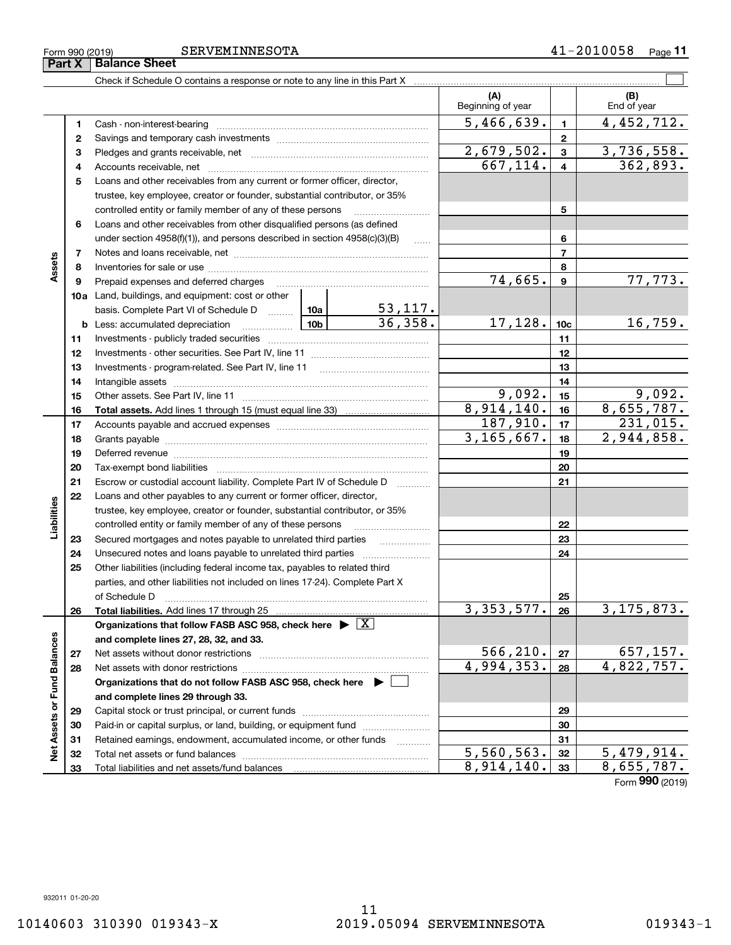# SERVEMINNESOTA

Check if Schedule O contains a response or note to any line in this Part X

|                             |    |                                                                                                                                                            |  |                           |              | (A)<br>Beginning of year |                         |                          | (B)<br>End of year |                 |
|-----------------------------|----|------------------------------------------------------------------------------------------------------------------------------------------------------------|--|---------------------------|--------------|--------------------------|-------------------------|--------------------------|--------------------|-----------------|
|                             | 1  |                                                                                                                                                            |  |                           |              |                          | 5,466,639.              | $\mathbf{1}$             |                    | 4,452,712.      |
|                             | 2  |                                                                                                                                                            |  |                           |              |                          |                         | $\mathbf{2}$             |                    |                 |
|                             | з  |                                                                                                                                                            |  |                           |              |                          | 2,679,502.              | 3                        |                    | 3,736,558.      |
|                             | 4  |                                                                                                                                                            |  |                           |              |                          | 667,114.                | $\overline{\mathbf{4}}$  |                    | 362,893.        |
|                             | 5  | Loans and other receivables from any current or former officer, director,                                                                                  |  |                           |              |                          |                         |                          |                    |                 |
|                             |    | trustee, key employee, creator or founder, substantial contributor, or 35%                                                                                 |  |                           |              |                          |                         |                          |                    |                 |
|                             |    | controlled entity or family member of any of these persons                                                                                                 |  |                           |              |                          |                         | 5                        |                    |                 |
|                             | 6  | Loans and other receivables from other disqualified persons (as defined                                                                                    |  |                           |              |                          |                         |                          |                    |                 |
|                             |    | under section $4958(f)(1)$ , and persons described in section $4958(c)(3)(B)$                                                                              |  | 1.1.1.1.1                 |              |                          |                         | 6                        |                    |                 |
|                             | 7  |                                                                                                                                                            |  |                           |              |                          |                         | $\overline{7}$           |                    |                 |
| Assets                      | 8  |                                                                                                                                                            |  |                           |              |                          |                         | 8                        |                    |                 |
|                             | 9  | Prepaid expenses and deferred charges                                                                                                                      |  |                           |              |                          | 74,665.                 | $\boldsymbol{9}$         |                    | 77,773.         |
|                             |    | 10a Land, buildings, and equipment: cost or other                                                                                                          |  |                           |              |                          |                         |                          |                    |                 |
|                             |    | basis. Complete Part VI of Schedule D  10a                                                                                                                 |  | $\frac{53,117.}{36,358.}$ |              |                          |                         |                          |                    |                 |
|                             |    | <u>  10b</u>  <br><b>b</b> Less: accumulated depreciation                                                                                                  |  |                           |              |                          | 17,128.                 | 10 <sub>c</sub>          |                    | 16,759.         |
|                             | 11 |                                                                                                                                                            |  |                           |              |                          |                         | 11                       |                    |                 |
|                             | 12 |                                                                                                                                                            |  |                           |              |                          |                         | 12                       |                    |                 |
|                             | 13 |                                                                                                                                                            |  |                           |              |                          | 13                      |                          |                    |                 |
|                             | 14 |                                                                                                                                                            |  |                           |              | 14                       |                         |                          |                    |                 |
|                             | 15 |                                                                                                                                                            |  |                           | 9,092.       | 15                       |                         | 9,092.                   |                    |                 |
|                             | 16 |                                                                                                                                                            |  |                           |              |                          | 8,914,140.              | 16                       |                    | 8,655,787.      |
|                             | 17 |                                                                                                                                                            |  |                           |              |                          | 187,910.                | 17                       |                    | 231,015.        |
|                             | 18 |                                                                                                                                                            |  |                           | 3, 165, 667. | 18                       |                         | $\overline{2,944,858}$ . |                    |                 |
|                             | 19 | Deferred revenue manual contracts and contracts are all the manual contracts and contracts are all the contracts of                                        |  |                           |              | 19                       |                         |                          |                    |                 |
|                             | 20 |                                                                                                                                                            |  |                           |              |                          |                         | 20                       |                    |                 |
|                             | 21 | Escrow or custodial account liability. Complete Part IV of Schedule D                                                                                      |  | .                         |              |                          |                         | 21                       |                    |                 |
|                             | 22 | Loans and other payables to any current or former officer, director,                                                                                       |  |                           |              |                          |                         |                          |                    |                 |
| Liabilities                 |    | trustee, key employee, creator or founder, substantial contributor, or 35%                                                                                 |  |                           |              |                          |                         |                          |                    |                 |
|                             |    | controlled entity or family member of any of these persons                                                                                                 |  |                           |              |                          |                         | 22                       |                    |                 |
|                             | 23 |                                                                                                                                                            |  |                           |              |                          |                         | 23                       |                    |                 |
|                             | 24 |                                                                                                                                                            |  |                           |              |                          |                         | 24                       |                    |                 |
|                             | 25 | Other liabilities (including federal income tax, payables to related third<br>parties, and other liabilities not included on lines 17-24). Complete Part X |  |                           |              |                          |                         |                          |                    |                 |
|                             |    | of Schedule D                                                                                                                                              |  |                           |              |                          |                         | 25                       |                    |                 |
|                             | 26 |                                                                                                                                                            |  |                           |              |                          | 3, 353, 577.            | 26                       |                    | 3, 175, 873.    |
|                             |    | Organizations that follow FASB ASC 958, check here $\blacktriangleright \boxed{X}$                                                                         |  |                           |              |                          |                         |                          |                    |                 |
|                             |    | and complete lines 27, 28, 32, and 33.                                                                                                                     |  |                           |              |                          |                         |                          |                    |                 |
|                             | 27 | Net assets without donor restrictions                                                                                                                      |  |                           |              |                          | 566, 210.               | 27                       |                    | <u>657,157.</u> |
| Net Assets or Fund Balances | 28 | Net assets with donor restrictions                                                                                                                         |  |                           |              |                          | 4,994,353.              | 28                       |                    | 4,822,757.      |
|                             |    | Organizations that do not follow FASB ASC 958, check here $\blacktriangleright$                                                                            |  |                           |              |                          |                         |                          |                    |                 |
|                             |    | and complete lines 29 through 33.                                                                                                                          |  |                           |              |                          |                         |                          |                    |                 |
|                             | 29 |                                                                                                                                                            |  |                           |              | 29                       |                         |                          |                    |                 |
|                             | 30 | Paid-in or capital surplus, or land, building, or equipment fund                                                                                           |  |                           |              |                          |                         | 30                       |                    |                 |
|                             | 31 | Retained earnings, endowment, accumulated income, or other funds                                                                                           |  | .                         |              |                          |                         | 31                       |                    |                 |
|                             | 32 |                                                                                                                                                            |  |                           |              |                          | $\overline{5,560,563.}$ | 32                       |                    | 5,479,914.      |
|                             | 33 |                                                                                                                                                            |  |                           |              |                          | 8,914,140.              | 33                       |                    | 8,655,787.      |

Form (2019) **990**

 $\mathcal{L}^{\text{max}}$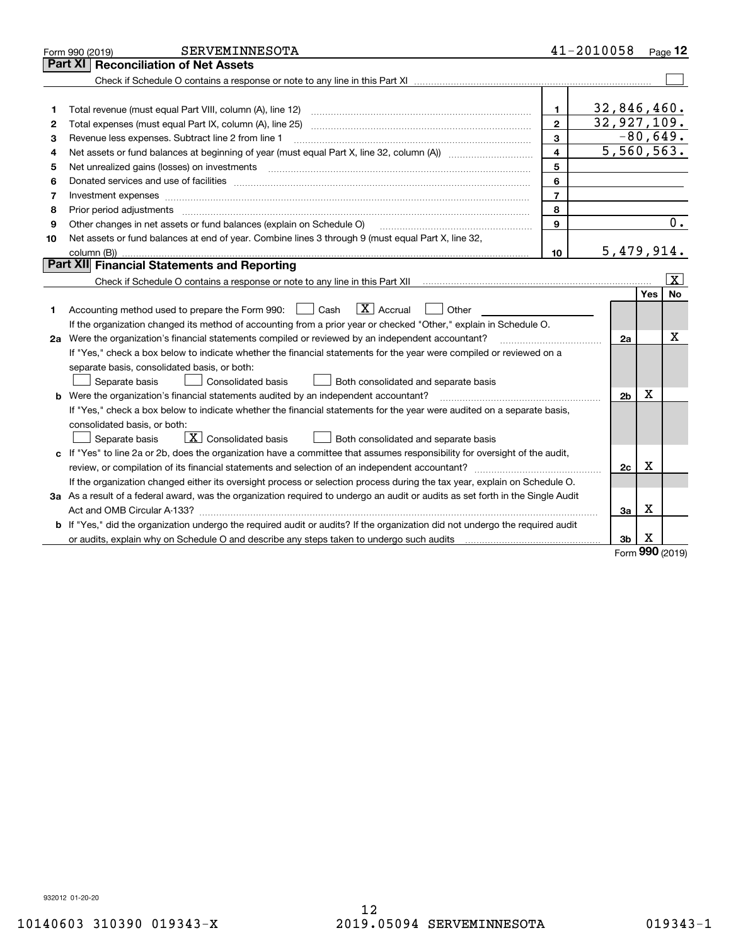|    | SERVEMINNESOTA<br>Form 990 (2019)                                                                                               |                | 41-2010058     |                 | Page $12$         |
|----|---------------------------------------------------------------------------------------------------------------------------------|----------------|----------------|-----------------|-------------------|
|    | Part XI<br><b>Reconciliation of Net Assets</b>                                                                                  |                |                |                 |                   |
|    |                                                                                                                                 |                |                |                 |                   |
|    |                                                                                                                                 |                |                |                 |                   |
| 1  |                                                                                                                                 | 1.             | 32,846,460.    |                 |                   |
| 2  |                                                                                                                                 | $\mathbf{2}$   | 32,927,109.    |                 |                   |
| 3  | Revenue less expenses. Subtract line 2 from line 1                                                                              | 3              |                | $-80,649.$      |                   |
| 4  |                                                                                                                                 | 4              | 5,560,563.     |                 |                   |
| 5  | Net unrealized gains (losses) on investments                                                                                    | 5              |                |                 |                   |
| 6  |                                                                                                                                 | 6              |                |                 |                   |
| 7  | Investment expenses                                                                                                             | $\overline{7}$ |                |                 |                   |
| 8  | Prior period adjustments                                                                                                        | 8              |                |                 |                   |
| 9  | Other changes in net assets or fund balances (explain on Schedule O)                                                            | 9              |                |                 | 0.                |
| 10 | Net assets or fund balances at end of year. Combine lines 3 through 9 (must equal Part X, line 32,                              |                |                |                 |                   |
|    |                                                                                                                                 | 10             | 5,479,914.     |                 |                   |
|    | <b>Part XII</b> Financial Statements and Reporting                                                                              |                |                |                 |                   |
|    |                                                                                                                                 |                |                |                 | $\vert$ X $\vert$ |
|    |                                                                                                                                 |                |                | Yes             | <b>No</b>         |
| 1. | $\boxed{\mathbf{X}}$ Accrual<br>Accounting method used to prepare the Form 990: <u>[</u> Cash<br>Other                          |                |                |                 |                   |
|    | If the organization changed its method of accounting from a prior year or checked "Other," explain in Schedule O.               |                |                |                 |                   |
|    | 2a Were the organization's financial statements compiled or reviewed by an independent accountant?                              |                | 2a             |                 | x                 |
|    | If "Yes," check a box below to indicate whether the financial statements for the year were compiled or reviewed on a            |                |                |                 |                   |
|    | separate basis, consolidated basis, or both:                                                                                    |                |                |                 |                   |
|    | Both consolidated and separate basis<br>Separate basis<br>Consolidated basis                                                    |                |                |                 |                   |
|    | <b>b</b> Were the organization's financial statements audited by an independent accountant?                                     |                | 2 <sub>b</sub> | X               |                   |
|    | If "Yes," check a box below to indicate whether the financial statements for the year were audited on a separate basis,         |                |                |                 |                   |
|    | consolidated basis, or both:                                                                                                    |                |                |                 |                   |
|    | $\boxed{\mathbf{X}}$ Consolidated basis<br>Both consolidated and separate basis<br>Separate basis                               |                |                |                 |                   |
|    | c If "Yes" to line 2a or 2b, does the organization have a committee that assumes responsibility for oversight of the audit,     |                |                |                 |                   |
|    |                                                                                                                                 |                | 2c             | X               |                   |
|    | If the organization changed either its oversight process or selection process during the tax year, explain on Schedule O.       |                |                |                 |                   |
|    | 3a As a result of a federal award, was the organization required to undergo an audit or audits as set forth in the Single Audit |                |                |                 |                   |
|    |                                                                                                                                 |                | За             | x               |                   |
|    | b If "Yes," did the organization undergo the required audit or audits? If the organization did not undergo the required audit   |                |                |                 |                   |
|    |                                                                                                                                 |                | 3b             | х<br><u>nuu</u> |                   |

Form (2019) **990**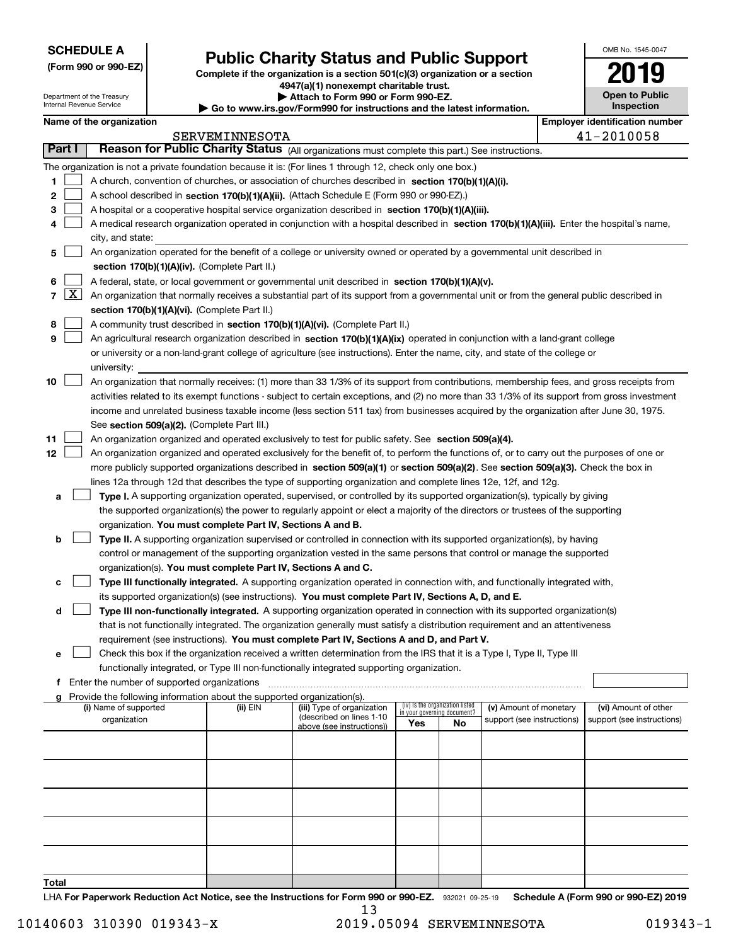**(Form 990 or 990-EZ)**

# **Public Charity Status and Public Support**

**Complete if the organization is a section 501(c)(3) organization or a section 4947(a)(1) nonexempt charitable trust.**

| OMB No. 1545-0047                   |
|-------------------------------------|
| 019                                 |
| <b>Open to Public</b><br>Inspection |

| Department of the Treasury<br>Internal Revenue Service |                    |                                               |  |                                                                                    | Attach to Form 990 or Form 990-EZ.<br>$\blacktriangleright$ Go to www.irs.gov/Form990 for instructions and the latest information.            |     |                                 |                            |  | <b>Open to Public</b><br>Inspection   |
|--------------------------------------------------------|--------------------|-----------------------------------------------|--|------------------------------------------------------------------------------------|-----------------------------------------------------------------------------------------------------------------------------------------------|-----|---------------------------------|----------------------------|--|---------------------------------------|
|                                                        |                    | Name of the organization                      |  |                                                                                    |                                                                                                                                               |     |                                 |                            |  | <b>Employer identification number</b> |
|                                                        | Part I             |                                               |  | SERVEMINNESOTA                                                                     |                                                                                                                                               |     |                                 |                            |  | 41-2010058                            |
|                                                        |                    |                                               |  |                                                                                    | Reason for Public Charity Status (All organizations must complete this part.) See instructions.                                               |     |                                 |                            |  |                                       |
|                                                        |                    |                                               |  |                                                                                    | The organization is not a private foundation because it is: (For lines 1 through 12, check only one box.)                                     |     |                                 |                            |  |                                       |
| 1                                                      |                    |                                               |  |                                                                                    | A church, convention of churches, or association of churches described in section 170(b)(1)(A)(i).                                            |     |                                 |                            |  |                                       |
| 2                                                      |                    |                                               |  |                                                                                    | A school described in section 170(b)(1)(A)(ii). (Attach Schedule E (Form 990 or 990-EZ).)                                                     |     |                                 |                            |  |                                       |
| 3                                                      |                    |                                               |  |                                                                                    | A hospital or a cooperative hospital service organization described in section 170(b)(1)(A)(iii).                                             |     |                                 |                            |  |                                       |
| 4                                                      |                    |                                               |  |                                                                                    | A medical research organization operated in conjunction with a hospital described in section 170(b)(1)(A)(iii). Enter the hospital's name,    |     |                                 |                            |  |                                       |
|                                                        |                    | city, and state:                              |  |                                                                                    |                                                                                                                                               |     |                                 |                            |  |                                       |
| 5                                                      |                    |                                               |  |                                                                                    | An organization operated for the benefit of a college or university owned or operated by a governmental unit described in                     |     |                                 |                            |  |                                       |
|                                                        |                    |                                               |  | section 170(b)(1)(A)(iv). (Complete Part II.)                                      |                                                                                                                                               |     |                                 |                            |  |                                       |
| 6<br>$\overline{7}$                                    | $\boxed{\text{X}}$ |                                               |  |                                                                                    | A federal, state, or local government or governmental unit described in section 170(b)(1)(A)(v).                                              |     |                                 |                            |  |                                       |
|                                                        |                    |                                               |  |                                                                                    | An organization that normally receives a substantial part of its support from a governmental unit or from the general public described in     |     |                                 |                            |  |                                       |
| 8                                                      |                    |                                               |  | section 170(b)(1)(A)(vi). (Complete Part II.)                                      | A community trust described in section 170(b)(1)(A)(vi). (Complete Part II.)                                                                  |     |                                 |                            |  |                                       |
| 9                                                      |                    |                                               |  |                                                                                    | An agricultural research organization described in section 170(b)(1)(A)(ix) operated in conjunction with a land-grant college                 |     |                                 |                            |  |                                       |
|                                                        |                    |                                               |  |                                                                                    | or university or a non-land-grant college of agriculture (see instructions). Enter the name, city, and state of the college or                |     |                                 |                            |  |                                       |
|                                                        |                    | university:                                   |  |                                                                                    |                                                                                                                                               |     |                                 |                            |  |                                       |
| 10                                                     |                    |                                               |  |                                                                                    | An organization that normally receives: (1) more than 33 1/3% of its support from contributions, membership fees, and gross receipts from     |     |                                 |                            |  |                                       |
|                                                        |                    |                                               |  |                                                                                    | activities related to its exempt functions - subject to certain exceptions, and (2) no more than 33 1/3% of its support from gross investment |     |                                 |                            |  |                                       |
|                                                        |                    |                                               |  |                                                                                    | income and unrelated business taxable income (less section 511 tax) from businesses acquired by the organization after June 30, 1975.         |     |                                 |                            |  |                                       |
|                                                        |                    |                                               |  | See section 509(a)(2). (Complete Part III.)                                        |                                                                                                                                               |     |                                 |                            |  |                                       |
| 11                                                     |                    |                                               |  |                                                                                    | An organization organized and operated exclusively to test for public safety. See section 509(a)(4).                                          |     |                                 |                            |  |                                       |
| 12                                                     |                    |                                               |  |                                                                                    | An organization organized and operated exclusively for the benefit of, to perform the functions of, or to carry out the purposes of one or    |     |                                 |                            |  |                                       |
|                                                        |                    |                                               |  |                                                                                    | more publicly supported organizations described in section 509(a)(1) or section 509(a)(2). See section 509(a)(3). Check the box in            |     |                                 |                            |  |                                       |
|                                                        |                    |                                               |  |                                                                                    | lines 12a through 12d that describes the type of supporting organization and complete lines 12e, 12f, and 12g.                                |     |                                 |                            |  |                                       |
| а                                                      |                    |                                               |  |                                                                                    | Type I. A supporting organization operated, supervised, or controlled by its supported organization(s), typically by giving                   |     |                                 |                            |  |                                       |
|                                                        |                    |                                               |  |                                                                                    | the supported organization(s) the power to regularly appoint or elect a majority of the directors or trustees of the supporting               |     |                                 |                            |  |                                       |
|                                                        |                    |                                               |  | organization. You must complete Part IV, Sections A and B.                         |                                                                                                                                               |     |                                 |                            |  |                                       |
| b                                                      |                    |                                               |  |                                                                                    | Type II. A supporting organization supervised or controlled in connection with its supported organization(s), by having                       |     |                                 |                            |  |                                       |
|                                                        |                    |                                               |  |                                                                                    | control or management of the supporting organization vested in the same persons that control or manage the supported                          |     |                                 |                            |  |                                       |
|                                                        |                    |                                               |  | organization(s). You must complete Part IV, Sections A and C.                      |                                                                                                                                               |     |                                 |                            |  |                                       |
| с                                                      |                    |                                               |  |                                                                                    | Type III functionally integrated. A supporting organization operated in connection with, and functionally integrated with,                    |     |                                 |                            |  |                                       |
|                                                        |                    |                                               |  |                                                                                    | its supported organization(s) (see instructions). You must complete Part IV, Sections A, D, and E.                                            |     |                                 |                            |  |                                       |
| d                                                      |                    |                                               |  |                                                                                    | Type III non-functionally integrated. A supporting organization operated in connection with its supported organization(s)                     |     |                                 |                            |  |                                       |
|                                                        |                    |                                               |  |                                                                                    | that is not functionally integrated. The organization generally must satisfy a distribution requirement and an attentiveness                  |     |                                 |                            |  |                                       |
|                                                        |                    |                                               |  |                                                                                    | requirement (see instructions). You must complete Part IV, Sections A and D, and Part V.                                                      |     |                                 |                            |  |                                       |
| е                                                      |                    |                                               |  |                                                                                    | Check this box if the organization received a written determination from the IRS that it is a Type I, Type II, Type III                       |     |                                 |                            |  |                                       |
|                                                        |                    |                                               |  |                                                                                    | functionally integrated, or Type III non-functionally integrated supporting organization.                                                     |     |                                 |                            |  |                                       |
|                                                        |                    | f Enter the number of supported organizations |  |                                                                                    |                                                                                                                                               |     |                                 |                            |  |                                       |
|                                                        |                    | (i) Name of supported                         |  | Provide the following information about the supported organization(s).<br>(ii) EIN | (iii) Type of organization                                                                                                                    |     | (iv) Is the organization listed | (v) Amount of monetary     |  | (vi) Amount of other                  |
|                                                        |                    | organization                                  |  |                                                                                    | (described on lines 1-10                                                                                                                      |     | in your governing document?     | support (see instructions) |  | support (see instructions)            |
|                                                        |                    |                                               |  |                                                                                    | above (see instructions))                                                                                                                     | Yes | No                              |                            |  |                                       |
|                                                        |                    |                                               |  |                                                                                    |                                                                                                                                               |     |                                 |                            |  |                                       |
|                                                        |                    |                                               |  |                                                                                    |                                                                                                                                               |     |                                 |                            |  |                                       |
|                                                        |                    |                                               |  |                                                                                    |                                                                                                                                               |     |                                 |                            |  |                                       |
|                                                        |                    |                                               |  |                                                                                    |                                                                                                                                               |     |                                 |                            |  |                                       |
|                                                        |                    |                                               |  |                                                                                    |                                                                                                                                               |     |                                 |                            |  |                                       |
|                                                        |                    |                                               |  |                                                                                    |                                                                                                                                               |     |                                 |                            |  |                                       |
|                                                        |                    |                                               |  |                                                                                    |                                                                                                                                               |     |                                 |                            |  |                                       |
|                                                        |                    |                                               |  |                                                                                    |                                                                                                                                               |     |                                 |                            |  |                                       |
|                                                        |                    |                                               |  |                                                                                    |                                                                                                                                               |     |                                 |                            |  |                                       |

**Total**

LHA For Paperwork Reduction Act Notice, see the Instructions for Form 990 or 990-EZ. 932021 09-25-19 Schedule A (Form 990 or 990-EZ) 2019 13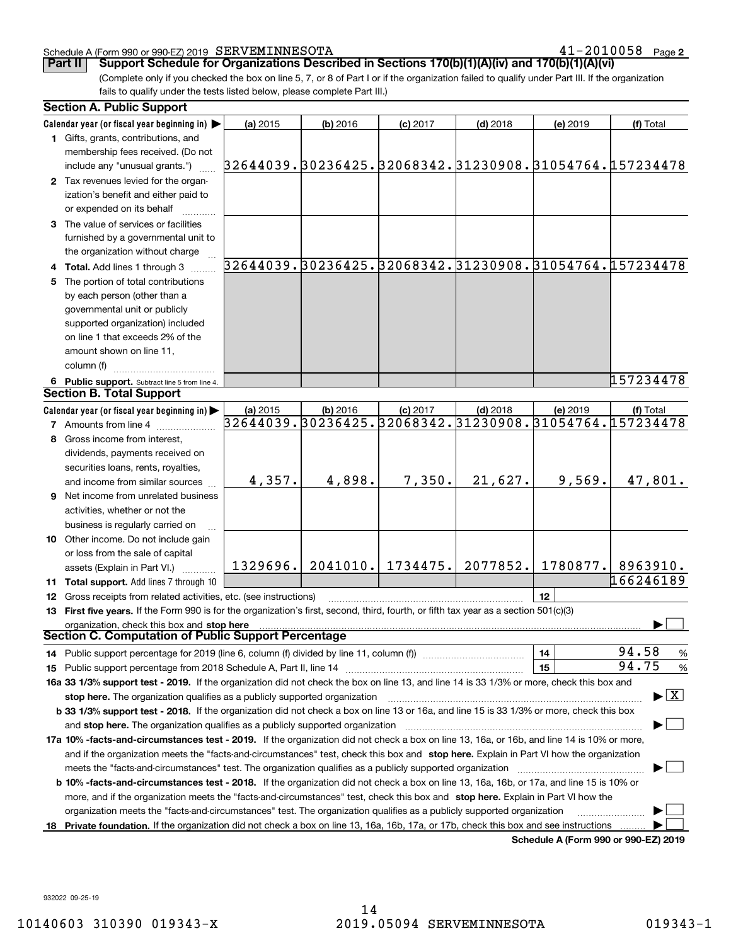### Schedule A (Form 990 or 990-EZ) 2019 Page SERVEMINNESOTA 41-2010058

41-2010058 Page 2

**Part II Support Schedule for Organizations Described in Sections 170(b)(1)(A)(iv) and 170(b)(1)(A)(vi)**

(Complete only if you checked the box on line 5, 7, or 8 of Part I or if the organization failed to qualify under Part III. If the organization fails to qualify under the tests listed below, please complete Part III.)

|    | <b>Section A. Public Support</b>                                                                                                               |                                                        |            |            |            |                                                        |                                                        |  |
|----|------------------------------------------------------------------------------------------------------------------------------------------------|--------------------------------------------------------|------------|------------|------------|--------------------------------------------------------|--------------------------------------------------------|--|
|    | Calendar year (or fiscal year beginning in)                                                                                                    | (a) 2015                                               | $(b)$ 2016 | $(c)$ 2017 | $(d)$ 2018 | (e) 2019                                               | (f) Total                                              |  |
|    | 1 Gifts, grants, contributions, and<br>membership fees received. (Do not                                                                       |                                                        |            |            |            |                                                        |                                                        |  |
|    | include any "unusual grants.")                                                                                                                 | 32644039.30236425.32068342.31230908.31054764.157234478 |            |            |            |                                                        |                                                        |  |
|    | 2 Tax revenues levied for the organ-<br>ization's benefit and either paid to                                                                   |                                                        |            |            |            |                                                        |                                                        |  |
|    | or expended on its behalf                                                                                                                      |                                                        |            |            |            |                                                        |                                                        |  |
|    | 3 The value of services or facilities                                                                                                          |                                                        |            |            |            |                                                        |                                                        |  |
|    | furnished by a governmental unit to                                                                                                            |                                                        |            |            |            |                                                        |                                                        |  |
|    | the organization without charge                                                                                                                |                                                        |            |            |            |                                                        |                                                        |  |
|    | 4 Total. Add lines 1 through 3                                                                                                                 |                                                        |            |            |            |                                                        | 32644039.30236425.32068342.31230908.31054764.157234478 |  |
| 5  | The portion of total contributions                                                                                                             |                                                        |            |            |            |                                                        |                                                        |  |
|    | by each person (other than a                                                                                                                   |                                                        |            |            |            |                                                        |                                                        |  |
|    | governmental unit or publicly                                                                                                                  |                                                        |            |            |            |                                                        |                                                        |  |
|    | supported organization) included                                                                                                               |                                                        |            |            |            |                                                        |                                                        |  |
|    | on line 1 that exceeds 2% of the                                                                                                               |                                                        |            |            |            |                                                        |                                                        |  |
|    | amount shown on line 11,                                                                                                                       |                                                        |            |            |            |                                                        |                                                        |  |
|    | column (f)                                                                                                                                     |                                                        |            |            |            |                                                        |                                                        |  |
|    | 6 Public support. Subtract line 5 from line 4.                                                                                                 |                                                        |            |            |            |                                                        | 157234478                                              |  |
|    | <b>Section B. Total Support</b>                                                                                                                |                                                        |            |            |            |                                                        |                                                        |  |
|    | Calendar year (or fiscal year beginning in)                                                                                                    | (a) 2015                                               | $(b)$ 2016 | (c) 2017   | $(d)$ 2018 | (e) 2019                                               | (f) Total                                              |  |
|    | <b>7</b> Amounts from line 4                                                                                                                   |                                                        |            |            |            | 32644039.30236425.32068342.31230908.31054764.157234478 |                                                        |  |
|    | 8 Gross income from interest,                                                                                                                  |                                                        |            |            |            |                                                        |                                                        |  |
|    | dividends, payments received on                                                                                                                |                                                        |            |            |            |                                                        |                                                        |  |
|    | securities loans, rents, royalties,                                                                                                            |                                                        |            |            |            |                                                        |                                                        |  |
|    | and income from similar sources                                                                                                                | 4,357.                                                 | 4,898.     | 7,350.     | 21,627.    | 9,569.                                                 | 47,801.                                                |  |
|    | <b>9</b> Net income from unrelated business                                                                                                    |                                                        |            |            |            |                                                        |                                                        |  |
|    | activities, whether or not the                                                                                                                 |                                                        |            |            |            |                                                        |                                                        |  |
|    | business is regularly carried on                                                                                                               |                                                        |            |            |            |                                                        |                                                        |  |
|    | 10 Other income. Do not include gain                                                                                                           |                                                        |            |            |            |                                                        |                                                        |  |
|    | or loss from the sale of capital                                                                                                               |                                                        |            |            |            |                                                        |                                                        |  |
|    | assets (Explain in Part VI.)                                                                                                                   | 1329696.                                               | 2041010.   | 1734475.   | 2077852.   | 1780877.                                               | 8963910.                                               |  |
|    | 11 Total support. Add lines 7 through 10                                                                                                       |                                                        |            |            |            |                                                        | 166246189                                              |  |
|    | 12 Gross receipts from related activities, etc. (see instructions)                                                                             |                                                        |            |            |            | 12                                                     |                                                        |  |
|    | 13 First five years. If the Form 990 is for the organization's first, second, third, fourth, or fifth tax year as a section 501(c)(3)          |                                                        |            |            |            |                                                        |                                                        |  |
|    | organization, check this box and stop here<br>Section C. Computation of Public Support Percentage                                              |                                                        |            |            |            |                                                        |                                                        |  |
|    |                                                                                                                                                |                                                        |            |            |            | 14                                                     | 94.58<br>%                                             |  |
|    |                                                                                                                                                |                                                        |            |            |            | 15                                                     | 94.75<br>%                                             |  |
|    | 16a 33 1/3% support test - 2019. If the organization did not check the box on line 13, and line 14 is 33 1/3% or more, check this box and      |                                                        |            |            |            |                                                        |                                                        |  |
|    | stop here. The organization qualifies as a publicly supported organization                                                                     |                                                        |            |            |            |                                                        | $\blacktriangleright$ $\boxed{\text{X}}$               |  |
|    | b 33 1/3% support test - 2018. If the organization did not check a box on line 13 or 16a, and line 15 is 33 1/3% or more, check this box       |                                                        |            |            |            |                                                        |                                                        |  |
|    | and <b>stop here.</b> The organization qualifies as a publicly supported organization                                                          |                                                        |            |            |            |                                                        |                                                        |  |
|    | 17a 10% -facts-and-circumstances test - 2019. If the organization did not check a box on line 13, 16a, or 16b, and line 14 is 10% or more,     |                                                        |            |            |            |                                                        |                                                        |  |
|    | and if the organization meets the "facts-and-circumstances" test, check this box and stop here. Explain in Part VI how the organization        |                                                        |            |            |            |                                                        |                                                        |  |
|    |                                                                                                                                                |                                                        |            |            |            |                                                        |                                                        |  |
|    | <b>b 10% -facts-and-circumstances test - 2018.</b> If the organization did not check a box on line 13, 16a, 16b, or 17a, and line 15 is 10% or |                                                        |            |            |            |                                                        |                                                        |  |
|    | more, and if the organization meets the "facts-and-circumstances" test, check this box and stop here. Explain in Part VI how the               |                                                        |            |            |            |                                                        |                                                        |  |
|    | organization meets the "facts-and-circumstances" test. The organization qualifies as a publicly supported organization                         |                                                        |            |            |            |                                                        |                                                        |  |
| 18 | Private foundation. If the organization did not check a box on line 13, 16a, 16b, 17a, or 17b, check this box and see instructions             |                                                        |            |            |            |                                                        |                                                        |  |
|    |                                                                                                                                                |                                                        |            |            |            | Schedule A (Form 990 or 990-EZ) 2019                   |                                                        |  |

932022 09-25-19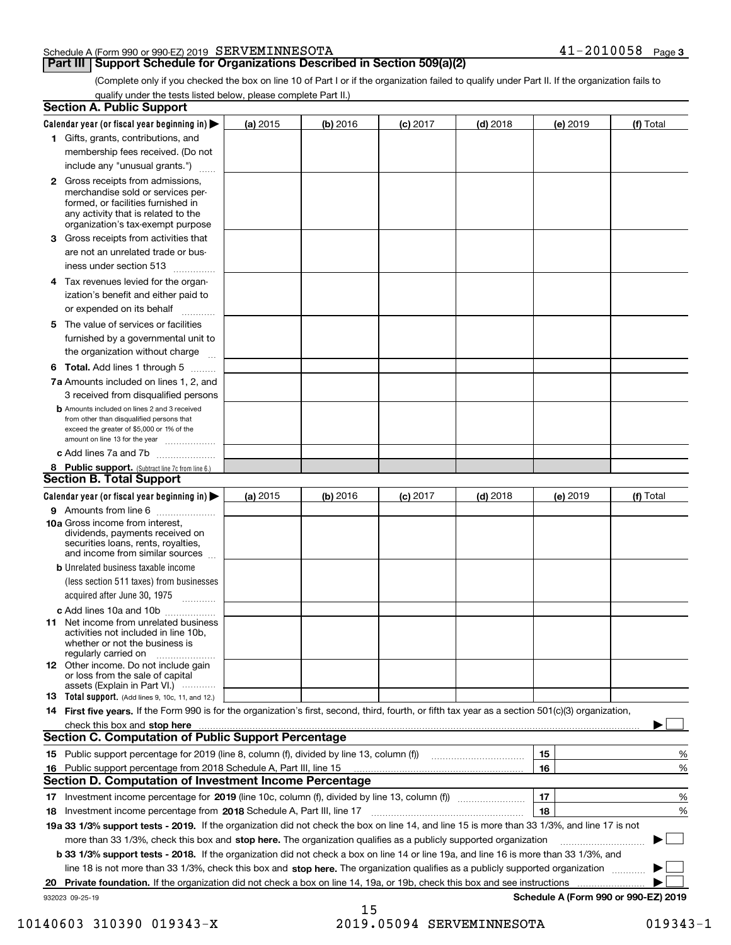### Schedule A (Form 990 or 990-EZ) 2019 Page SERVEMINNESOTA 41-2010058

# **Part III Support Schedule for Organizations Described in Section 509(a)(2)**

(Complete only if you checked the box on line 10 of Part I or if the organization failed to qualify under Part II. If the organization fails to qualify under the tests listed below, please complete Part II.)

|    | <b>Section A. Public Support</b>                                                                                                                                                                                                                                                             |          |          |            |            |                 |                                      |
|----|----------------------------------------------------------------------------------------------------------------------------------------------------------------------------------------------------------------------------------------------------------------------------------------------|----------|----------|------------|------------|-----------------|--------------------------------------|
|    | Calendar year (or fiscal year beginning in) $\blacktriangleright$                                                                                                                                                                                                                            | (a) 2015 | (b) 2016 | $(c)$ 2017 | $(d)$ 2018 | <b>(e)</b> 2019 | (f) Total                            |
|    | 1 Gifts, grants, contributions, and                                                                                                                                                                                                                                                          |          |          |            |            |                 |                                      |
|    | membership fees received. (Do not                                                                                                                                                                                                                                                            |          |          |            |            |                 |                                      |
|    | include any "unusual grants.")                                                                                                                                                                                                                                                               |          |          |            |            |                 |                                      |
|    | <b>2</b> Gross receipts from admissions,<br>merchandise sold or services per-<br>formed, or facilities furnished in<br>any activity that is related to the<br>organization's tax-exempt purpose                                                                                              |          |          |            |            |                 |                                      |
|    | 3 Gross receipts from activities that<br>are not an unrelated trade or bus-<br>iness under section 513                                                                                                                                                                                       |          |          |            |            |                 |                                      |
|    | 4 Tax revenues levied for the organ-<br>ization's benefit and either paid to<br>or expended on its behalf                                                                                                                                                                                    |          |          |            |            |                 |                                      |
|    | 5 The value of services or facilities<br>furnished by a governmental unit to<br>the organization without charge                                                                                                                                                                              |          |          |            |            |                 |                                      |
|    | <b>6 Total.</b> Add lines 1 through 5                                                                                                                                                                                                                                                        |          |          |            |            |                 |                                      |
|    | 7a Amounts included on lines 1, 2, and<br>3 received from disqualified persons                                                                                                                                                                                                               |          |          |            |            |                 |                                      |
|    | <b>b</b> Amounts included on lines 2 and 3 received<br>from other than disqualified persons that<br>exceed the greater of \$5,000 or 1% of the<br>amount on line 13 for the year                                                                                                             |          |          |            |            |                 |                                      |
|    | c Add lines 7a and 7b                                                                                                                                                                                                                                                                        |          |          |            |            |                 |                                      |
|    | 8 Public support. (Subtract line 7c from line 6.)<br><b>Section B. Total Support</b>                                                                                                                                                                                                         |          |          |            |            |                 |                                      |
|    | Calendar year (or fiscal year beginning in) $\blacktriangleright$                                                                                                                                                                                                                            | (a) 2015 | (b) 2016 | $(c)$ 2017 | $(d)$ 2018 | (e) 2019        | (f) Total                            |
|    | 9 Amounts from line 6                                                                                                                                                                                                                                                                        |          |          |            |            |                 |                                      |
|    | <b>10a</b> Gross income from interest,<br>dividends, payments received on<br>securities loans, rents, royalties,<br>and income from similar sources                                                                                                                                          |          |          |            |            |                 |                                      |
|    | <b>b</b> Unrelated business taxable income<br>(less section 511 taxes) from businesses<br>acquired after June 30, 1975                                                                                                                                                                       |          |          |            |            |                 |                                      |
|    | c Add lines 10a and 10b                                                                                                                                                                                                                                                                      |          |          |            |            |                 |                                      |
|    | 11 Net income from unrelated business<br>activities not included in line 10b,<br>whether or not the business is<br>regularly carried on                                                                                                                                                      |          |          |            |            |                 |                                      |
|    | <b>12</b> Other income. Do not include gain<br>or loss from the sale of capital<br>assets (Explain in Part VI.)                                                                                                                                                                              |          |          |            |            |                 |                                      |
|    | <b>13 Total support.</b> (Add lines 9, 10c, 11, and 12.)                                                                                                                                                                                                                                     |          |          |            |            |                 |                                      |
|    | 14 First five years. If the Form 990 is for the organization's first, second, third, fourth, or fifth tax year as a section 501(c)(3) organization,                                                                                                                                          |          |          |            |            |                 |                                      |
|    | check this box and stop here measurements are all the state of the state of the state of the state of the state of the state of the state of the state of the state of the state of the state of the state of the state of the<br><b>Section C. Computation of Public Support Percentage</b> |          |          |            |            |                 |                                      |
|    | 15 Public support percentage for 2019 (line 8, column (f), divided by line 13, column (f))                                                                                                                                                                                                   |          |          |            |            | 15              | %                                    |
|    | 16 Public support percentage from 2018 Schedule A, Part III, line 15                                                                                                                                                                                                                         |          |          |            |            | 16              | %                                    |
|    | <b>Section D. Computation of Investment Income Percentage</b>                                                                                                                                                                                                                                |          |          |            |            |                 |                                      |
|    | 17 Investment income percentage for 2019 (line 10c, column (f), divided by line 13, column (f))                                                                                                                                                                                              |          |          |            |            | 17              | %                                    |
|    | 18 Investment income percentage from 2018 Schedule A, Part III, line 17                                                                                                                                                                                                                      |          |          |            |            | 18              | %                                    |
|    | 19a 33 1/3% support tests - 2019. If the organization did not check the box on line 14, and line 15 is more than 33 1/3%, and line 17 is not                                                                                                                                                 |          |          |            |            |                 |                                      |
|    | more than 33 1/3%, check this box and stop here. The organization qualifies as a publicly supported organization                                                                                                                                                                             |          |          |            |            |                 | $\sim$                               |
|    | b 33 1/3% support tests - 2018. If the organization did not check a box on line 14 or line 19a, and line 16 is more than 33 1/3%, and                                                                                                                                                        |          |          |            |            |                 |                                      |
|    | line 18 is not more than 33 1/3%, check this box and stop here. The organization qualifies as a publicly supported organization                                                                                                                                                              |          |          |            |            |                 |                                      |
| 20 | Private foundation. If the organization did not check a box on line 14, 19a, or 19b, check this box and see instructions                                                                                                                                                                     |          |          |            |            |                 |                                      |
|    | 932023 09-25-19                                                                                                                                                                                                                                                                              |          |          |            |            |                 | Schedule A (Form 990 or 990-EZ) 2019 |
|    |                                                                                                                                                                                                                                                                                              |          | 15       |            |            |                 |                                      |

10140603 310390 019343-X 2019.05094 SERVEMINNESOTA 019343-1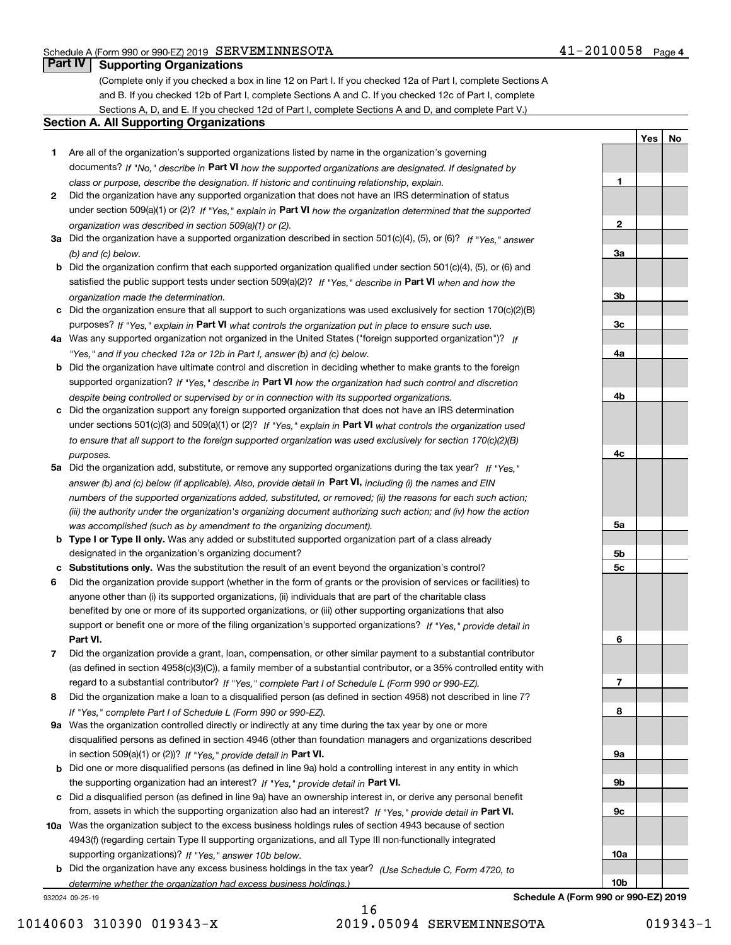**1**

**2**

**3a**

**3b**

**3c**

**4a**

**4b**

**4c**

**5a**

**5b5c**

**6**

**7**

**8**

**9a**

**9b**

**9c**

**10a**

**10b**

**Schedule A (Form 990 or 990-EZ) 2019**

**YesNo**

# **Part IV Supporting Organizations**

(Complete only if you checked a box in line 12 on Part I. If you checked 12a of Part I, complete Sections A and B. If you checked 12b of Part I, complete Sections A and C. If you checked 12c of Part I, complete Sections A, D, and E. If you checked 12d of Part I, complete Sections A and D, and complete Part V.)

### **Section A. All Supporting Organizations**

- **1** Are all of the organization's supported organizations listed by name in the organization's governing documents? If "No," describe in **Part VI** how the supported organizations are designated. If designated by *class or purpose, describe the designation. If historic and continuing relationship, explain.*
- **2** Did the organization have any supported organization that does not have an IRS determination of status under section 509(a)(1) or (2)? If "Yes," explain in Part VI how the organization determined that the supported *organization was described in section 509(a)(1) or (2).*
- **3a** Did the organization have a supported organization described in section 501(c)(4), (5), or (6)? If "Yes," answer *(b) and (c) below.*
- **b** Did the organization confirm that each supported organization qualified under section 501(c)(4), (5), or (6) and satisfied the public support tests under section 509(a)(2)? If "Yes," describe in **Part VI** when and how the *organization made the determination.*
- **c**Did the organization ensure that all support to such organizations was used exclusively for section 170(c)(2)(B) purposes? If "Yes," explain in **Part VI** what controls the organization put in place to ensure such use.
- **4a***If* Was any supported organization not organized in the United States ("foreign supported organization")? *"Yes," and if you checked 12a or 12b in Part I, answer (b) and (c) below.*
- **b** Did the organization have ultimate control and discretion in deciding whether to make grants to the foreign supported organization? If "Yes," describe in **Part VI** how the organization had such control and discretion *despite being controlled or supervised by or in connection with its supported organizations.*
- **c** Did the organization support any foreign supported organization that does not have an IRS determination under sections 501(c)(3) and 509(a)(1) or (2)? If "Yes," explain in **Part VI** what controls the organization used *to ensure that all support to the foreign supported organization was used exclusively for section 170(c)(2)(B) purposes.*
- **5a** Did the organization add, substitute, or remove any supported organizations during the tax year? If "Yes," answer (b) and (c) below (if applicable). Also, provide detail in **Part VI,** including (i) the names and EIN *numbers of the supported organizations added, substituted, or removed; (ii) the reasons for each such action; (iii) the authority under the organization's organizing document authorizing such action; and (iv) how the action was accomplished (such as by amendment to the organizing document).*
- **b** Type I or Type II only. Was any added or substituted supported organization part of a class already designated in the organization's organizing document?
- **cSubstitutions only.**  Was the substitution the result of an event beyond the organization's control?
- **6** Did the organization provide support (whether in the form of grants or the provision of services or facilities) to **Part VI.** *If "Yes," provide detail in* support or benefit one or more of the filing organization's supported organizations? anyone other than (i) its supported organizations, (ii) individuals that are part of the charitable class benefited by one or more of its supported organizations, or (iii) other supporting organizations that also
- **7**Did the organization provide a grant, loan, compensation, or other similar payment to a substantial contributor *If "Yes," complete Part I of Schedule L (Form 990 or 990-EZ).* regard to a substantial contributor? (as defined in section 4958(c)(3)(C)), a family member of a substantial contributor, or a 35% controlled entity with
- **8** Did the organization make a loan to a disqualified person (as defined in section 4958) not described in line 7? *If "Yes," complete Part I of Schedule L (Form 990 or 990-EZ).*
- **9a** Was the organization controlled directly or indirectly at any time during the tax year by one or more in section 509(a)(1) or (2))? If "Yes," *provide detail in* <code>Part VI.</code> disqualified persons as defined in section 4946 (other than foundation managers and organizations described
- **b** Did one or more disqualified persons (as defined in line 9a) hold a controlling interest in any entity in which the supporting organization had an interest? If "Yes," provide detail in P**art VI**.
- **c**Did a disqualified person (as defined in line 9a) have an ownership interest in, or derive any personal benefit from, assets in which the supporting organization also had an interest? If "Yes," provide detail in P**art VI.**
- **10a** Was the organization subject to the excess business holdings rules of section 4943 because of section supporting organizations)? If "Yes," answer 10b below. 4943(f) (regarding certain Type II supporting organizations, and all Type III non-functionally integrated
- **b** Did the organization have any excess business holdings in the tax year? (Use Schedule C, Form 4720, to *determine whether the organization had excess business holdings.)*

932024 09-25-19

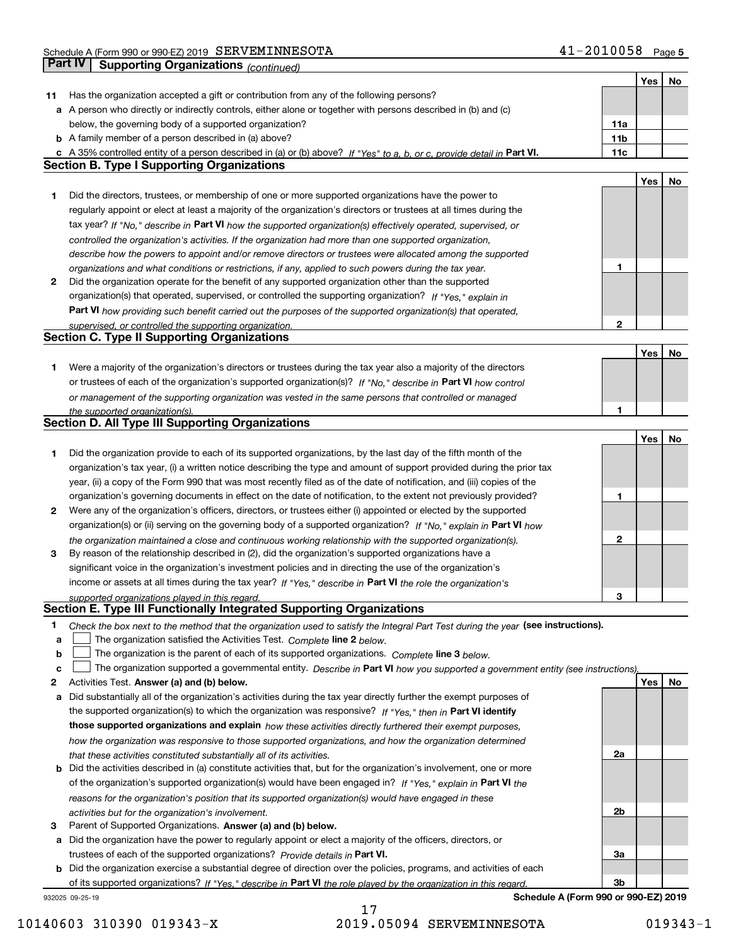|    |                                                                                                                                                                                                             |              | Yes | No |
|----|-------------------------------------------------------------------------------------------------------------------------------------------------------------------------------------------------------------|--------------|-----|----|
| 11 | Has the organization accepted a gift or contribution from any of the following persons?                                                                                                                     |              |     |    |
|    | a A person who directly or indirectly controls, either alone or together with persons described in (b) and (c)                                                                                              |              |     |    |
|    | below, the governing body of a supported organization?                                                                                                                                                      | 11a          |     |    |
|    | <b>b</b> A family member of a person described in (a) above?                                                                                                                                                | 11b          |     |    |
|    | c A 35% controlled entity of a person described in (a) or (b) above? If "Yes" to a, b, or c, provide detail in Part VI.                                                                                     | 11c          |     |    |
|    | <b>Section B. Type I Supporting Organizations</b>                                                                                                                                                           |              |     |    |
|    |                                                                                                                                                                                                             |              | Yes | No |
| 1  | Did the directors, trustees, or membership of one or more supported organizations have the power to                                                                                                         |              |     |    |
|    | regularly appoint or elect at least a majority of the organization's directors or trustees at all times during the                                                                                          |              |     |    |
|    | tax year? If "No," describe in Part VI how the supported organization(s) effectively operated, supervised, or                                                                                               |              |     |    |
|    | controlled the organization's activities. If the organization had more than one supported organization,                                                                                                     |              |     |    |
|    | describe how the powers to appoint and/or remove directors or trustees were allocated among the supported                                                                                                   |              |     |    |
|    | organizations and what conditions or restrictions, if any, applied to such powers during the tax year.                                                                                                      | 1            |     |    |
| 2  | Did the organization operate for the benefit of any supported organization other than the supported                                                                                                         |              |     |    |
|    | organization(s) that operated, supervised, or controlled the supporting organization? If "Yes," explain in                                                                                                  |              |     |    |
|    | Part VI how providing such benefit carried out the purposes of the supported organization(s) that operated,                                                                                                 |              |     |    |
|    | supervised, or controlled the supporting organization.                                                                                                                                                      | 2            |     |    |
|    | <b>Section C. Type II Supporting Organizations</b>                                                                                                                                                          |              |     |    |
|    |                                                                                                                                                                                                             |              | Yes | No |
| 1  | Were a majority of the organization's directors or trustees during the tax year also a majority of the directors                                                                                            |              |     |    |
|    | or trustees of each of the organization's supported organization(s)? If "No," describe in Part VI how control                                                                                               |              |     |    |
|    | or management of the supporting organization was vested in the same persons that controlled or managed                                                                                                      |              |     |    |
|    | the supported organization(s).                                                                                                                                                                              | 1            |     |    |
|    | <b>Section D. All Type III Supporting Organizations</b>                                                                                                                                                     |              |     |    |
|    |                                                                                                                                                                                                             |              | Yes | No |
| 1  | Did the organization provide to each of its supported organizations, by the last day of the fifth month of the                                                                                              |              |     |    |
|    | organization's tax year, (i) a written notice describing the type and amount of support provided during the prior tax                                                                                       |              |     |    |
|    | year, (ii) a copy of the Form 990 that was most recently filed as of the date of notification, and (iii) copies of the                                                                                      |              |     |    |
|    | organization's governing documents in effect on the date of notification, to the extent not previously provided?                                                                                            | 1            |     |    |
| 2  | Were any of the organization's officers, directors, or trustees either (i) appointed or elected by the supported                                                                                            |              |     |    |
|    | organization(s) or (ii) serving on the governing body of a supported organization? If "No," explain in Part VI how                                                                                          |              |     |    |
|    | the organization maintained a close and continuous working relationship with the supported organization(s).                                                                                                 | $\mathbf{2}$ |     |    |
| 3  | By reason of the relationship described in (2), did the organization's supported organizations have a                                                                                                       |              |     |    |
|    | significant voice in the organization's investment policies and in directing the use of the organization's                                                                                                  |              |     |    |
|    | income or assets at all times during the tax year? If "Yes," describe in Part VI the role the organization's                                                                                                |              |     |    |
|    | supported organizations played in this regard.<br>Section E. Type III Functionally Integrated Supporting Organizations                                                                                      | з            |     |    |
| 1  |                                                                                                                                                                                                             |              |     |    |
| a  | Check the box next to the method that the organization used to satisfy the Integral Part Test during the year (see instructions).<br>The organization satisfied the Activities Test. Complete line 2 below. |              |     |    |
| b  | The organization is the parent of each of its supported organizations. Complete line 3 below.                                                                                                               |              |     |    |
| c  | The organization supported a governmental entity. Describe in Part VI how you supported a government entity (see instructions).                                                                             |              |     |    |
| 2  | Activities Test. Answer (a) and (b) below.                                                                                                                                                                  |              | Yes | No |
| а  | Did substantially all of the organization's activities during the tax year directly further the exempt purposes of                                                                                          |              |     |    |
|    | the supported organization(s) to which the organization was responsive? If "Yes," then in Part VI identify                                                                                                  |              |     |    |
|    | those supported organizations and explain how these activities directly furthered their exempt purposes,                                                                                                    |              |     |    |
|    | how the organization was responsive to those supported organizations, and how the organization determined                                                                                                   |              |     |    |
|    | that these activities constituted substantially all of its activities.                                                                                                                                      | 2a           |     |    |
|    | <b>b</b> Did the activities described in (a) constitute activities that, but for the organization's involvement, one or more                                                                                |              |     |    |
|    | of the organization's supported organization(s) would have been engaged in? If "Yes," explain in Part VI the                                                                                                |              |     |    |
|    | reasons for the organization's position that its supported organization(s) would have engaged in these                                                                                                      |              |     |    |
|    | activities but for the organization's involvement.                                                                                                                                                          | 2b           |     |    |
| 3  | Parent of Supported Organizations. Answer (a) and (b) below.                                                                                                                                                |              |     |    |
| а  | Did the organization have the power to regularly appoint or elect a majority of the officers, directors, or                                                                                                 |              |     |    |
|    | trustees of each of the supported organizations? Provide details in Part VI.                                                                                                                                | За           |     |    |
|    | <b>b</b> Did the organization exercise a substantial degree of direction over the policies, programs, and activities of each                                                                                |              |     |    |
|    | of its supported organizations? If "Yes," describe in Part VI the role played by the organization in this regard                                                                                            | Зb           |     |    |
|    | Schedule A (Form 990 or 990-EZ) 2019<br>932025 09-25-19                                                                                                                                                     |              |     |    |

10140603 310390 019343-X 2019.05094 SERVEMINNESOTA 019343-1

17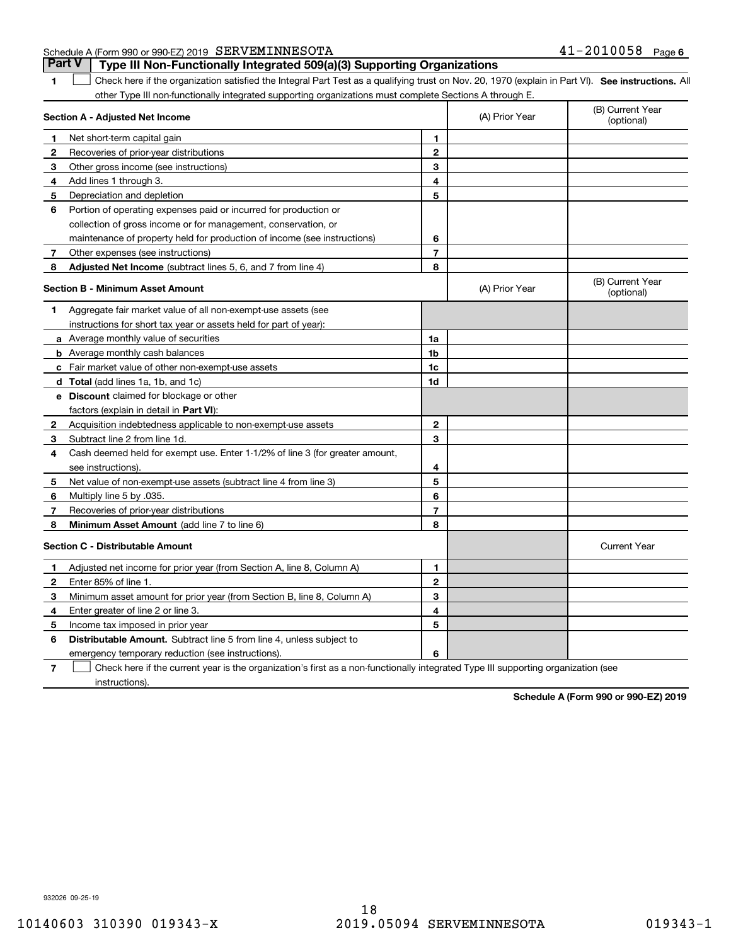|  | Schedule A (Form 990 or 990-EZ) 2019 SERVEMINNESOTA                                     | $41 - 2010058$ Page 6 |  |
|--|-----------------------------------------------------------------------------------------|-----------------------|--|
|  | <b>Part V</b>   Type III Non-Functionally Integrated 509(a)(3) Supporting Organizations |                       |  |

**1**

1 Check here if the organization satisfied the Integral Part Test as a qualifying trust on Nov. 20, 1970 (explain in Part VI). See instructions. All other Type III non-functionally integrated supporting organizations must complete Sections A through E.

|    | Section A - Adjusted Net Income                                              | (A) Prior Year | (B) Current Year<br>(optional) |                                |
|----|------------------------------------------------------------------------------|----------------|--------------------------------|--------------------------------|
| 1. | Net short-term capital gain                                                  | 1              |                                |                                |
| 2  | Recoveries of prior-year distributions                                       | $\overline{2}$ |                                |                                |
| 3  | Other gross income (see instructions)                                        | 3              |                                |                                |
| 4  | Add lines 1 through 3.                                                       | 4              |                                |                                |
| 5  | Depreciation and depletion                                                   | 5              |                                |                                |
| 6  | Portion of operating expenses paid or incurred for production or             |                |                                |                                |
|    | collection of gross income or for management, conservation, or               |                |                                |                                |
|    | maintenance of property held for production of income (see instructions)     | 6              |                                |                                |
| 7  | Other expenses (see instructions)                                            | $\overline{7}$ |                                |                                |
| 8  | Adjusted Net Income (subtract lines 5, 6, and 7 from line 4)                 | 8              |                                |                                |
|    | <b>Section B - Minimum Asset Amount</b>                                      |                | (A) Prior Year                 | (B) Current Year<br>(optional) |
| 1  | Aggregate fair market value of all non-exempt-use assets (see                |                |                                |                                |
|    | instructions for short tax year or assets held for part of year):            |                |                                |                                |
|    | a Average monthly value of securities                                        | 1a             |                                |                                |
|    | <b>b</b> Average monthly cash balances                                       | 1b             |                                |                                |
|    | c Fair market value of other non-exempt-use assets                           | 1c             |                                |                                |
|    | d Total (add lines 1a, 1b, and 1c)                                           | 1d             |                                |                                |
|    | e Discount claimed for blockage or other                                     |                |                                |                                |
|    | factors (explain in detail in Part VI):                                      |                |                                |                                |
| 2  | Acquisition indebtedness applicable to non-exempt-use assets                 | $\mathbf{2}$   |                                |                                |
| 3  | Subtract line 2 from line 1d.                                                | 3              |                                |                                |
| 4  | Cash deemed held for exempt use. Enter 1-1/2% of line 3 (for greater amount, |                |                                |                                |
|    | see instructions).                                                           | 4              |                                |                                |
| 5  | Net value of non-exempt-use assets (subtract line 4 from line 3)             | 5              |                                |                                |
| 6  | Multiply line 5 by .035.                                                     | 6              |                                |                                |
| 7  | Recoveries of prior-year distributions                                       | $\overline{7}$ |                                |                                |
| 8  | Minimum Asset Amount (add line 7 to line 6)                                  | 8              |                                |                                |
|    | <b>Section C - Distributable Amount</b>                                      |                |                                | <b>Current Year</b>            |
| 1  | Adjusted net income for prior year (from Section A, line 8, Column A)        | 1              |                                |                                |
| 2  | Enter 85% of line 1.                                                         | $\overline{2}$ |                                |                                |
| 3  | Minimum asset amount for prior year (from Section B, line 8, Column A)       | 3              |                                |                                |
| 4  | Enter greater of line 2 or line 3.                                           | 4              |                                |                                |
| 5  | Income tax imposed in prior year                                             | 5              |                                |                                |
| 6  | <b>Distributable Amount.</b> Subtract line 5 from line 4, unless subject to  |                |                                |                                |
|    | emergency temporary reduction (see instructions).                            | 6              |                                |                                |
|    |                                                                              |                |                                |                                |

**7**Check here if the current year is the organization's first as a non-functionally integrated Type III supporting organization (see instructions).

**Schedule A (Form 990 or 990-EZ) 2019**

932026 09-25-19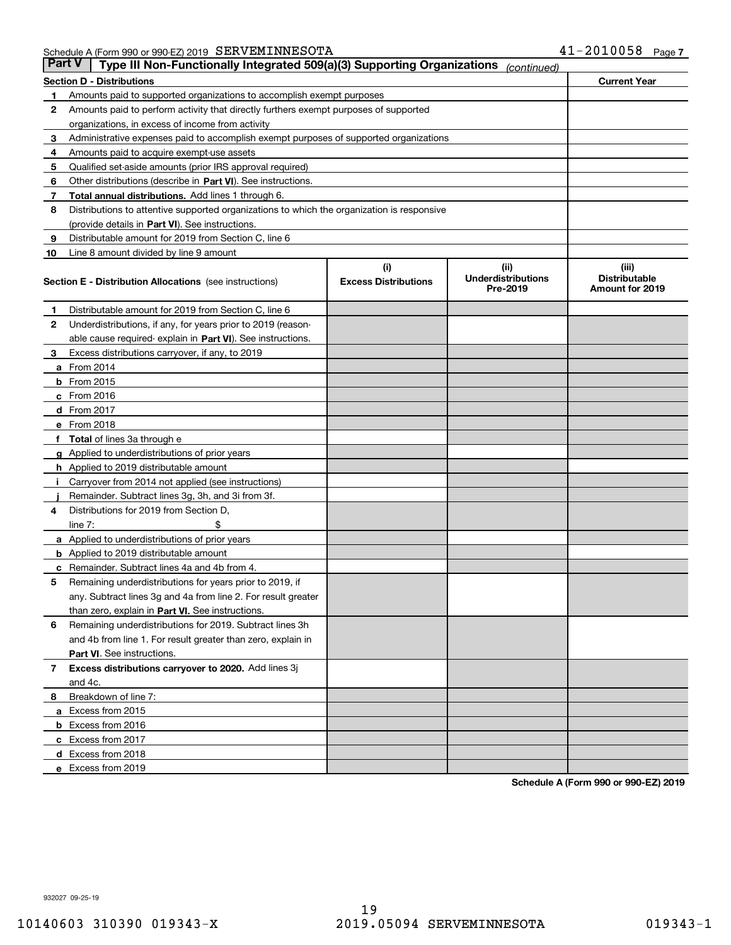Schedule A (Form 990 or 990-EZ) 2019 Page SERVEMINNESOTA 41-2010058

| Part V | Type III Non-Functionally Integrated 509(a)(3) Supporting Organizations                     |                             | (continued)                           |                                         |  |  |  |  |  |
|--------|---------------------------------------------------------------------------------------------|-----------------------------|---------------------------------------|-----------------------------------------|--|--|--|--|--|
|        | Section D - Distributions                                                                   |                             |                                       | <b>Current Year</b>                     |  |  |  |  |  |
| 1      | Amounts paid to supported organizations to accomplish exempt purposes                       |                             |                                       |                                         |  |  |  |  |  |
| 2      | Amounts paid to perform activity that directly furthers exempt purposes of supported        |                             |                                       |                                         |  |  |  |  |  |
|        | organizations, in excess of income from activity                                            |                             |                                       |                                         |  |  |  |  |  |
| 3      | Administrative expenses paid to accomplish exempt purposes of supported organizations       |                             |                                       |                                         |  |  |  |  |  |
| 4      | Amounts paid to acquire exempt-use assets                                                   |                             |                                       |                                         |  |  |  |  |  |
| 5      | Qualified set-aside amounts (prior IRS approval required)                                   |                             |                                       |                                         |  |  |  |  |  |
| 6      | Other distributions (describe in Part VI). See instructions.                                |                             |                                       |                                         |  |  |  |  |  |
| 7      | <b>Total annual distributions.</b> Add lines 1 through 6.                                   |                             |                                       |                                         |  |  |  |  |  |
| 8      | Distributions to attentive supported organizations to which the organization is responsive  |                             |                                       |                                         |  |  |  |  |  |
|        | (provide details in Part VI). See instructions.                                             |                             |                                       |                                         |  |  |  |  |  |
| 9      | Distributable amount for 2019 from Section C, line 6                                        |                             |                                       |                                         |  |  |  |  |  |
| 10     | Line 8 amount divided by line 9 amount                                                      |                             |                                       |                                         |  |  |  |  |  |
|        |                                                                                             | (i)                         | (iii)                                 | (iii)                                   |  |  |  |  |  |
|        | <b>Section E - Distribution Allocations</b> (see instructions)                              | <b>Excess Distributions</b> | <b>Underdistributions</b><br>Pre-2019 | <b>Distributable</b><br>Amount for 2019 |  |  |  |  |  |
| 1      | Distributable amount for 2019 from Section C, line 6                                        |                             |                                       |                                         |  |  |  |  |  |
| 2      | Underdistributions, if any, for years prior to 2019 (reason-                                |                             |                                       |                                         |  |  |  |  |  |
|        | able cause required- explain in Part VI). See instructions.                                 |                             |                                       |                                         |  |  |  |  |  |
| З      | Excess distributions carryover, if any, to 2019                                             |                             |                                       |                                         |  |  |  |  |  |
|        | <b>a</b> From 2014                                                                          |                             |                                       |                                         |  |  |  |  |  |
|        | <b>b</b> From $2015$                                                                        |                             |                                       |                                         |  |  |  |  |  |
|        | c From 2016                                                                                 |                             |                                       |                                         |  |  |  |  |  |
|        | <b>d</b> From 2017                                                                          |                             |                                       |                                         |  |  |  |  |  |
|        | e From 2018                                                                                 |                             |                                       |                                         |  |  |  |  |  |
|        | <b>Total</b> of lines 3a through e                                                          |                             |                                       |                                         |  |  |  |  |  |
|        | <b>g</b> Applied to underdistributions of prior years                                       |                             |                                       |                                         |  |  |  |  |  |
|        | <b>h</b> Applied to 2019 distributable amount                                               |                             |                                       |                                         |  |  |  |  |  |
|        | Carryover from 2014 not applied (see instructions)                                          |                             |                                       |                                         |  |  |  |  |  |
|        | Remainder. Subtract lines 3g, 3h, and 3i from 3f.                                           |                             |                                       |                                         |  |  |  |  |  |
| 4      | Distributions for 2019 from Section D,                                                      |                             |                                       |                                         |  |  |  |  |  |
|        | line $7:$                                                                                   |                             |                                       |                                         |  |  |  |  |  |
|        | <b>a</b> Applied to underdistributions of prior years                                       |                             |                                       |                                         |  |  |  |  |  |
|        | <b>b</b> Applied to 2019 distributable amount                                               |                             |                                       |                                         |  |  |  |  |  |
| c      | Remainder. Subtract lines 4a and 4b from 4.                                                 |                             |                                       |                                         |  |  |  |  |  |
| 5      | Remaining underdistributions for years prior to 2019, if                                    |                             |                                       |                                         |  |  |  |  |  |
|        | any. Subtract lines 3g and 4a from line 2. For result greater                               |                             |                                       |                                         |  |  |  |  |  |
|        | than zero, explain in Part VI. See instructions.                                            |                             |                                       |                                         |  |  |  |  |  |
| 6      | Remaining underdistributions for 2019. Subtract lines 3h                                    |                             |                                       |                                         |  |  |  |  |  |
|        | and 4b from line 1. For result greater than zero, explain in                                |                             |                                       |                                         |  |  |  |  |  |
|        | <b>Part VI.</b> See instructions.                                                           |                             |                                       |                                         |  |  |  |  |  |
| 7      | Excess distributions carryover to 2020. Add lines 3j                                        |                             |                                       |                                         |  |  |  |  |  |
|        | and 4c.                                                                                     |                             |                                       |                                         |  |  |  |  |  |
| 8      | Breakdown of line 7:                                                                        |                             |                                       |                                         |  |  |  |  |  |
|        | a Excess from 2015                                                                          |                             |                                       |                                         |  |  |  |  |  |
|        |                                                                                             |                             |                                       |                                         |  |  |  |  |  |
|        |                                                                                             |                             |                                       |                                         |  |  |  |  |  |
|        |                                                                                             |                             |                                       |                                         |  |  |  |  |  |
|        |                                                                                             |                             |                                       |                                         |  |  |  |  |  |
|        | <b>b</b> Excess from 2016<br>c Excess from 2017<br>d Excess from 2018<br>e Excess from 2019 |                             |                                       |                                         |  |  |  |  |  |

**Schedule A (Form 990 or 990-EZ) 2019**

932027 09-25-19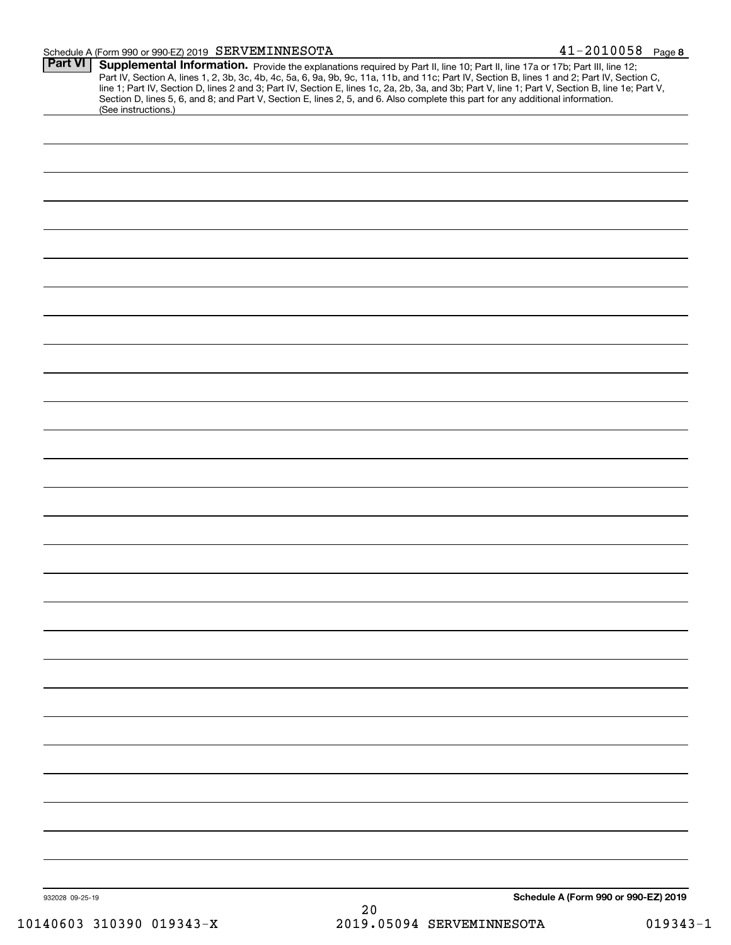#### Schedule A (Form 990 or 990-EZ) 2019 Page SERVEMINNESOTA 41-2010058

| <b>Part VI</b>  | Supplemental Information. Provide the explanations required by Part II, line 10; Part II, line 17a or 17b; Part III, line 12;<br>Part IV, Section A, lines 1, 2, 3b, 3c, 4b, 4c, 5a, 6, 9a, 9b, 9c, 11a, 11b, and 11c; Part IV, Section B, lines 1 and 2; Part IV, Section C,<br>line 1; Part IV, Section D, lines 2 and 3; Part IV, Section E, lines 1c, 2a, 2b, 3a, and 3b; Part V, line 1; Part V, Section B, line 1e; Part V,<br>Section D, lines 5, 6, and 8; and Part V, Section E, lines 2, 5, and 6. Also complete this part for any additional information.<br>(See instructions.) |                                      |
|-----------------|---------------------------------------------------------------------------------------------------------------------------------------------------------------------------------------------------------------------------------------------------------------------------------------------------------------------------------------------------------------------------------------------------------------------------------------------------------------------------------------------------------------------------------------------------------------------------------------------|--------------------------------------|
|                 |                                                                                                                                                                                                                                                                                                                                                                                                                                                                                                                                                                                             |                                      |
|                 |                                                                                                                                                                                                                                                                                                                                                                                                                                                                                                                                                                                             |                                      |
|                 |                                                                                                                                                                                                                                                                                                                                                                                                                                                                                                                                                                                             |                                      |
|                 |                                                                                                                                                                                                                                                                                                                                                                                                                                                                                                                                                                                             |                                      |
|                 |                                                                                                                                                                                                                                                                                                                                                                                                                                                                                                                                                                                             |                                      |
|                 |                                                                                                                                                                                                                                                                                                                                                                                                                                                                                                                                                                                             |                                      |
|                 |                                                                                                                                                                                                                                                                                                                                                                                                                                                                                                                                                                                             |                                      |
|                 |                                                                                                                                                                                                                                                                                                                                                                                                                                                                                                                                                                                             |                                      |
|                 |                                                                                                                                                                                                                                                                                                                                                                                                                                                                                                                                                                                             |                                      |
|                 |                                                                                                                                                                                                                                                                                                                                                                                                                                                                                                                                                                                             |                                      |
|                 |                                                                                                                                                                                                                                                                                                                                                                                                                                                                                                                                                                                             |                                      |
|                 |                                                                                                                                                                                                                                                                                                                                                                                                                                                                                                                                                                                             |                                      |
|                 |                                                                                                                                                                                                                                                                                                                                                                                                                                                                                                                                                                                             |                                      |
|                 |                                                                                                                                                                                                                                                                                                                                                                                                                                                                                                                                                                                             |                                      |
|                 |                                                                                                                                                                                                                                                                                                                                                                                                                                                                                                                                                                                             |                                      |
|                 |                                                                                                                                                                                                                                                                                                                                                                                                                                                                                                                                                                                             |                                      |
|                 |                                                                                                                                                                                                                                                                                                                                                                                                                                                                                                                                                                                             |                                      |
|                 |                                                                                                                                                                                                                                                                                                                                                                                                                                                                                                                                                                                             |                                      |
|                 |                                                                                                                                                                                                                                                                                                                                                                                                                                                                                                                                                                                             |                                      |
|                 |                                                                                                                                                                                                                                                                                                                                                                                                                                                                                                                                                                                             |                                      |
|                 |                                                                                                                                                                                                                                                                                                                                                                                                                                                                                                                                                                                             |                                      |
|                 |                                                                                                                                                                                                                                                                                                                                                                                                                                                                                                                                                                                             |                                      |
|                 |                                                                                                                                                                                                                                                                                                                                                                                                                                                                                                                                                                                             |                                      |
|                 |                                                                                                                                                                                                                                                                                                                                                                                                                                                                                                                                                                                             |                                      |
|                 |                                                                                                                                                                                                                                                                                                                                                                                                                                                                                                                                                                                             |                                      |
|                 |                                                                                                                                                                                                                                                                                                                                                                                                                                                                                                                                                                                             |                                      |
|                 |                                                                                                                                                                                                                                                                                                                                                                                                                                                                                                                                                                                             |                                      |
|                 |                                                                                                                                                                                                                                                                                                                                                                                                                                                                                                                                                                                             |                                      |
|                 |                                                                                                                                                                                                                                                                                                                                                                                                                                                                                                                                                                                             |                                      |
|                 |                                                                                                                                                                                                                                                                                                                                                                                                                                                                                                                                                                                             |                                      |
|                 |                                                                                                                                                                                                                                                                                                                                                                                                                                                                                                                                                                                             |                                      |
|                 |                                                                                                                                                                                                                                                                                                                                                                                                                                                                                                                                                                                             |                                      |
|                 |                                                                                                                                                                                                                                                                                                                                                                                                                                                                                                                                                                                             |                                      |
|                 |                                                                                                                                                                                                                                                                                                                                                                                                                                                                                                                                                                                             |                                      |
| 932028 09-25-19 | 20                                                                                                                                                                                                                                                                                                                                                                                                                                                                                                                                                                                          | Schedule A (Form 990 or 990-EZ) 2019 |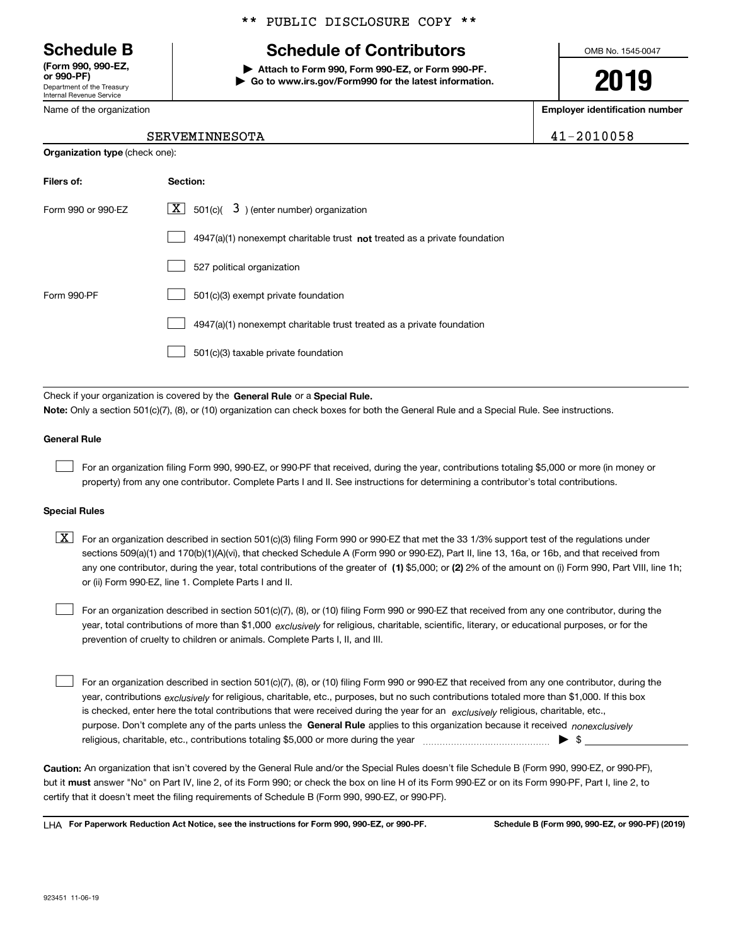Department of the Treasury Internal Revenue Service **(Form 990, 990-EZ, or 990-PF)**

Name of the organization

### \*\* PUBLIC DISCLOSURE COPY \*\*

# **Schedule B Schedule of Contributors**

**| Attach to Form 990, Form 990-EZ, or Form 990-PF. | Go to www.irs.gov/Form990 for the latest information.** OMB No. 1545-0047

**2019**

**Employer identification number**

SERVEMINNESOTA 41-2010058

| <b>Organization type (check one):</b>                                              |  |  |  |  |  |  |
|------------------------------------------------------------------------------------|--|--|--|--|--|--|
| Section:                                                                           |  |  |  |  |  |  |
| $\underline{X}$ 501(c)( 3) (enter number) organization                             |  |  |  |  |  |  |
| $4947(a)(1)$ nonexempt charitable trust <b>not</b> treated as a private foundation |  |  |  |  |  |  |
| 527 political organization                                                         |  |  |  |  |  |  |
| 501(c)(3) exempt private foundation                                                |  |  |  |  |  |  |
| 4947(a)(1) nonexempt charitable trust treated as a private foundation              |  |  |  |  |  |  |
| 501(c)(3) taxable private foundation                                               |  |  |  |  |  |  |
|                                                                                    |  |  |  |  |  |  |

Check if your organization is covered by the **General Rule** or a **Special Rule. Note:**  Only a section 501(c)(7), (8), or (10) organization can check boxes for both the General Rule and a Special Rule. See instructions.

### **General Rule**

 $\mathcal{L}^{\text{max}}$ 

For an organization filing Form 990, 990-EZ, or 990-PF that received, during the year, contributions totaling \$5,000 or more (in money or property) from any one contributor. Complete Parts I and II. See instructions for determining a contributor's total contributions.

### **Special Rules**

any one contributor, during the year, total contributions of the greater of  $\,$  (1) \$5,000; or **(2)** 2% of the amount on (i) Form 990, Part VIII, line 1h;  $\boxed{\textbf{X}}$  For an organization described in section 501(c)(3) filing Form 990 or 990-EZ that met the 33 1/3% support test of the regulations under sections 509(a)(1) and 170(b)(1)(A)(vi), that checked Schedule A (Form 990 or 990-EZ), Part II, line 13, 16a, or 16b, and that received from or (ii) Form 990-EZ, line 1. Complete Parts I and II.

year, total contributions of more than \$1,000 *exclusively* for religious, charitable, scientific, literary, or educational purposes, or for the For an organization described in section 501(c)(7), (8), or (10) filing Form 990 or 990-EZ that received from any one contributor, during the prevention of cruelty to children or animals. Complete Parts I, II, and III.  $\mathcal{L}^{\text{max}}$ 

purpose. Don't complete any of the parts unless the **General Rule** applies to this organization because it received *nonexclusively* year, contributions <sub>exclusively</sub> for religious, charitable, etc., purposes, but no such contributions totaled more than \$1,000. If this box is checked, enter here the total contributions that were received during the year for an  $\;$ exclusively religious, charitable, etc., For an organization described in section 501(c)(7), (8), or (10) filing Form 990 or 990-EZ that received from any one contributor, during the religious, charitable, etc., contributions totaling \$5,000 or more during the year  $\Box$ — $\Box$   $\Box$  $\mathcal{L}^{\text{max}}$ 

**Caution:**  An organization that isn't covered by the General Rule and/or the Special Rules doesn't file Schedule B (Form 990, 990-EZ, or 990-PF),  **must** but it answer "No" on Part IV, line 2, of its Form 990; or check the box on line H of its Form 990-EZ or on its Form 990-PF, Part I, line 2, to certify that it doesn't meet the filing requirements of Schedule B (Form 990, 990-EZ, or 990-PF).

**For Paperwork Reduction Act Notice, see the instructions for Form 990, 990-EZ, or 990-PF. Schedule B (Form 990, 990-EZ, or 990-PF) (2019)** LHA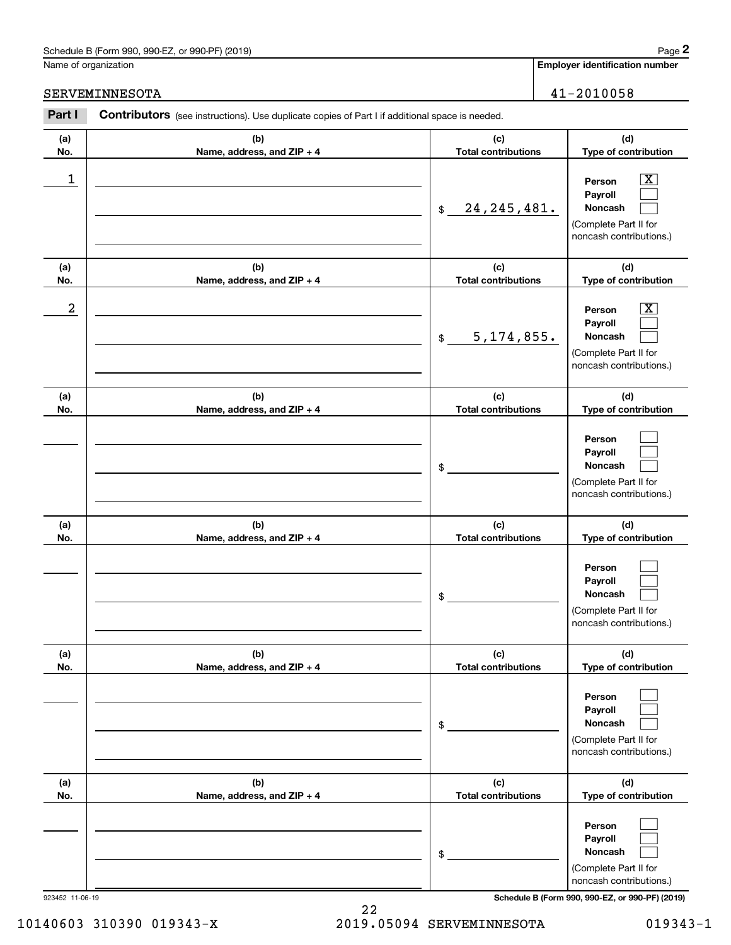# Schedule B (Form 990, 990-EZ, or 990-PF) (2019) Page 2

Name of organization

## SERVEMINNESOTA 11-2010058

|                  | chedule B (Form 990, 990-EZ, or 990-PF) (2019)                                                 |                                   | Page 2                                                                                                    |
|------------------|------------------------------------------------------------------------------------------------|-----------------------------------|-----------------------------------------------------------------------------------------------------------|
|                  | lame of organization                                                                           |                                   | <b>Employer identification number</b>                                                                     |
|                  | <b>ERVEMINNESOTA</b>                                                                           |                                   | 41-2010058                                                                                                |
| Part I           | Contributors (see instructions). Use duplicate copies of Part I if additional space is needed. |                                   |                                                                                                           |
| (a)<br>No.       | (b)<br>Name, address, and ZIP + 4                                                              | (c)<br><b>Total contributions</b> | (d)<br>Type of contribution                                                                               |
| 1                |                                                                                                | 24, 245, 481.<br>$$\mathbb{S}$$   | $\overline{\text{X}}$<br>Person<br>Payroll<br>Noncash<br>(Complete Part II for<br>noncash contributions.) |
| (a)<br>No.       | (b)<br>Name, address, and ZIP + 4                                                              | (c)<br><b>Total contributions</b> | (d)<br>Type of contribution                                                                               |
| $\boldsymbol{2}$ |                                                                                                | 5, 174, 855.<br>$$\mathbb{S}$$    | $\overline{\text{X}}$<br>Person<br>Payroll<br>Noncash<br>(Complete Part II for<br>noncash contributions.) |
| (a)<br>No.       | (b)<br>Name, address, and ZIP + 4                                                              | (c)<br><b>Total contributions</b> | (d)<br>Type of contribution                                                                               |
|                  |                                                                                                | \$                                | Person<br>Payroll<br>Noncash<br>(Complete Part II for<br>noncash contributions.)                          |
| (a)<br>No.       | (b)<br>Name, address, and ZIP + 4                                                              | (c)<br><b>Total contributions</b> | (d)<br>Type of contribution                                                                               |
|                  |                                                                                                | \$                                | Person<br>Payroll<br>Noncash<br>(Complete Part II for<br>noncash contributions.)                          |
| (a)<br>No.       | (b)<br>Name, address, and ZIP + 4                                                              | (c)<br><b>Total contributions</b> | (d)<br>Type of contribution                                                                               |
|                  |                                                                                                | \$                                | Person<br>Payroll<br>Noncash<br>(Complete Part II for<br>noncash contributions.)                          |
| (a)<br>No.       | (b)<br>Name, address, and ZIP + 4                                                              | (c)<br><b>Total contributions</b> | (d)<br>Type of contribution                                                                               |
|                  |                                                                                                |                                   | Person<br>Payroll                                                                                         |

(Complete Part II for noncash contributions.)

 $\mathcal{L}^{\text{max}}$ 

**Noncash**

923452 11-06-19 **Schedule B (Form 990, 990-EZ, or 990-PF) (2019)**

22 10140603 310390 019343-X 2019.05094 SERVEMINNESOTA 019343-1

\$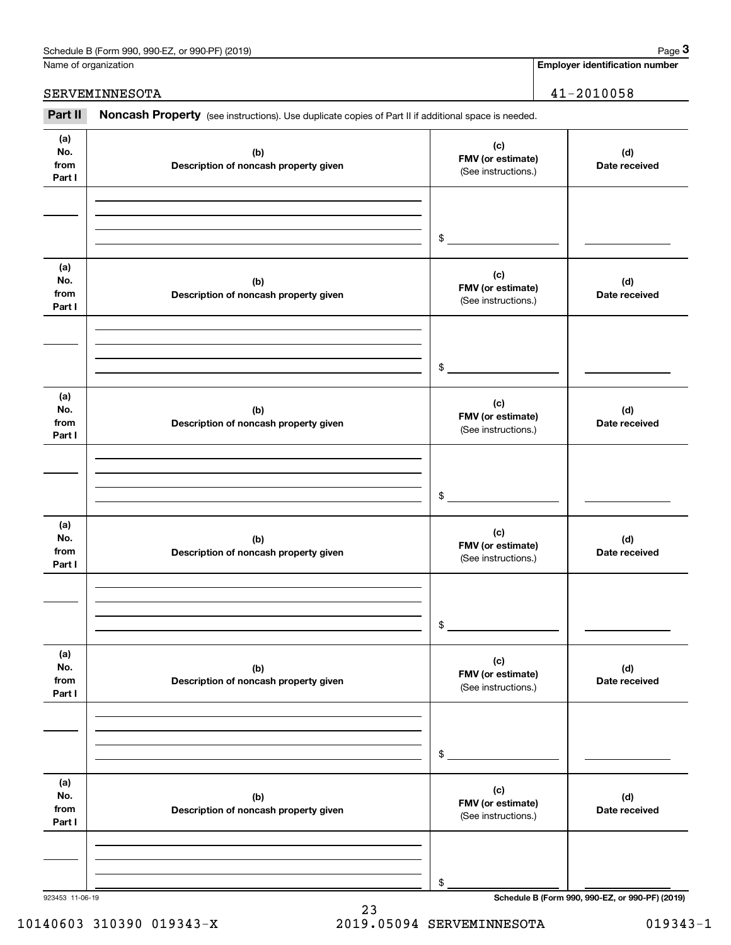| Schedule B (Form 990, 990-EZ, or 990-PF)<br>) (2019)<br>Page |
|--------------------------------------------------------------|
|--------------------------------------------------------------|

|                              | Schedule B (Form 990, 990-EZ, or 990-PF) (2019)                                                     |                                                 | Page 3                                          |
|------------------------------|-----------------------------------------------------------------------------------------------------|-------------------------------------------------|-------------------------------------------------|
|                              | Name of organization                                                                                |                                                 | <b>Employer identification number</b>           |
|                              | SERVEMINNESOTA                                                                                      |                                                 | $41 - 2010058$                                  |
| Part II                      | Noncash Property (see instructions). Use duplicate copies of Part II if additional space is needed. |                                                 |                                                 |
| (a)<br>No.<br>from<br>Part I | (b)<br>Description of noncash property given                                                        | (c)<br>FMV (or estimate)<br>(See instructions.) | (d)<br>Date received                            |
|                              |                                                                                                     | \$                                              |                                                 |
| (a)<br>No.<br>from<br>Part I | (b)<br>Description of noncash property given                                                        | (c)<br>FMV (or estimate)<br>(See instructions.) | (d)<br>Date received                            |
|                              |                                                                                                     | \$                                              |                                                 |
| (a)<br>No.<br>from<br>Part I | (b)<br>Description of noncash property given                                                        | (c)<br>FMV (or estimate)<br>(See instructions.) | (d)<br>Date received                            |
|                              |                                                                                                     | \$                                              |                                                 |
| (a)<br>No.<br>from<br>Part I | (b)<br>Description of noncash property given                                                        | (c)<br>FMV (or estimate)<br>(See instructions.) | (d)<br>Date received                            |
|                              |                                                                                                     | \$                                              |                                                 |
| (a)<br>No.<br>from<br>Part I | (b)<br>Description of noncash property given                                                        | (c)<br>FMV (or estimate)<br>(See instructions.) | (d)<br>Date received                            |
|                              |                                                                                                     | \$                                              |                                                 |
| (a)<br>No.<br>from<br>Part I | (b)<br>Description of noncash property given                                                        | (c)<br>FMV (or estimate)<br>(See instructions.) | (d)<br>Date received                            |
|                              |                                                                                                     | \$                                              |                                                 |
| 923453 11-06-19              |                                                                                                     |                                                 | Schedule B (Form 990, 990-EZ, or 990-PF) (2019) |

10140603 310390 019343-X 2019.05094 SERVEMINNESOTA 019343-1

23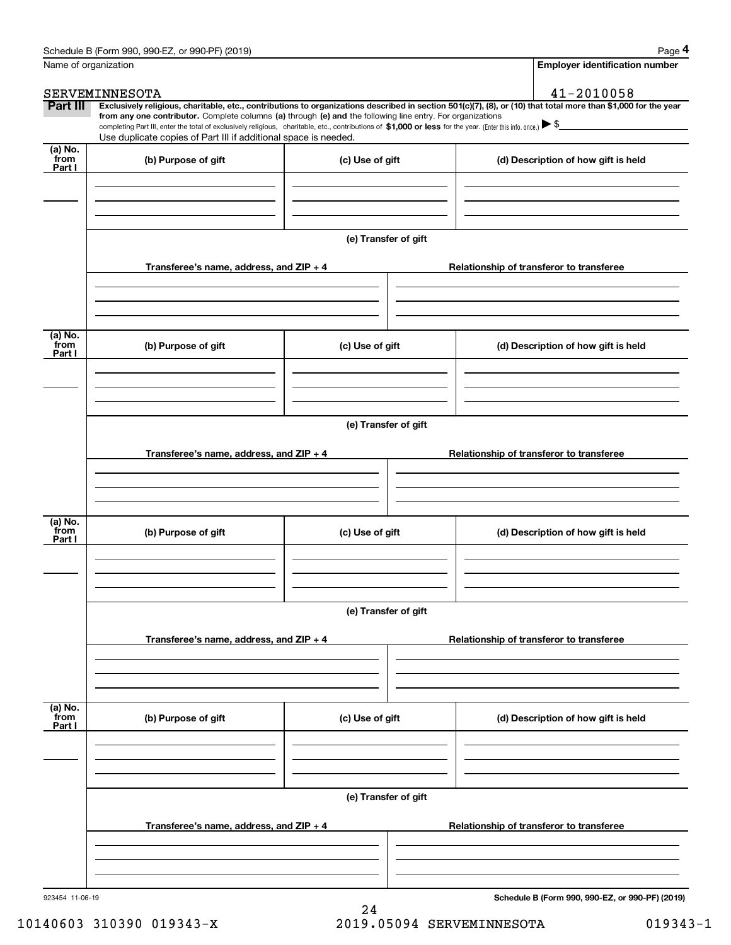|                           | Schedule B (Form 990, 990-EZ, or 990-PF) (2019)                                                                                                              |                      | Page 4                                                                                                                                                         |  |  |  |  |  |  |
|---------------------------|--------------------------------------------------------------------------------------------------------------------------------------------------------------|----------------------|----------------------------------------------------------------------------------------------------------------------------------------------------------------|--|--|--|--|--|--|
| Name of organization      |                                                                                                                                                              |                      | Employer identification number                                                                                                                                 |  |  |  |  |  |  |
|                           | SERVEMINNESOTA                                                                                                                                               |                      | 41-2010058                                                                                                                                                     |  |  |  |  |  |  |
| Part III                  | from any one contributor. Complete columns (a) through (e) and the following line entry. For organizations                                                   |                      | Exclusively religious, charitable, etc., contributions to organizations described in section 501(c)(7), (8), or (10) that total more than \$1,000 for the year |  |  |  |  |  |  |
|                           | completing Part III, enter the total of exclusively religious, charitable, etc., contributions of \$1,000 or less for the year. (Enter this info. once.) \\$ |                      |                                                                                                                                                                |  |  |  |  |  |  |
|                           | Use duplicate copies of Part III if additional space is needed.                                                                                              |                      |                                                                                                                                                                |  |  |  |  |  |  |
| (a) No.<br>from<br>Part I | (b) Purpose of gift                                                                                                                                          | (c) Use of gift      | (d) Description of how gift is held                                                                                                                            |  |  |  |  |  |  |
|                           |                                                                                                                                                              |                      |                                                                                                                                                                |  |  |  |  |  |  |
|                           |                                                                                                                                                              | (e) Transfer of gift |                                                                                                                                                                |  |  |  |  |  |  |
|                           | Transferee's name, address, and ZIP + 4                                                                                                                      |                      | Relationship of transferor to transferee                                                                                                                       |  |  |  |  |  |  |
|                           |                                                                                                                                                              |                      |                                                                                                                                                                |  |  |  |  |  |  |
| (a) No.<br>from           | (b) Purpose of gift                                                                                                                                          | (c) Use of gift      | (d) Description of how gift is held                                                                                                                            |  |  |  |  |  |  |
| Part I                    |                                                                                                                                                              |                      |                                                                                                                                                                |  |  |  |  |  |  |
|                           |                                                                                                                                                              |                      |                                                                                                                                                                |  |  |  |  |  |  |
|                           | (e) Transfer of gift                                                                                                                                         |                      |                                                                                                                                                                |  |  |  |  |  |  |
|                           | Transferee's name, address, and ZIP + 4                                                                                                                      |                      | Relationship of transferor to transferee                                                                                                                       |  |  |  |  |  |  |
|                           |                                                                                                                                                              |                      |                                                                                                                                                                |  |  |  |  |  |  |
| (a) No.<br>from<br>Part I | (b) Purpose of gift                                                                                                                                          | (c) Use of gift      | (d) Description of how gift is held                                                                                                                            |  |  |  |  |  |  |
|                           |                                                                                                                                                              |                      |                                                                                                                                                                |  |  |  |  |  |  |
|                           |                                                                                                                                                              | (e) Transfer of gift |                                                                                                                                                                |  |  |  |  |  |  |
|                           | Transferee's name, address, and ZIP + 4                                                                                                                      |                      | Relationship of transferor to transferee                                                                                                                       |  |  |  |  |  |  |
|                           |                                                                                                                                                              |                      |                                                                                                                                                                |  |  |  |  |  |  |
| (a) No.<br>from<br>Part I | (b) Purpose of gift                                                                                                                                          | (c) Use of gift      | (d) Description of how gift is held                                                                                                                            |  |  |  |  |  |  |
|                           |                                                                                                                                                              |                      |                                                                                                                                                                |  |  |  |  |  |  |
|                           | (e) Transfer of gift                                                                                                                                         |                      |                                                                                                                                                                |  |  |  |  |  |  |
|                           | Transferee's name, address, and $ZIP + 4$                                                                                                                    |                      | Relationship of transferor to transferee                                                                                                                       |  |  |  |  |  |  |
|                           |                                                                                                                                                              |                      |                                                                                                                                                                |  |  |  |  |  |  |
| 923454 11-06-19           |                                                                                                                                                              |                      | Schedule B (Form 990, 990-EZ, or 990-PF) (2019)                                                                                                                |  |  |  |  |  |  |

10140603 310390 019343-X 2019.05094 SERVEMINNESOTA 019343-1

24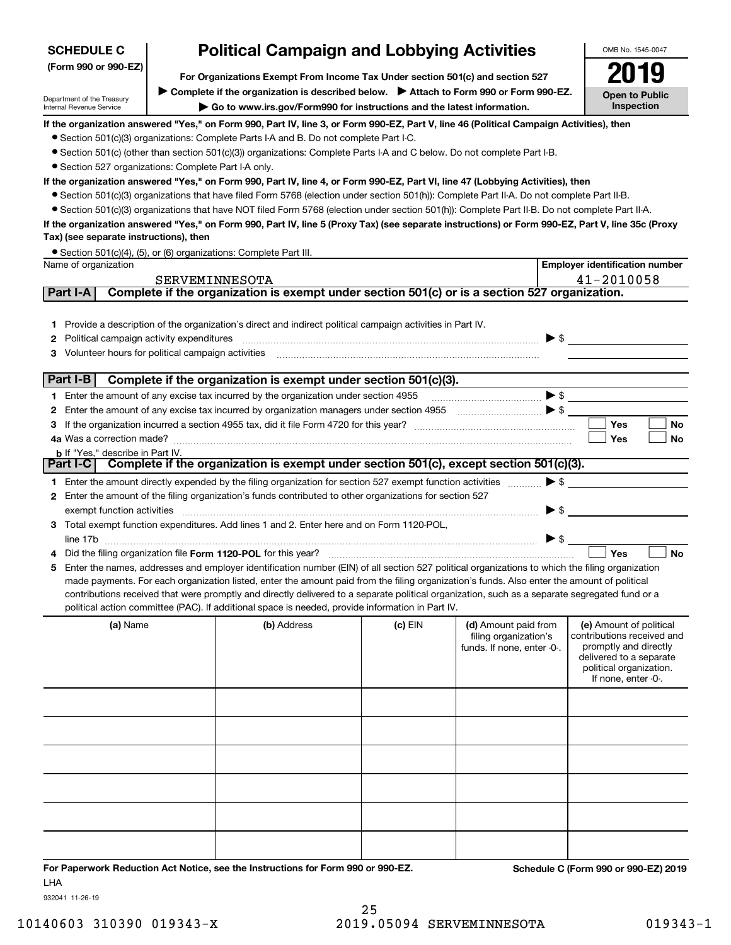# **SCHEDULE C**

### **(Form 990 or 990-EZ)**

# **Political Campaign and Lobbying Activities**

**For Organizations Exempt From Income Tax Under section 501(c) and section 527** ▶ Complete if the organization is described below. ▶ Attach to Form 990 or Form 990-EZ.

Department of the Treasury Internal Revenue Service

**| Go to www.irs.gov/Form990 for instructions and the latest information.**

OMB No. 1545-0047 **Open to Public Inspection2019**

**If the organization answered "Yes," on Form 990, Part IV, line 3, or Form 990-EZ, Part V, line 46 (Political Campaign Activities), then**

- Section 501(c)(3) organizations: Complete Parts I-A and B. Do not complete Part I-C.
- ¥ Section 501(c) (other than section 501(c)(3)) organizations: Complete Parts I-A and C below. Do not complete Part I-B.
- Section 527 organizations: Complete Part I-A only.

### **If the organization answered "Yes," on Form 990, Part IV, line 4, or Form 990-EZ, Part VI, line 47 (Lobbying Activities), then**

- Section 501(c)(3) organizations that have filed Form 5768 (election under section 501(h)): Complete Part II-A. Do not complete Part II-B.
- ¥ Section 501(c)(3) organizations that have NOT filed Form 5768 (election under section 501(h)): Complete Part II-B. Do not complete Part II-A.

### **If the organization answered "Yes," on Form 990, Part IV, line 5 (Proxy Tax) (see separate instructions) or Form 990-EZ, Part V, line 35c (Proxy Tax) (see separate instructions), then**

| • Section 501(c)(4), (5), or (6) organizations: Complete Part III. |  |
|--------------------------------------------------------------------|--|
|--------------------------------------------------------------------|--|

|    | Name of organization                                                                                                                                                                                                                                                                                                                                                                                                                                        |                          | <b>Employer identification number</b>                                                                                                |  |  |  |  |  |
|----|-------------------------------------------------------------------------------------------------------------------------------------------------------------------------------------------------------------------------------------------------------------------------------------------------------------------------------------------------------------------------------------------------------------------------------------------------------------|--------------------------|--------------------------------------------------------------------------------------------------------------------------------------|--|--|--|--|--|
|    | SERVEMINNESOTA                                                                                                                                                                                                                                                                                                                                                                                                                                              |                          | $41 - 2010058$                                                                                                                       |  |  |  |  |  |
|    | Complete if the organization is exempt under section 501(c) or is a section 527 organization.<br><b>Part I-A</b>                                                                                                                                                                                                                                                                                                                                            |                          |                                                                                                                                      |  |  |  |  |  |
|    | 1 Provide a description of the organization's direct and indirect political campaign activities in Part IV.<br>2 Political campaign activity expenditures<br>Volunteer hours for political campaign activities [11] with the content of the content of the content of the content of the content of the content of the content of the content of the content of the content of the content                                                                  |                          |                                                                                                                                      |  |  |  |  |  |
|    | $ Part I-B $ Complete if the organization is exempt under section 501(c)(3).                                                                                                                                                                                                                                                                                                                                                                                |                          |                                                                                                                                      |  |  |  |  |  |
|    | $\begin{picture}(20,10) \put(0,0){\vector(1,0){100}} \put(15,0){\vector(1,0){100}} \put(15,0){\vector(1,0){100}} \put(15,0){\vector(1,0){100}} \put(15,0){\vector(1,0){100}} \put(15,0){\vector(1,0){100}} \put(15,0){\vector(1,0){100}} \put(15,0){\vector(1,0){100}} \put(15,0){\vector(1,0){100}} \put(15,0){\vector(1,0){100}} \put(15,0){\vector(1,0){100}} \$<br>1 Enter the amount of any excise tax incurred by the organization under section 4955 |                          |                                                                                                                                      |  |  |  |  |  |
|    |                                                                                                                                                                                                                                                                                                                                                                                                                                                             |                          |                                                                                                                                      |  |  |  |  |  |
|    |                                                                                                                                                                                                                                                                                                                                                                                                                                                             |                          | Yes<br><b>No</b>                                                                                                                     |  |  |  |  |  |
|    |                                                                                                                                                                                                                                                                                                                                                                                                                                                             |                          | Yes<br><b>No</b>                                                                                                                     |  |  |  |  |  |
|    | <b>b</b> If "Yes," describe in Part IV.                                                                                                                                                                                                                                                                                                                                                                                                                     |                          |                                                                                                                                      |  |  |  |  |  |
|    | Complete if the organization is exempt under section 501(c), except section 501(c)(3).<br>  Part I-C                                                                                                                                                                                                                                                                                                                                                        |                          |                                                                                                                                      |  |  |  |  |  |
|    | 1 Enter the amount directly expended by the filing organization for section 527 exempt function activities                                                                                                                                                                                                                                                                                                                                                  |                          | $\blacktriangleright$ \$                                                                                                             |  |  |  |  |  |
|    | 2 Enter the amount of the filing organization's funds contributed to other organizations for section 527                                                                                                                                                                                                                                                                                                                                                    |                          |                                                                                                                                      |  |  |  |  |  |
|    | exempt function activities exempt function activities exempt function activities exempt function activities                                                                                                                                                                                                                                                                                                                                                 |                          | $\blacktriangleright$ \$                                                                                                             |  |  |  |  |  |
| 3  | Total exempt function expenditures. Add lines 1 and 2. Enter here and on Form 1120-POL,                                                                                                                                                                                                                                                                                                                                                                     |                          |                                                                                                                                      |  |  |  |  |  |
|    |                                                                                                                                                                                                                                                                                                                                                                                                                                                             | $\blacktriangleright$ \$ |                                                                                                                                      |  |  |  |  |  |
|    |                                                                                                                                                                                                                                                                                                                                                                                                                                                             |                          | Yes<br><b>No</b>                                                                                                                     |  |  |  |  |  |
| 5. | Enter the names, addresses and employer identification number (EIN) of all section 527 political organizations to which the filing organization                                                                                                                                                                                                                                                                                                             |                          |                                                                                                                                      |  |  |  |  |  |
|    | made payments. For each organization listed, enter the amount paid from the filing organization's funds. Also enter the amount of political                                                                                                                                                                                                                                                                                                                 |                          |                                                                                                                                      |  |  |  |  |  |
|    | contributions received that were promptly and directly delivered to a separate political organization, such as a separate segregated fund or a                                                                                                                                                                                                                                                                                                              |                          |                                                                                                                                      |  |  |  |  |  |
|    | political action committee (PAC). If additional space is needed, provide information in Part IV.                                                                                                                                                                                                                                                                                                                                                            |                          |                                                                                                                                      |  |  |  |  |  |
|    | (b) Address<br>(a) Name<br>$(c)$ EIN<br>(d) Amount paid from<br>filing organization's<br>funds. If none, enter -0-.                                                                                                                                                                                                                                                                                                                                         |                          | (e) Amount of political<br>contributions received and<br>promptly and directly<br>delivered to a separate<br>political organization. |  |  |  |  |  |

**For Paperwork Reduction Act Notice, see the Instructions for Form 990 or 990-EZ. Schedule C (Form 990 or 990-EZ) 2019** LHA

932041 11-26-19

If none, enter -0-.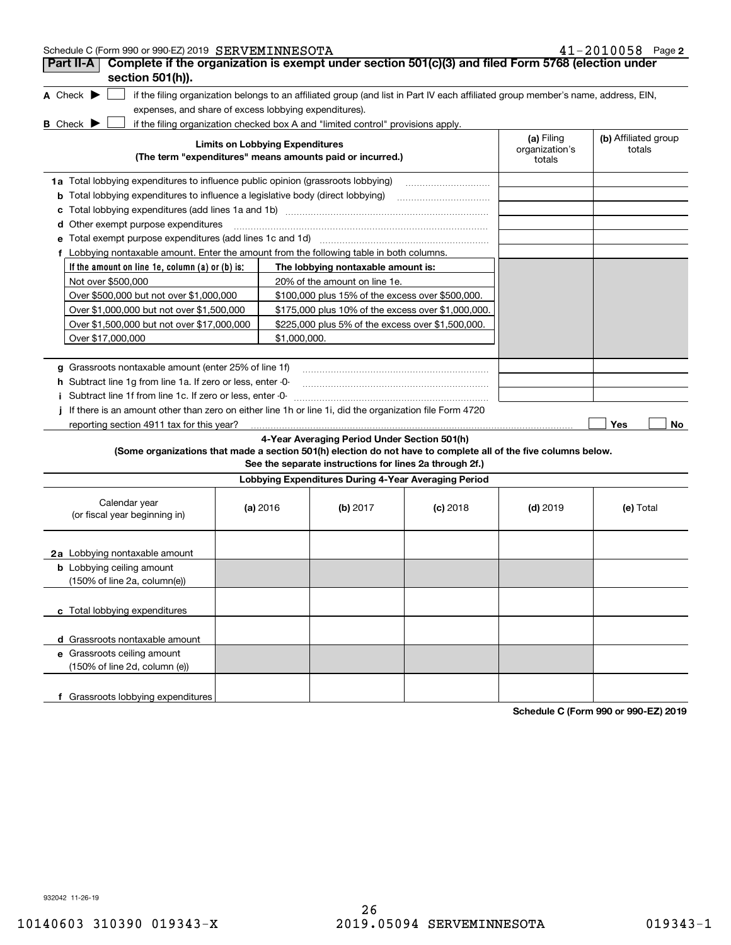| Schedule C (Form 990 or 990-EZ) 2019 SERVEMINNESOTA                                                                                 |  |                                        |                                                                                  |                                                                                                                                   |                                        | $41 - 2010058$ Page 2          |
|-------------------------------------------------------------------------------------------------------------------------------------|--|----------------------------------------|----------------------------------------------------------------------------------|-----------------------------------------------------------------------------------------------------------------------------------|----------------------------------------|--------------------------------|
| Complete if the organization is exempt under section 501(c)(3) and filed Form 5768 (election under<br>Part II-A<br>section 501(h)). |  |                                        |                                                                                  |                                                                                                                                   |                                        |                                |
| A Check $\blacktriangleright$                                                                                                       |  |                                        |                                                                                  | if the filing organization belongs to an affiliated group (and list in Part IV each affiliated group member's name, address, EIN, |                                        |                                |
| expenses, and share of excess lobbying expenditures).                                                                               |  |                                        |                                                                                  |                                                                                                                                   |                                        |                                |
| <b>B</b> Check $\blacktriangleright$                                                                                                |  |                                        | if the filing organization checked box A and "limited control" provisions apply. |                                                                                                                                   |                                        |                                |
|                                                                                                                                     |  | <b>Limits on Lobbying Expenditures</b> | (The term "expenditures" means amounts paid or incurred.)                        |                                                                                                                                   | (a) Filing<br>organization's<br>totals | (b) Affiliated group<br>totals |
| 1a Total lobbying expenditures to influence public opinion (grassroots lobbying)                                                    |  |                                        |                                                                                  |                                                                                                                                   |                                        |                                |
| <b>b</b> Total lobbying expenditures to influence a legislative body (direct lobbying)                                              |  |                                        |                                                                                  |                                                                                                                                   |                                        |                                |
| с                                                                                                                                   |  |                                        |                                                                                  |                                                                                                                                   |                                        |                                |
| d Other exempt purpose expenditures                                                                                                 |  |                                        |                                                                                  |                                                                                                                                   |                                        |                                |
| е                                                                                                                                   |  |                                        |                                                                                  |                                                                                                                                   |                                        |                                |
| f Lobbying nontaxable amount. Enter the amount from the following table in both columns.                                            |  |                                        |                                                                                  |                                                                                                                                   |                                        |                                |
| If the amount on line 1e, column (a) or (b) is:                                                                                     |  |                                        | The lobbying nontaxable amount is:                                               |                                                                                                                                   |                                        |                                |
| Not over \$500,000                                                                                                                  |  |                                        | 20% of the amount on line 1e.                                                    |                                                                                                                                   |                                        |                                |
| Over \$500,000 but not over \$1,000,000                                                                                             |  |                                        | \$100,000 plus 15% of the excess over \$500,000.                                 |                                                                                                                                   |                                        |                                |
| Over \$1,000,000 but not over \$1,500,000                                                                                           |  |                                        | \$175,000 plus 10% of the excess over \$1,000,000.                               |                                                                                                                                   |                                        |                                |
| Over \$1,500,000 but not over \$17,000,000                                                                                          |  |                                        | \$225,000 plus 5% of the excess over \$1,500,000.                                |                                                                                                                                   |                                        |                                |
| Over \$17,000,000                                                                                                                   |  | \$1,000,000.                           |                                                                                  |                                                                                                                                   |                                        |                                |
|                                                                                                                                     |  |                                        |                                                                                  |                                                                                                                                   |                                        |                                |
| g Grassroots nontaxable amount (enter 25% of line 1f)                                                                               |  |                                        |                                                                                  |                                                                                                                                   |                                        |                                |
|                                                                                                                                     |  |                                        |                                                                                  |                                                                                                                                   |                                        |                                |
| h Subtract line 1g from line 1a. If zero or less, enter -0-<br>i Subtract line 1f from line 1c. If zero or less, enter 0            |  |                                        |                                                                                  |                                                                                                                                   |                                        |                                |
| If there is an amount other than zero on either line 1h or line 1i, did the organization file Form 4720                             |  |                                        |                                                                                  |                                                                                                                                   |                                        |                                |
| reporting section 4911 tax for this year?                                                                                           |  |                                        |                                                                                  |                                                                                                                                   |                                        | Yes<br>No.                     |
|                                                                                                                                     |  |                                        | 4-Year Averaging Period Under Section 501(h)                                     |                                                                                                                                   |                                        |                                |
| (Some organizations that made a section 501(h) election do not have to complete all of the five columns below.                      |  |                                        | See the separate instructions for lines 2a through 2f.)                          |                                                                                                                                   |                                        |                                |
|                                                                                                                                     |  |                                        | Lobbying Expenditures During 4-Year Averaging Period                             |                                                                                                                                   |                                        |                                |
| Calendar year<br>(or fiscal year beginning in)                                                                                      |  | (a) 2016                               | (b) $2017$                                                                       | $(c)$ 2018                                                                                                                        | $(d)$ 2019                             | (e) Total                      |
| 2a Lobbying nontaxable amount                                                                                                       |  |                                        |                                                                                  |                                                                                                                                   |                                        |                                |
| <b>b</b> Lobbying ceiling amount<br>(150% of line 2a, column(e))                                                                    |  |                                        |                                                                                  |                                                                                                                                   |                                        |                                |
| c Total lobbying expenditures                                                                                                       |  |                                        |                                                                                  |                                                                                                                                   |                                        |                                |
| d Grassroots nontaxable amount                                                                                                      |  |                                        |                                                                                  |                                                                                                                                   |                                        |                                |
| e Grassroots ceiling amount                                                                                                         |  |                                        |                                                                                  |                                                                                                                                   |                                        |                                |
| (150% of line 2d, column (e))                                                                                                       |  |                                        |                                                                                  |                                                                                                                                   |                                        |                                |
| f Grassroots lobbying expenditures                                                                                                  |  |                                        |                                                                                  |                                                                                                                                   |                                        |                                |

**Schedule C (Form 990 or 990-EZ) 2019**

932042 11-26-19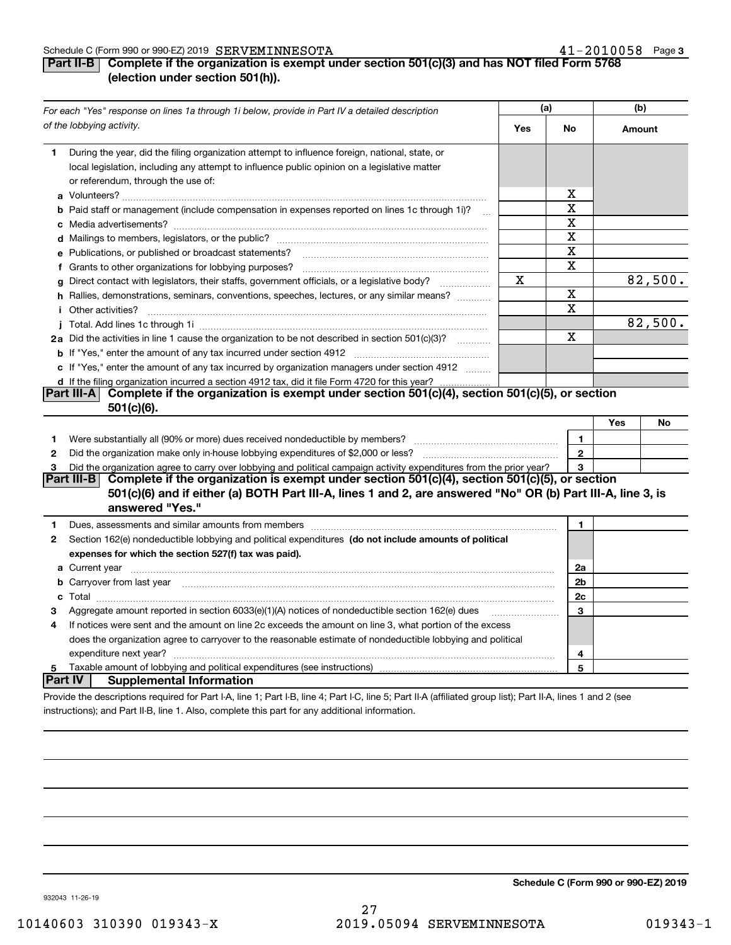#### Schedule C (Form 990 or 990-EZ) 2019  $\, {\rm SERVEMINNESOTA} \,$  . The set of the set of the set of the set of the set of the set of the set of the set of the set of the set of the set of the set of the set of the set of the set of

### **3**

## **Part II-B Complete if the organization is exempt under section 501(c)(3) and has NOT filed Form 5768 (election under section 501(h)).**

| For each "Yes" response on lines 1a through 1i below, provide in Part IV a detailed description |                                                                                                                                                                                                                                      | (a) |                         |        | (b)     |  |
|-------------------------------------------------------------------------------------------------|--------------------------------------------------------------------------------------------------------------------------------------------------------------------------------------------------------------------------------------|-----|-------------------------|--------|---------|--|
|                                                                                                 | of the lobbying activity.                                                                                                                                                                                                            | Yes | No                      | Amount |         |  |
| 1.                                                                                              | During the year, did the filing organization attempt to influence foreign, national, state, or<br>local legislation, including any attempt to influence public opinion on a legislative matter<br>or referendum, through the use of: |     |                         |        |         |  |
|                                                                                                 |                                                                                                                                                                                                                                      |     | х                       |        |         |  |
|                                                                                                 | <b>b</b> Paid staff or management (include compensation in expenses reported on lines 1c through 1i)?<br>$\mathbf{r}$                                                                                                                |     | X                       |        |         |  |
|                                                                                                 |                                                                                                                                                                                                                                      |     | X                       |        |         |  |
|                                                                                                 |                                                                                                                                                                                                                                      |     | X                       |        |         |  |
|                                                                                                 | e Publications, or published or broadcast statements?                                                                                                                                                                                |     | $\overline{\mathbf{x}}$ |        |         |  |
|                                                                                                 |                                                                                                                                                                                                                                      |     | X                       |        |         |  |
| q                                                                                               | Direct contact with legislators, their staffs, government officials, or a legislative body?                                                                                                                                          | X   |                         |        | 82,500. |  |
|                                                                                                 | h Rallies, demonstrations, seminars, conventions, speeches, lectures, or any similar means?                                                                                                                                          |     | Χ                       |        |         |  |
|                                                                                                 | <i>i</i> Other activities?                                                                                                                                                                                                           |     | $\overline{\text{x}}$   |        |         |  |
|                                                                                                 |                                                                                                                                                                                                                                      |     |                         |        | 82,500. |  |
|                                                                                                 | 2a Did the activities in line 1 cause the organization to be not described in section 501(c)(3)?                                                                                                                                     |     | X                       |        |         |  |
|                                                                                                 | <b>b</b> If "Yes," enter the amount of any tax incurred under section 4912                                                                                                                                                           |     |                         |        |         |  |
|                                                                                                 | c If "Yes," enter the amount of any tax incurred by organization managers under section 4912                                                                                                                                         |     |                         |        |         |  |
|                                                                                                 | d If the filing organization incurred a section 4912 tax, did it file Form 4720 for this year?                                                                                                                                       |     |                         |        |         |  |
|                                                                                                 | Part III-A Complete if the organization is exempt under section 501(c)(4), section 501(c)(5), or section                                                                                                                             |     |                         |        |         |  |
|                                                                                                 | 501(c)(6).                                                                                                                                                                                                                           |     |                         | Yes    |         |  |
|                                                                                                 |                                                                                                                                                                                                                                      |     |                         |        | No      |  |
| 1                                                                                               | Were substantially all (90% or more) dues received nondeductible by members?                                                                                                                                                         |     | 1.                      |        |         |  |
| 2                                                                                               |                                                                                                                                                                                                                                      |     | $\mathbf{2}$            |        |         |  |
| 3                                                                                               | Did the organization agree to carry over lobbying and political campaign activity expenditures from the prior year?<br>Complete if the organization is exempt under section 501(c)(4), section 501(c)(5), or section<br>Part III-BI  |     | 3                       |        |         |  |
|                                                                                                 | 501(c)(6) and if either (a) BOTH Part III-A, lines 1 and 2, are answered "No" OR (b) Part III-A, line 3, is                                                                                                                          |     |                         |        |         |  |
|                                                                                                 | answered "Yes."                                                                                                                                                                                                                      |     |                         |        |         |  |
|                                                                                                 |                                                                                                                                                                                                                                      |     |                         |        |         |  |
| 1                                                                                               |                                                                                                                                                                                                                                      |     | 1                       |        |         |  |
| 2                                                                                               | Section 162(e) nondeductible lobbying and political expenditures (do not include amounts of political<br>expenses for which the section 527(f) tax was paid).                                                                        |     |                         |        |         |  |
|                                                                                                 |                                                                                                                                                                                                                                      |     |                         |        |         |  |
|                                                                                                 |                                                                                                                                                                                                                                      |     | 2a                      |        |         |  |
|                                                                                                 | <b>b</b> Carryover from last year                                                                                                                                                                                                    |     | 2 <sub>b</sub>          |        |         |  |
|                                                                                                 |                                                                                                                                                                                                                                      |     | 2c                      |        |         |  |
| з                                                                                               | Aggregate amount reported in section $6033(e)(1)(A)$ notices of nondeductible section $162(e)$ dues                                                                                                                                  |     | 3                       |        |         |  |
| 4                                                                                               | If notices were sent and the amount on line 2c exceeds the amount on line 3, what portion of the excess                                                                                                                              |     |                         |        |         |  |
|                                                                                                 | does the organization agree to carryover to the reasonable estimate of nondeductible lobbying and political                                                                                                                          |     |                         |        |         |  |
|                                                                                                 | expenditure next year?                                                                                                                                                                                                               |     | 4                       |        |         |  |
| 5<br>∣Part IV                                                                                   | Taxable amount of lobbying and political expenditures (see instructions)<br><b>Supplemental Information</b>                                                                                                                          |     | 5                       |        |         |  |
|                                                                                                 | Provide the descriptions required for Part I-A, line 1; Part I-B, line 4; Part I-C, line 5; Part II-A (affiliated group list); Part II-A, lines 1 and 2 (see                                                                         |     |                         |        |         |  |
|                                                                                                 |                                                                                                                                                                                                                                      |     |                         |        |         |  |

instructions); and Part II-B, line 1. Also, complete this part for any additional information.

**Schedule C (Form 990 or 990-EZ) 2019**

932043 11-26-19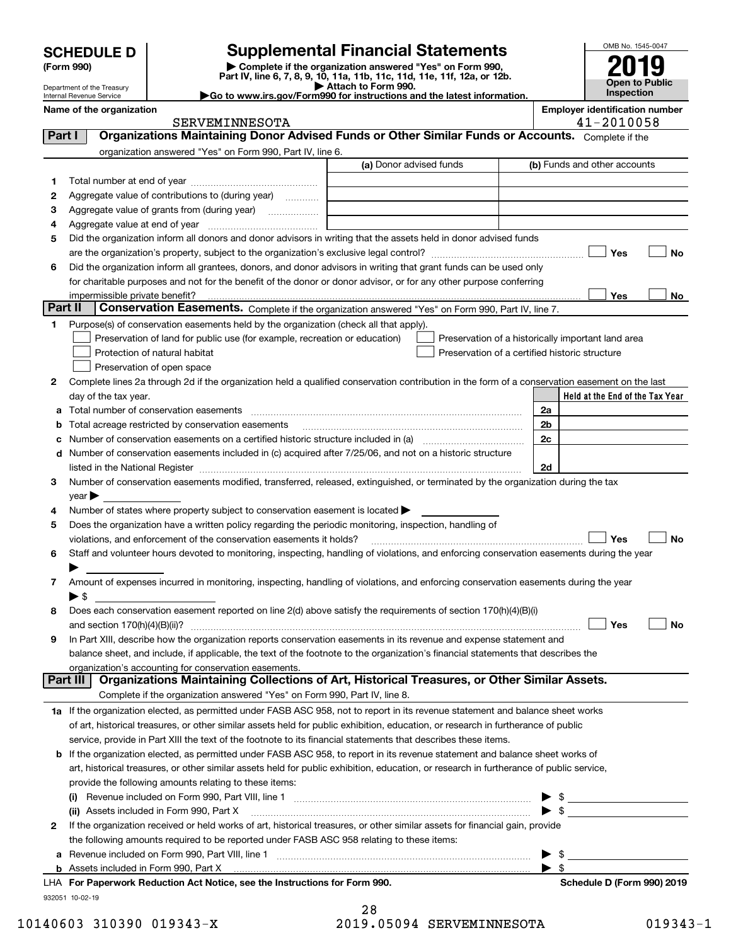| <b>SCHEDULE D</b> |  |
|-------------------|--|
|-------------------|--|

| (Form 990) |  |
|------------|--|
|------------|--|

# **SCHEDULE D Supplemental Financial Statements**

(Form 990)<br>
Pepartment of the Treasury<br>
Department of the Treasury<br>
Department of the Treasury<br>
Department of the Treasury<br> **Co to www.irs.gov/Form990 for instructions and the latest information.**<br> **Co to www.irs.gov/Form9** 



Department of the Treasury Internal Revenue Service

| f the organization |
|--------------------|
|--------------------|

**Name of the organization Employer identification number**

|         | SERVEMINNESOTA                                                                                                                                 |                         | 41-2010058                                         |
|---------|------------------------------------------------------------------------------------------------------------------------------------------------|-------------------------|----------------------------------------------------|
| Part I  | Organizations Maintaining Donor Advised Funds or Other Similar Funds or Accounts. Complete if the                                              |                         |                                                    |
|         | organization answered "Yes" on Form 990, Part IV, line 6.                                                                                      |                         |                                                    |
|         |                                                                                                                                                | (a) Donor advised funds | (b) Funds and other accounts                       |
| 1       |                                                                                                                                                |                         |                                                    |
| 2       | Aggregate value of contributions to (during year)                                                                                              |                         |                                                    |
| з       | Aggregate value of grants from (during year)                                                                                                   |                         |                                                    |
| 4       |                                                                                                                                                |                         |                                                    |
| 5       | Did the organization inform all donors and donor advisors in writing that the assets held in donor advised funds                               |                         |                                                    |
|         |                                                                                                                                                |                         | Yes<br>No                                          |
| 6       | Did the organization inform all grantees, donors, and donor advisors in writing that grant funds can be used only                              |                         |                                                    |
|         | for charitable purposes and not for the benefit of the donor or donor advisor, or for any other purpose conferring                             |                         |                                                    |
|         | impermissible private benefit?                                                                                                                 |                         | Yes<br>No                                          |
| Part II | Conservation Easements. Complete if the organization answered "Yes" on Form 990, Part IV, line 7.                                              |                         |                                                    |
| 1.      | Purpose(s) of conservation easements held by the organization (check all that apply).                                                          |                         |                                                    |
|         | Preservation of land for public use (for example, recreation or education)                                                                     |                         | Preservation of a historically important land area |
|         | Protection of natural habitat                                                                                                                  |                         | Preservation of a certified historic structure     |
|         | Preservation of open space                                                                                                                     |                         |                                                    |
| 2       | Complete lines 2a through 2d if the organization held a qualified conservation contribution in the form of a conservation easement on the last |                         |                                                    |
|         | day of the tax year.                                                                                                                           |                         | Held at the End of the Tax Year                    |
| а       |                                                                                                                                                |                         | 2a                                                 |
|         | Total acreage restricted by conservation easements                                                                                             |                         | 2b                                                 |
|         | Number of conservation easements on a certified historic structure included in (a) manufacture included in (a)                                 |                         | 2c                                                 |
| d       | Number of conservation easements included in (c) acquired after 7/25/06, and not on a historic structure                                       |                         |                                                    |
|         |                                                                                                                                                |                         | 2d                                                 |
| 3       | Number of conservation easements modified, transferred, released, extinguished, or terminated by the organization during the tax               |                         |                                                    |
|         | year                                                                                                                                           |                         |                                                    |
| 4       | Number of states where property subject to conservation easement is located >                                                                  |                         |                                                    |
| 5       | Does the organization have a written policy regarding the periodic monitoring, inspection, handling of                                         |                         |                                                    |
|         | violations, and enforcement of the conservation easements it holds?                                                                            |                         | No<br>Yes                                          |
| 6       | Staff and volunteer hours devoted to monitoring, inspecting, handling of violations, and enforcing conservation easements during the year      |                         |                                                    |
|         |                                                                                                                                                |                         |                                                    |
| 7       | Amount of expenses incurred in monitoring, inspecting, handling of violations, and enforcing conservation easements during the year            |                         |                                                    |
|         | $\blacktriangleright$ S                                                                                                                        |                         |                                                    |
| 8       | Does each conservation easement reported on line 2(d) above satisfy the requirements of section 170(h)(4)(B)(i)                                |                         |                                                    |
|         | and section 170(h)(4)(B)(ii)?                                                                                                                  |                         | Yes<br>No                                          |
| 9       | In Part XIII, describe how the organization reports conservation easements in its revenue and expense statement and                            |                         |                                                    |
|         | balance sheet, and include, if applicable, the text of the footnote to the organization's financial statements that describes the              |                         |                                                    |
|         | organization's accounting for conservation easements.                                                                                          |                         |                                                    |
|         | Organizations Maintaining Collections of Art, Historical Treasures, or Other Similar Assets.<br>Part III                                       |                         |                                                    |
|         | Complete if the organization answered "Yes" on Form 990, Part IV, line 8.                                                                      |                         |                                                    |
|         | 1a If the organization elected, as permitted under FASB ASC 958, not to report in its revenue statement and balance sheet works                |                         |                                                    |
|         | of art, historical treasures, or other similar assets held for public exhibition, education, or research in furtherance of public              |                         |                                                    |
|         | service, provide in Part XIII the text of the footnote to its financial statements that describes these items.                                 |                         |                                                    |
| b       | If the organization elected, as permitted under FASB ASC 958, to report in its revenue statement and balance sheet works of                    |                         |                                                    |
|         | art, historical treasures, or other similar assets held for public exhibition, education, or research in furtherance of public service,        |                         |                                                    |
|         | provide the following amounts relating to these items:                                                                                         |                         |                                                    |
|         |                                                                                                                                                |                         | \$                                                 |
|         | (ii) Assets included in Form 990, Part X                                                                                                       |                         | $\blacktriangleright$ \$                           |
| 2       | If the organization received or held works of art, historical treasures, or other similar assets for financial gain, provide                   |                         |                                                    |
|         | the following amounts required to be reported under FASB ASC 958 relating to these items:                                                      |                         |                                                    |
| а       |                                                                                                                                                |                         | \$                                                 |
|         | <b>b</b> Assets included in Form 990, Part X                                                                                                   |                         | -\$                                                |
|         | LHA For Paperwork Reduction Act Notice, see the Instructions for Form 990.                                                                     |                         | Schedule D (Form 990) 2019                         |

932051 10-02-19

| 10140603 310390 019343-X | 2019.05094 SERVEMINNESOTA | $019343 - 1$ |
|--------------------------|---------------------------|--------------|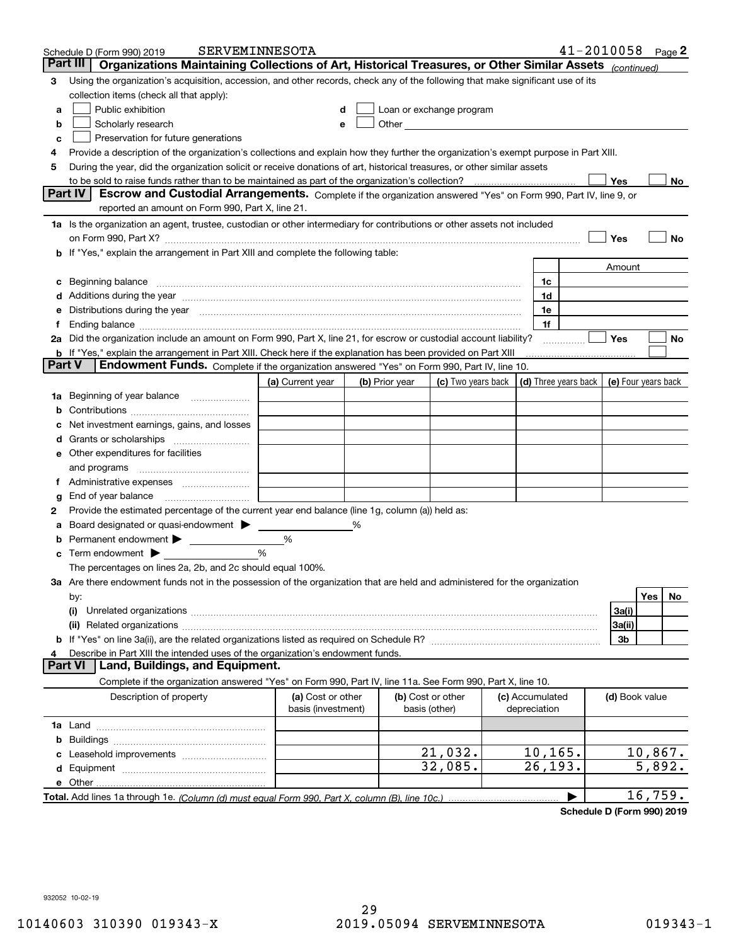|        | SERVEMINNESOTA<br>Schedule D (Form 990) 2019                                                                                                                                                                                  |                                         |                |                                                                                                                                                                                                                                |                                 | $41 - 2010058$ |                     |         | Page 2 |
|--------|-------------------------------------------------------------------------------------------------------------------------------------------------------------------------------------------------------------------------------|-----------------------------------------|----------------|--------------------------------------------------------------------------------------------------------------------------------------------------------------------------------------------------------------------------------|---------------------------------|----------------|---------------------|---------|--------|
|        | Organizations Maintaining Collections of Art, Historical Treasures, or Other Similar Assets (continued)<br>Part III                                                                                                           |                                         |                |                                                                                                                                                                                                                                |                                 |                |                     |         |        |
| 3      | Using the organization's acquisition, accession, and other records, check any of the following that make significant use of its                                                                                               |                                         |                |                                                                                                                                                                                                                                |                                 |                |                     |         |        |
|        | collection items (check all that apply):                                                                                                                                                                                      |                                         |                |                                                                                                                                                                                                                                |                                 |                |                     |         |        |
| a      | Public exhibition                                                                                                                                                                                                             |                                         |                | Loan or exchange program                                                                                                                                                                                                       |                                 |                |                     |         |        |
| b      | Scholarly research                                                                                                                                                                                                            | е                                       |                | Other and the control of the control of the control of the control of the control of the control of the control of the control of the control of the control of the control of the control of the control of the control of th |                                 |                |                     |         |        |
| c      | Preservation for future generations                                                                                                                                                                                           |                                         |                |                                                                                                                                                                                                                                |                                 |                |                     |         |        |
| 4      | Provide a description of the organization's collections and explain how they further the organization's exempt purpose in Part XIII.                                                                                          |                                         |                |                                                                                                                                                                                                                                |                                 |                |                     |         |        |
| 5      | During the year, did the organization solicit or receive donations of art, historical treasures, or other similar assets                                                                                                      |                                         |                |                                                                                                                                                                                                                                |                                 |                |                     |         |        |
|        | to be sold to raise funds rather than to be maintained as part of the organization's collection?                                                                                                                              |                                         |                |                                                                                                                                                                                                                                |                                 |                | Yes                 |         | No     |
|        | <b>Part IV</b><br>Escrow and Custodial Arrangements. Complete if the organization answered "Yes" on Form 990, Part IV, line 9, or                                                                                             |                                         |                |                                                                                                                                                                                                                                |                                 |                |                     |         |        |
|        | reported an amount on Form 990, Part X, line 21.                                                                                                                                                                              |                                         |                |                                                                                                                                                                                                                                |                                 |                |                     |         |        |
|        | 1a Is the organization an agent, trustee, custodian or other intermediary for contributions or other assets not included                                                                                                      |                                         |                |                                                                                                                                                                                                                                |                                 |                |                     |         |        |
|        |                                                                                                                                                                                                                               |                                         |                |                                                                                                                                                                                                                                |                                 |                | Yes                 |         | No     |
|        | b If "Yes," explain the arrangement in Part XIII and complete the following table:                                                                                                                                            |                                         |                |                                                                                                                                                                                                                                |                                 |                |                     |         |        |
|        |                                                                                                                                                                                                                               |                                         |                |                                                                                                                                                                                                                                |                                 |                | Amount              |         |        |
|        | Beginning balance                                                                                                                                                                                                             |                                         |                |                                                                                                                                                                                                                                | 1c                              |                |                     |         |        |
|        | Additions during the year manufactured and an anti-manufactured and the year manufactured and all the year manufactured and all the year manufactured and all the year manufactured and all the year manufactured and all the |                                         |                |                                                                                                                                                                                                                                | 1d                              |                |                     |         |        |
|        | Distributions during the year manufactured and continuum and contact the year manufactured and contact the year                                                                                                               |                                         |                |                                                                                                                                                                                                                                | 1e                              |                |                     |         |        |
|        |                                                                                                                                                                                                                               |                                         |                |                                                                                                                                                                                                                                | 1f                              |                |                     |         |        |
|        | 2a Did the organization include an amount on Form 990, Part X, line 21, for escrow or custodial account liability?                                                                                                            |                                         |                |                                                                                                                                                                                                                                |                                 |                | Yes                 |         | No     |
| Part V | <b>b</b> If "Yes," explain the arrangement in Part XIII. Check here if the explanation has been provided on Part XIII                                                                                                         |                                         |                |                                                                                                                                                                                                                                |                                 |                |                     |         |        |
|        | <b>Endowment Funds.</b> Complete if the organization answered "Yes" on Form 990, Part IV, line 10.                                                                                                                            |                                         |                |                                                                                                                                                                                                                                |                                 |                |                     |         |        |
|        |                                                                                                                                                                                                                               | (a) Current year                        | (b) Prior year | (c) Two years back                                                                                                                                                                                                             | (d) Three years back            |                | (e) Four years back |         |        |
| 1a     | Beginning of year balance                                                                                                                                                                                                     |                                         |                |                                                                                                                                                                                                                                |                                 |                |                     |         |        |
|        |                                                                                                                                                                                                                               |                                         |                |                                                                                                                                                                                                                                |                                 |                |                     |         |        |
|        | Net investment earnings, gains, and losses                                                                                                                                                                                    |                                         |                |                                                                                                                                                                                                                                |                                 |                |                     |         |        |
|        |                                                                                                                                                                                                                               |                                         |                |                                                                                                                                                                                                                                |                                 |                |                     |         |        |
| е      | Other expenditures for facilities                                                                                                                                                                                             |                                         |                |                                                                                                                                                                                                                                |                                 |                |                     |         |        |
|        | and programs                                                                                                                                                                                                                  |                                         |                |                                                                                                                                                                                                                                |                                 |                |                     |         |        |
|        |                                                                                                                                                                                                                               |                                         |                |                                                                                                                                                                                                                                |                                 |                |                     |         |        |
| g      | End of year balance<br>Provide the estimated percentage of the current year end balance (line 1g, column (a)) held as:                                                                                                        |                                         |                |                                                                                                                                                                                                                                |                                 |                |                     |         |        |
| 2      | Board designated or quasi-endowment                                                                                                                                                                                           |                                         | %              |                                                                                                                                                                                                                                |                                 |                |                     |         |        |
|        | Permanent endowment                                                                                                                                                                                                           | %                                       |                |                                                                                                                                                                                                                                |                                 |                |                     |         |        |
| с      | Term endowment >                                                                                                                                                                                                              | %                                       |                |                                                                                                                                                                                                                                |                                 |                |                     |         |        |
|        | The percentages on lines 2a, 2b, and 2c should equal 100%.                                                                                                                                                                    |                                         |                |                                                                                                                                                                                                                                |                                 |                |                     |         |        |
|        | 3a Are there endowment funds not in the possession of the organization that are held and administered for the organization                                                                                                    |                                         |                |                                                                                                                                                                                                                                |                                 |                |                     |         |        |
|        | by:                                                                                                                                                                                                                           |                                         |                |                                                                                                                                                                                                                                |                                 |                |                     | Yes     | No     |
|        | (i)                                                                                                                                                                                                                           |                                         |                |                                                                                                                                                                                                                                |                                 |                | 3a(i)               |         |        |
|        |                                                                                                                                                                                                                               |                                         |                |                                                                                                                                                                                                                                |                                 |                | 3a(ii)              |         |        |
|        |                                                                                                                                                                                                                               |                                         |                |                                                                                                                                                                                                                                |                                 |                | 3b                  |         |        |
|        | Describe in Part XIII the intended uses of the organization's endowment funds.                                                                                                                                                |                                         |                |                                                                                                                                                                                                                                |                                 |                |                     |         |        |
|        | Land, Buildings, and Equipment.<br>Part VI                                                                                                                                                                                    |                                         |                |                                                                                                                                                                                                                                |                                 |                |                     |         |        |
|        | Complete if the organization answered "Yes" on Form 990, Part IV, line 11a. See Form 990, Part X, line 10.                                                                                                                    |                                         |                |                                                                                                                                                                                                                                |                                 |                |                     |         |        |
|        | Description of property                                                                                                                                                                                                       | (a) Cost or other<br>basis (investment) |                | (b) Cost or other<br>basis (other)                                                                                                                                                                                             | (c) Accumulated<br>depreciation |                | (d) Book value      |         |        |
|        |                                                                                                                                                                                                                               |                                         |                |                                                                                                                                                                                                                                |                                 |                |                     |         |        |
| b      |                                                                                                                                                                                                                               |                                         |                |                                                                                                                                                                                                                                |                                 |                |                     |         |        |
|        |                                                                                                                                                                                                                               |                                         |                | 21,032.                                                                                                                                                                                                                        | 10, 165.                        |                |                     | 10,867. |        |
| d      |                                                                                                                                                                                                                               |                                         |                | 32,085.                                                                                                                                                                                                                        | 26,193.                         |                |                     | 5,892.  |        |
|        | e Other                                                                                                                                                                                                                       |                                         |                |                                                                                                                                                                                                                                |                                 |                |                     |         |        |
|        |                                                                                                                                                                                                                               |                                         |                |                                                                                                                                                                                                                                |                                 |                |                     | 16,759. |        |

**Schedule D (Form 990) 2019**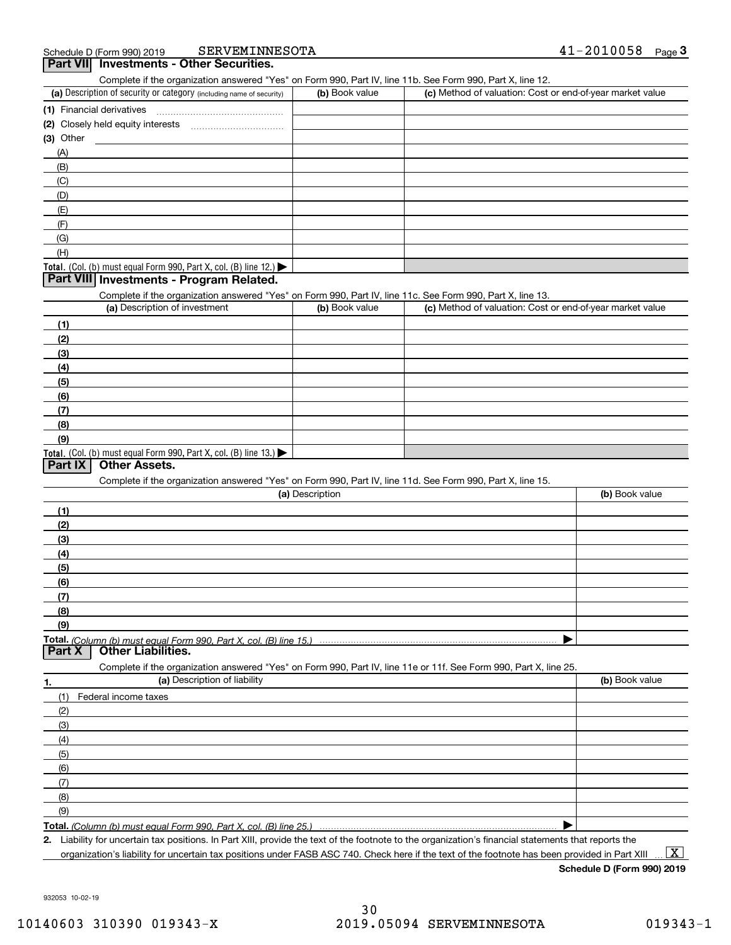| . <del>.</del><br>Complete if the organization answered "Yes" on Form 990, Part IV, line 11b. See Form 990, Part X, line 12.                |                 |                                                           |                |
|---------------------------------------------------------------------------------------------------------------------------------------------|-----------------|-----------------------------------------------------------|----------------|
| (a) Description of security or category (including name of security)                                                                        | (b) Book value  | (c) Method of valuation: Cost or end-of-year market value |                |
| (1) Financial derivatives                                                                                                                   |                 |                                                           |                |
|                                                                                                                                             |                 |                                                           |                |
| $(3)$ Other                                                                                                                                 |                 |                                                           |                |
| (A)                                                                                                                                         |                 |                                                           |                |
| (B)                                                                                                                                         |                 |                                                           |                |
| (C)                                                                                                                                         |                 |                                                           |                |
| (D)                                                                                                                                         |                 |                                                           |                |
| (E)                                                                                                                                         |                 |                                                           |                |
| (F)                                                                                                                                         |                 |                                                           |                |
| (G)                                                                                                                                         |                 |                                                           |                |
| (H)                                                                                                                                         |                 |                                                           |                |
| Total. (Col. (b) must equal Form 990, Part X, col. (B) line 12.)                                                                            |                 |                                                           |                |
| Part VIII Investments - Program Related.                                                                                                    |                 |                                                           |                |
|                                                                                                                                             |                 |                                                           |                |
| Complete if the organization answered "Yes" on Form 990, Part IV, line 11c. See Form 990, Part X, line 13.<br>(a) Description of investment | (b) Book value  | (c) Method of valuation: Cost or end-of-year market value |                |
|                                                                                                                                             |                 |                                                           |                |
| (1)                                                                                                                                         |                 |                                                           |                |
| (2)                                                                                                                                         |                 |                                                           |                |
| (3)                                                                                                                                         |                 |                                                           |                |
| (4)                                                                                                                                         |                 |                                                           |                |
| (5)                                                                                                                                         |                 |                                                           |                |
| (6)                                                                                                                                         |                 |                                                           |                |
| (7)                                                                                                                                         |                 |                                                           |                |
| (8)                                                                                                                                         |                 |                                                           |                |
| (9)                                                                                                                                         |                 |                                                           |                |
| Total. (Col. (b) must equal Form 990, Part X, col. (B) line 13.)<br><b>Other Assets.</b><br>Part IX                                         |                 |                                                           |                |
|                                                                                                                                             |                 |                                                           |                |
| Complete if the organization answered "Yes" on Form 990, Part IV, line 11d. See Form 990, Part X, line 15.                                  | (a) Description |                                                           | (b) Book value |
|                                                                                                                                             |                 |                                                           |                |
| (1)                                                                                                                                         |                 |                                                           |                |
| (2)                                                                                                                                         |                 |                                                           |                |
| (3)                                                                                                                                         |                 |                                                           |                |
| (4)                                                                                                                                         |                 |                                                           |                |
| (5)                                                                                                                                         |                 |                                                           |                |
| (6)                                                                                                                                         |                 |                                                           |                |
| (7)                                                                                                                                         |                 |                                                           |                |
| (8)                                                                                                                                         |                 |                                                           |                |
| (9)                                                                                                                                         |                 |                                                           |                |
|                                                                                                                                             |                 |                                                           |                |
| Part X<br><b>Other Liabilities.</b>                                                                                                         |                 |                                                           |                |
| Complete if the organization answered "Yes" on Form 990, Part IV, line 11e or 11f. See Form 990, Part X, line 25.                           |                 |                                                           |                |
| (a) Description of liability<br>1.                                                                                                          |                 |                                                           | (b) Book value |
| (1)<br>Federal income taxes                                                                                                                 |                 |                                                           |                |
| (2)                                                                                                                                         |                 |                                                           |                |
| (3)                                                                                                                                         |                 |                                                           |                |
| (4)                                                                                                                                         |                 |                                                           |                |
| (5)                                                                                                                                         |                 |                                                           |                |
| (6)                                                                                                                                         |                 |                                                           |                |
| (7)                                                                                                                                         |                 |                                                           |                |
| (8)                                                                                                                                         |                 |                                                           |                |
| (9)                                                                                                                                         |                 |                                                           |                |
|                                                                                                                                             |                 |                                                           |                |
|                                                                                                                                             |                 |                                                           |                |

**2.** Liability for uncertain tax positions. In Part XIII, provide the text of the footnote to the organization's financial statements that reports the organization's liability for uncertain tax positions under FASB ASC 740. Check here if the text of the footnote has been provided in Part XIII

 $\boxed{\text{X}}$ 

**Schedule D (Form 990) 2019**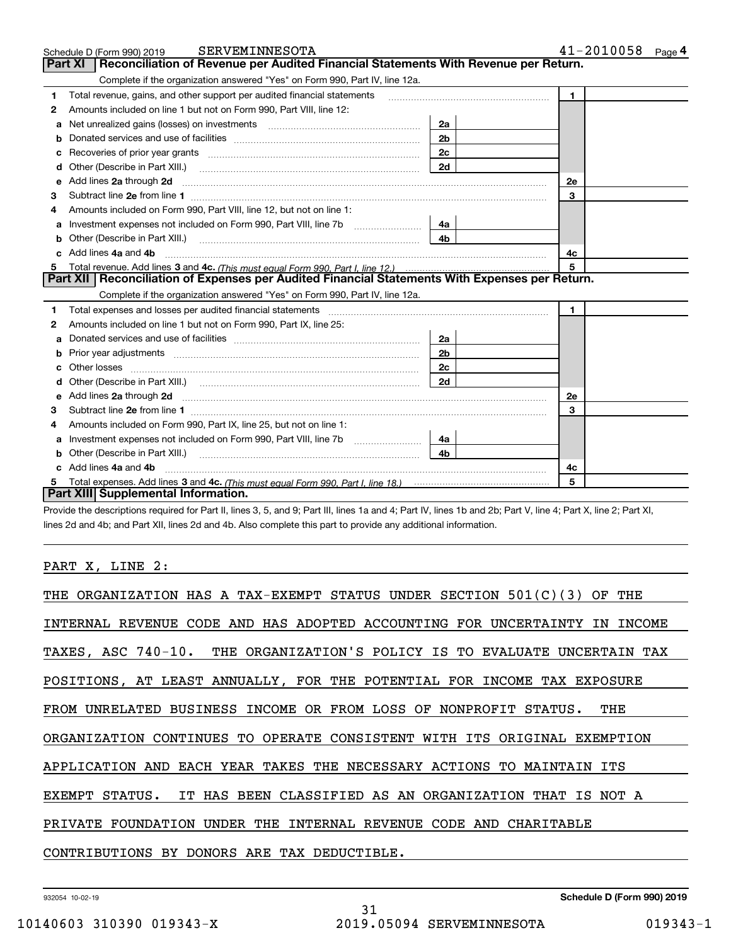|   | SERVEMINNESOTA<br>Schedule D (Form 990) 2019                                                                                                                                                                                         |                | $41 - 2010058$ Page 4 |  |
|---|--------------------------------------------------------------------------------------------------------------------------------------------------------------------------------------------------------------------------------------|----------------|-----------------------|--|
|   | Part XI<br>Reconciliation of Revenue per Audited Financial Statements With Revenue per Return.                                                                                                                                       |                |                       |  |
|   | Complete if the organization answered "Yes" on Form 990, Part IV, line 12a.                                                                                                                                                          |                |                       |  |
| 1 | Total revenue, gains, and other support per audited financial statements                                                                                                                                                             |                | $\mathbf{1}$          |  |
| 2 | Amounts included on line 1 but not on Form 990, Part VIII, line 12:                                                                                                                                                                  |                |                       |  |
| a | Net unrealized gains (losses) on investments [11] matter contains the unrealized gains (losses) on investments                                                                                                                       | 2a             |                       |  |
| b |                                                                                                                                                                                                                                      | 2 <sub>b</sub> |                       |  |
| c |                                                                                                                                                                                                                                      | 2c             |                       |  |
| d | Other (Describe in Part XIII.)                                                                                                                                                                                                       | 2d             |                       |  |
| е | Add lines 2a through 2d <b>must be a constructed as the constant of the S2a</b> through 2d mess construction of the construction of the construction of the construction of the construction of the construction of the constructio  |                | <b>2e</b>             |  |
| З |                                                                                                                                                                                                                                      |                | 3                     |  |
|   | Amounts included on Form 990, Part VIII, line 12, but not on line 1:                                                                                                                                                                 |                |                       |  |
| a |                                                                                                                                                                                                                                      | 4a             |                       |  |
| b | Other (Describe in Part XIII.) <b>Construction Contract Construction</b> Chemistry Chemistry Chemistry Chemistry Chemistry                                                                                                           | 4 <sub>b</sub> |                       |  |
|   | Add lines 4a and 4b                                                                                                                                                                                                                  |                | 4с                    |  |
| 5 |                                                                                                                                                                                                                                      |                | $\overline{5}$        |  |
|   | Part XII   Reconciliation of Expenses per Audited Financial Statements With Expenses per Return.                                                                                                                                     |                |                       |  |
|   | Complete if the organization answered "Yes" on Form 990, Part IV, line 12a.                                                                                                                                                          |                |                       |  |
| 1 | Total expenses and losses per audited financial statements [11] [11] Total expenses and losses per audited financial statements [11] [11] Total expenses and losses per audited financial statements                                 |                | $\blacksquare$        |  |
| 2 | Amounts included on line 1 but not on Form 990, Part IX, line 25:                                                                                                                                                                    |                |                       |  |
| a |                                                                                                                                                                                                                                      | 2a             |                       |  |
| b |                                                                                                                                                                                                                                      | 2b             |                       |  |
|   | Other losses <b>with a contract the contract of the contract of the contract of the contract of the contract of the contract of the contract of the contract of the contract of the contract of the contract of the contract of </b> | 2c             |                       |  |
|   |                                                                                                                                                                                                                                      | 2d             |                       |  |
| е | Add lines 2a through 2d <b>contained a contained a contained a contained a</b> contained a contained a contained a contained a contained a contained a contained a contained a contained a contained a contained a contained a cont  |                | <b>2e</b>             |  |
| З |                                                                                                                                                                                                                                      |                | 3                     |  |
| 4 | Amounts included on Form 990, Part IX, line 25, but not on line 1:                                                                                                                                                                   |                |                       |  |
| a | Investment expenses not included on Form 990, Part VIII, line 7b [1000000000000000000000000000000000                                                                                                                                 | 4a             |                       |  |
| b |                                                                                                                                                                                                                                      | 4b             |                       |  |
|   | Add lines 4a and 4b                                                                                                                                                                                                                  |                | 4c                    |  |
|   |                                                                                                                                                                                                                                      |                | 5                     |  |
|   | Part XIII Supplemental Information.                                                                                                                                                                                                  |                |                       |  |

Provide the descriptions required for Part II, lines 3, 5, and 9; Part III, lines 1a and 4; Part IV, lines 1b and 2b; Part V, line 4; Part X, line 2; Part XI, lines 2d and 4b; and Part XII, lines 2d and 4b. Also complete this part to provide any additional information.

# PART X, LINE 2:

| THE ORGANIZATION HAS A TAX-EXEMPT STATUS UNDER SECTION 501(C)(3) OF THE    |
|----------------------------------------------------------------------------|
| INTERNAL REVENUE CODE AND HAS ADOPTED ACCOUNTING FOR UNCERTAINTY IN INCOME |
| TAXES, ASC 740-10. THE ORGANIZATION'S POLICY IS TO EVALUATE UNCERTAIN TAX  |
| POSITIONS, AT LEAST ANNUALLY, FOR THE POTENTIAL FOR INCOME TAX EXPOSURE    |
| FROM UNRELATED BUSINESS INCOME OR FROM LOSS OF NONPROFIT STATUS. THE       |
| ORGANIZATION CONTINUES TO OPERATE CONSISTENT WITH ITS ORIGINAL EXEMPTION   |
| APPLICATION AND EACH YEAR TAKES THE NECESSARY ACTIONS TO MAINTAIN ITS      |
| EXEMPT STATUS. IT HAS BEEN CLASSIFIED AS AN ORGANIZATION THAT IS NOT A     |
| PRIVATE FOUNDATION UNDER THE INTERNAL REVENUE CODE AND CHARITABLE          |
| CONTRIBUTIONS BY DONORS ARE TAX DEDUCTIBLE.                                |
|                                                                            |

932054 10-02-19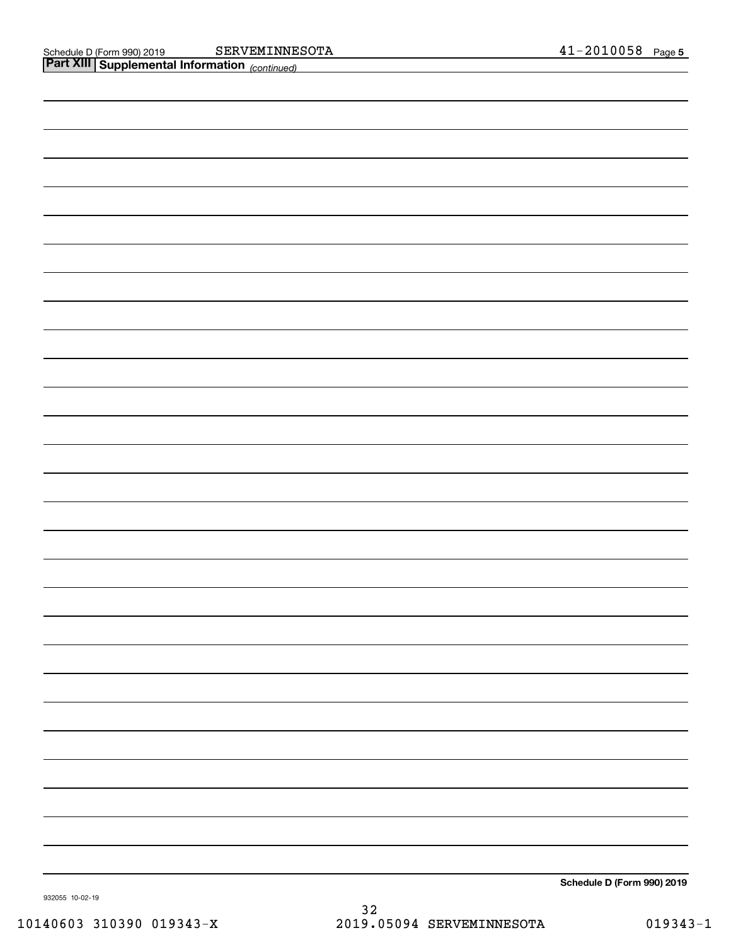Schedule D (Form 990) 2019 SERVEMINNESOTA 4 L-ZUIUU58 Page SERVEMINNESOTA

| <b>Part XIII Supplemental Information</b> (continued) |                            |
|-------------------------------------------------------|----------------------------|
|                                                       |                            |
|                                                       |                            |
|                                                       |                            |
|                                                       |                            |
|                                                       |                            |
|                                                       |                            |
|                                                       |                            |
|                                                       |                            |
|                                                       |                            |
|                                                       |                            |
|                                                       |                            |
|                                                       |                            |
|                                                       |                            |
|                                                       |                            |
|                                                       |                            |
|                                                       |                            |
|                                                       |                            |
|                                                       |                            |
|                                                       |                            |
|                                                       |                            |
|                                                       |                            |
|                                                       |                            |
|                                                       |                            |
|                                                       |                            |
|                                                       |                            |
|                                                       |                            |
|                                                       |                            |
|                                                       |                            |
|                                                       |                            |
|                                                       |                            |
|                                                       | Schedule D (Form 990) 2019 |

932055 10-02-19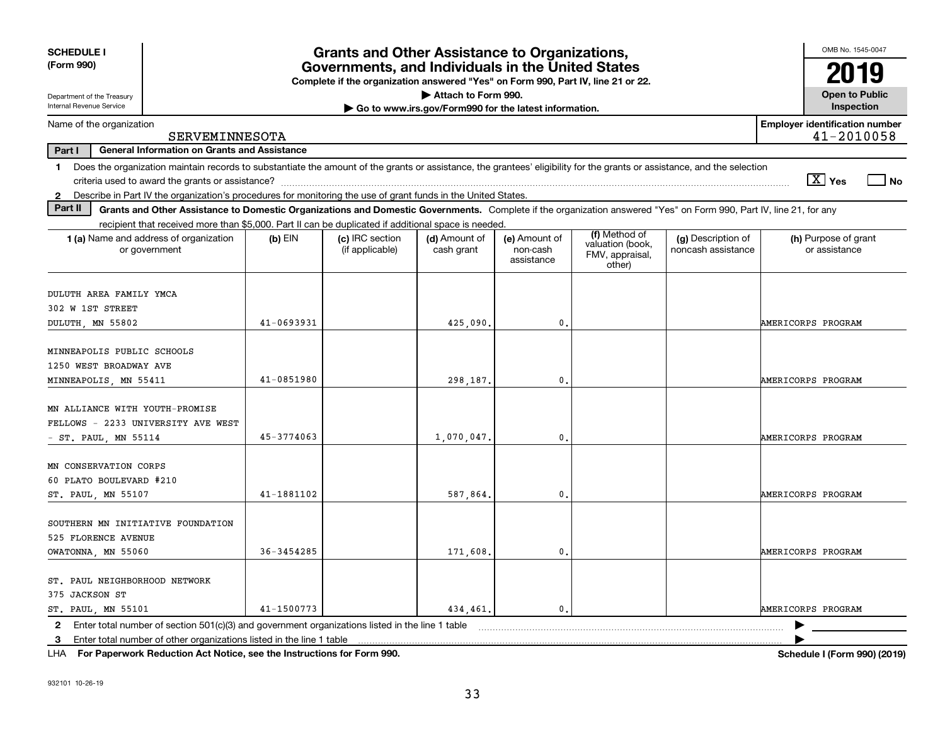| <b>SCHEDULE I</b><br>(Form 990)                                                                                                                                                                                                                                                                                                                        |                | <b>Grants and Other Assistance to Organizations,</b><br>Governments, and Individuals in the United States<br>Complete if the organization answered "Yes" on Form 990, Part IV, line 21 or 22. |                                                                              |                                         |                                                                |                                          | OMB No. 1545-0047<br>2019             |  |  |
|--------------------------------------------------------------------------------------------------------------------------------------------------------------------------------------------------------------------------------------------------------------------------------------------------------------------------------------------------------|----------------|-----------------------------------------------------------------------------------------------------------------------------------------------------------------------------------------------|------------------------------------------------------------------------------|-----------------------------------------|----------------------------------------------------------------|------------------------------------------|---------------------------------------|--|--|
| Department of the Treasury<br>Internal Revenue Service                                                                                                                                                                                                                                                                                                 |                |                                                                                                                                                                                               | Attach to Form 990.<br>Go to www.irs.gov/Form990 for the latest information. |                                         |                                                                |                                          | <b>Open to Public</b><br>Inspection   |  |  |
| <b>Employer identification number</b><br>Name of the organization<br>41-2010058<br><b>SERVEMINNESOTA</b>                                                                                                                                                                                                                                               |                |                                                                                                                                                                                               |                                                                              |                                         |                                                                |                                          |                                       |  |  |
| Part I<br><b>General Information on Grants and Assistance</b>                                                                                                                                                                                                                                                                                          |                |                                                                                                                                                                                               |                                                                              |                                         |                                                                |                                          |                                       |  |  |
| Does the organization maintain records to substantiate the amount of the grants or assistance, the grantees' eligibility for the grants or assistance, and the selection<br>1.<br>$\boxed{\text{X}}$ Yes<br><b>No</b><br>Describe in Part IV the organization's procedures for monitoring the use of grant funds in the United States.<br>$\mathbf{2}$ |                |                                                                                                                                                                                               |                                                                              |                                         |                                                                |                                          |                                       |  |  |
| Part II<br>Grants and Other Assistance to Domestic Organizations and Domestic Governments. Complete if the organization answered "Yes" on Form 990, Part IV, line 21, for any                                                                                                                                                                          |                |                                                                                                                                                                                               |                                                                              |                                         |                                                                |                                          |                                       |  |  |
| recipient that received more than \$5,000. Part II can be duplicated if additional space is needed.                                                                                                                                                                                                                                                    |                |                                                                                                                                                                                               |                                                                              |                                         |                                                                |                                          |                                       |  |  |
| 1 (a) Name and address of organization<br>or government                                                                                                                                                                                                                                                                                                | $(b)$ EIN      | (c) IRC section<br>(if applicable)                                                                                                                                                            | (d) Amount of<br>cash grant                                                  | (e) Amount of<br>non-cash<br>assistance | (f) Method of<br>valuation (book,<br>FMV, appraisal,<br>other) | (g) Description of<br>noncash assistance | (h) Purpose of grant<br>or assistance |  |  |
| DULUTH AREA FAMILY YMCA<br>302 W 1ST STREET                                                                                                                                                                                                                                                                                                            |                |                                                                                                                                                                                               |                                                                              |                                         |                                                                |                                          |                                       |  |  |
| DULUTH MN 55802                                                                                                                                                                                                                                                                                                                                        | 41-0693931     |                                                                                                                                                                                               | 425,090.                                                                     | 0.                                      |                                                                |                                          | AMERICORPS PROGRAM                    |  |  |
| MINNEAPOLIS PUBLIC SCHOOLS<br>1250 WEST BROADWAY AVE<br>MINNEAPOLIS, MN 55411                                                                                                                                                                                                                                                                          | $41 - 0851980$ |                                                                                                                                                                                               | 298,187.                                                                     | 0.                                      |                                                                |                                          | AMERICORPS PROGRAM                    |  |  |
| MN ALLIANCE WITH YOUTH-PROMISE<br>FELLOWS - 2233 UNIVERSITY AVE WEST<br>ST. PAUL, MN 55114                                                                                                                                                                                                                                                             | $45 - 3774063$ |                                                                                                                                                                                               | 1,070,047.                                                                   | 0.                                      |                                                                |                                          | AMERICORPS PROGRAM                    |  |  |
| MN CONSERVATION CORPS<br>60 PLATO BOULEVARD #210<br>ST. PAUL, MN 55107                                                                                                                                                                                                                                                                                 | 41-1881102     |                                                                                                                                                                                               | 587,864.                                                                     | 0.                                      |                                                                |                                          | AMERICORPS PROGRAM                    |  |  |
| SOUTHERN MN INITIATIVE FOUNDATION<br>525 FLORENCE AVENUE<br>OWATONNA, MN 55060                                                                                                                                                                                                                                                                         | 36-3454285     |                                                                                                                                                                                               | 171,608.                                                                     | 0.                                      |                                                                |                                          | AMERICORPS PROGRAM                    |  |  |
| ST. PAUL NEIGHBORHOOD NETWORK<br>375 JACKSON ST<br>ST. PAUL, MN 55101                                                                                                                                                                                                                                                                                  | 41-1500773     |                                                                                                                                                                                               | 434,461.                                                                     | $\mathbf{0}$ .                          |                                                                |                                          | AMERICORPS PROGRAM                    |  |  |
| Enter total number of section $501(c)(3)$ and government organizations listed in the line 1 table<br>$\mathbf{2}$<br>Enter total number of other organizations listed in the line 1 table<br>3                                                                                                                                                         |                |                                                                                                                                                                                               |                                                                              |                                         |                                                                |                                          |                                       |  |  |

**For Paperwork Reduction Act Notice, see the Instructions for Form 990. Schedule I (Form 990) (2019)** LHA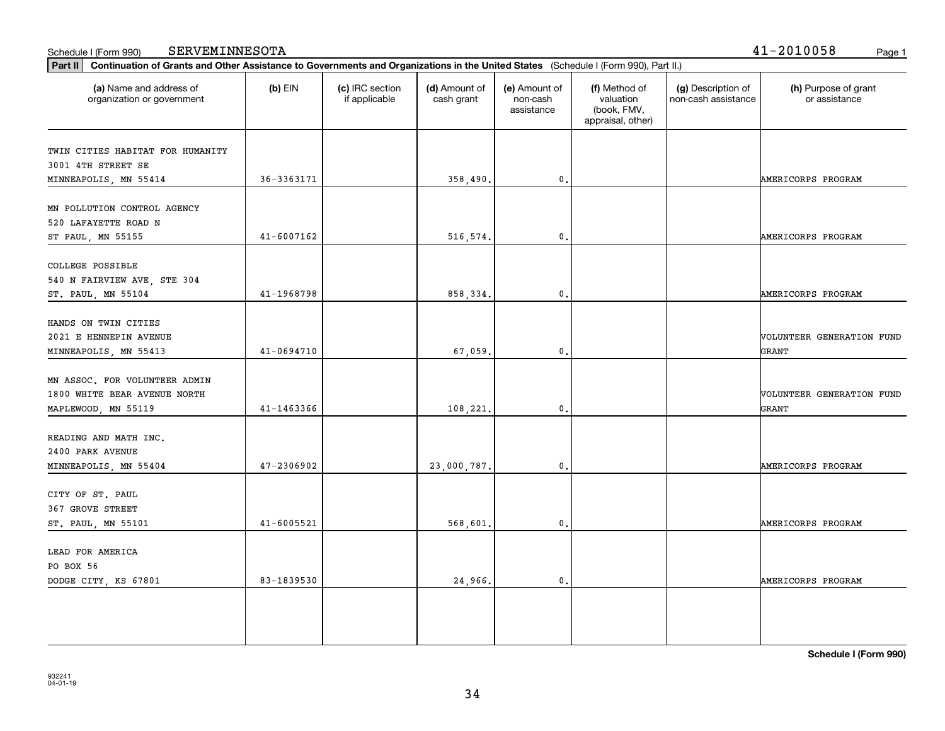| (a) Name and address of<br>organization or government                                | $(b)$ EIN      | (c) IRC section<br>if applicable | (d) Amount of<br>cash grant | (e) Amount of<br>non-cash<br>assistance | (f) Method of<br>valuation<br>(book, FMV,<br>appraisal, other) | (g) Description of<br>non-cash assistance | (h) Purpose of grant<br>or assistance            |
|--------------------------------------------------------------------------------------|----------------|----------------------------------|-----------------------------|-----------------------------------------|----------------------------------------------------------------|-------------------------------------------|--------------------------------------------------|
| TWIN CITIES HABITAT FOR HUMANITY<br>3001 4TH STREET SE<br>MINNEAPOLIS, MN 55414      | 36-3363171     |                                  | 358,490.                    | $\mathbf{0}$ .                          |                                                                |                                           | AMERICORPS PROGRAM                               |
| MN POLLUTION CONTROL AGENCY<br>520 LAFAYETTE ROAD N<br>ST PAUL, MN 55155             | $41 - 6007162$ |                                  | 516,574.                    | $\mathbf{0}$ .                          |                                                                |                                           | AMERICORPS PROGRAM                               |
| COLLEGE POSSIBLE<br>540 N FAIRVIEW AVE, STE 304<br>ST. PAUL, MN 55104                | 41-1968798     |                                  | 858,334.                    | $\mathfrak{o}$ .                        |                                                                |                                           | AMERICORPS PROGRAM                               |
| HANDS ON TWIN CITIES<br>2021 E HENNEPIN AVENUE<br>MINNEAPOLIS, MN 55413              | $41 - 0694710$ |                                  | 67,059.                     | $\mathbf{0}$ .                          |                                                                |                                           | <b><i>NOLUNTEER GENERATION FUND</i></b><br>GRANT |
| MN ASSOC. FOR VOLUNTEER ADMIN<br>1800 WHITE BEAR AVENUE NORTH<br>MAPLEWOOD, MN 55119 | $41 - 1463366$ |                                  | 108,221.                    | $\mathbf{0}$ .                          |                                                                |                                           | VOLUNTEER GENERATION FUND<br>GRANT               |
| READING AND MATH INC.<br>2400 PARK AVENUE<br>MINNEAPOLIS, MN 55404                   | 47-2306902     |                                  | 23,000,787.                 | $\mathbf{0}$ .                          |                                                                |                                           | AMERICORPS PROGRAM                               |
| CITY OF ST. PAUL<br>367 GROVE STREET<br>ST. PAUL, MN 55101                           | $41 - 6005521$ |                                  | 568,601                     | $\mathfrak{o}$ .                        |                                                                |                                           | AMERICORPS PROGRAM                               |
| LEAD FOR AMERICA<br>PO BOX 56<br>DODGE CITY, KS 67801                                | 83-1839530     |                                  | 24,966.                     | $\mathfrak o$ .                         |                                                                |                                           | AMERICORPS PROGRAM                               |
|                                                                                      |                |                                  |                             |                                         |                                                                |                                           |                                                  |

**Part II Continuation of Grants and Other Assistance to Governments and Organizations in the United States**  (Schedule I (Form 990), Part II.)

**Schedule I (Form 990)**

Schedule I (Form 990) Page 1 SERVEMINNESOTA 41-2010058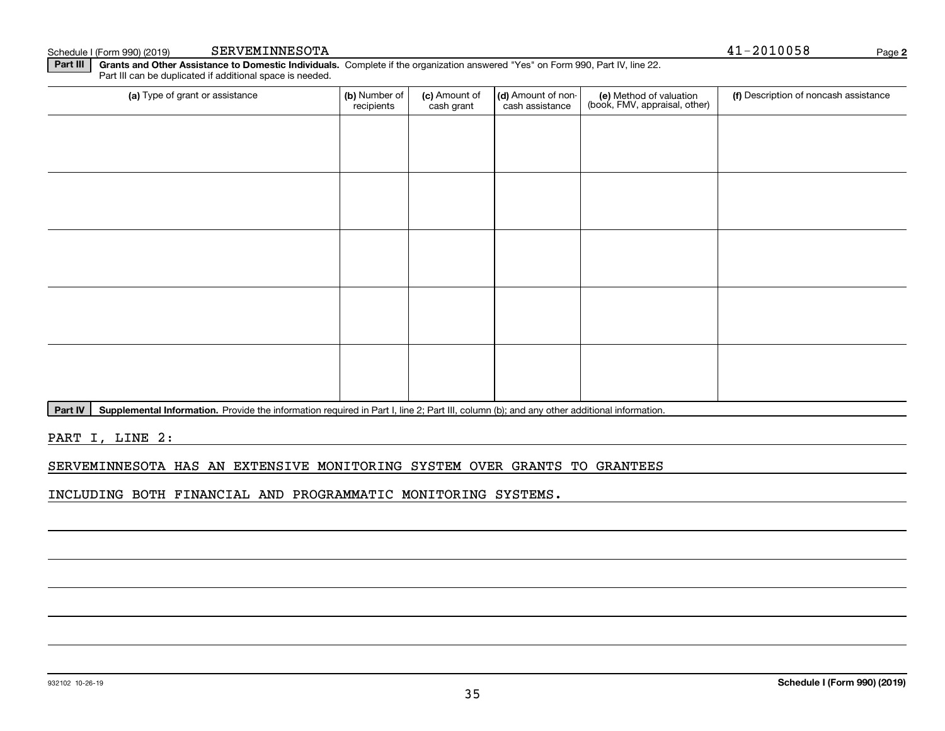#### Schedule I (Form 990) (2019) SERVEMINNESOTA  $41 - 2010058$ SERVEMINNESOTA

**Part III** | Grants and Other Assistance to Domestic Individuals. Complete if the organization answered "Yes" on Form 990, Part IV, line 22. Part III can be duplicated if additional space is needed.

| (a) Type of grant or assistance | (b) Number of<br>recipients | (c) Amount of<br>cash grant | (d) Amount of non-<br>cash assistance | (e) Method of valuation<br>(book, FMV, appraisal, other) | (f) Description of noncash assistance |
|---------------------------------|-----------------------------|-----------------------------|---------------------------------------|----------------------------------------------------------|---------------------------------------|
|                                 |                             |                             |                                       |                                                          |                                       |
|                                 |                             |                             |                                       |                                                          |                                       |
|                                 |                             |                             |                                       |                                                          |                                       |
|                                 |                             |                             |                                       |                                                          |                                       |
|                                 |                             |                             |                                       |                                                          |                                       |
|                                 |                             |                             |                                       |                                                          |                                       |
|                                 |                             |                             |                                       |                                                          |                                       |
|                                 |                             |                             |                                       |                                                          |                                       |
|                                 |                             |                             |                                       |                                                          |                                       |
|                                 |                             |                             |                                       |                                                          |                                       |

Part IV | Supplemental Information. Provide the information required in Part I, line 2; Part III, column (b); and any other additional information.

PART I, LINE 2:

## SERVEMINNESOTA HAS AN EXTENSIVE MONITORING SYSTEM OVER GRANTS TO GRANTEES

INCLUDING BOTH FINANCIAL AND PROGRAMMATIC MONITORING SYSTEMS.

**2**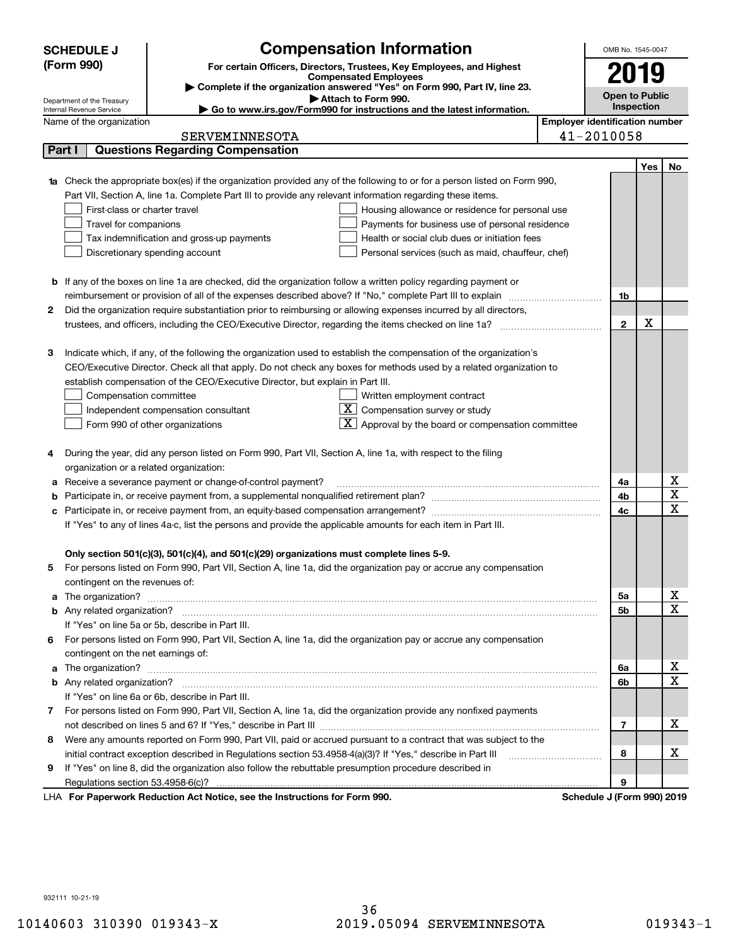| (Form 990)<br>For certain Officers, Directors, Trustees, Key Employees, and Highest<br>2019<br><b>Compensated Employees</b><br>Complete if the organization answered "Yes" on Form 990, Part IV, line 23.<br><b>Open to Public</b><br>Attach to Form 990.<br>Department of the Treasury<br>Inspection<br>Go to www.irs.gov/Form990 for instructions and the latest information.<br>Internal Revenue Service<br><b>Employer identification number</b><br>Name of the organization<br>41-2010058<br>SERVEMINNESOTA<br><b>Questions Regarding Compensation</b><br>Part I<br>Yes<br>No<br>Check the appropriate box(es) if the organization provided any of the following to or for a person listed on Form 990,<br>Part VII, Section A, line 1a. Complete Part III to provide any relevant information regarding these items.<br>First-class or charter travel<br>Housing allowance or residence for personal use<br>Travel for companions<br>Payments for business use of personal residence<br>Health or social club dues or initiation fees<br>Tax indemnification and gross-up payments<br>Discretionary spending account<br>Personal services (such as maid, chauffeur, chef)<br><b>b</b> If any of the boxes on line 1a are checked, did the organization follow a written policy regarding payment or<br>1b<br>Did the organization require substantiation prior to reimbursing or allowing expenses incurred by all directors,<br>2<br>X<br>$\mathbf{2}$<br>3<br>Indicate which, if any, of the following the organization used to establish the compensation of the organization's<br>CEO/Executive Director. Check all that apply. Do not check any boxes for methods used by a related organization to<br>establish compensation of the CEO/Executive Director, but explain in Part III.<br>Compensation committee<br>Written employment contract<br>$\overline{X}$ Compensation survey or study<br>Independent compensation consultant<br>$\boxed{\textbf{X}}$ Approval by the board or compensation committee<br>Form 990 of other organizations<br>During the year, did any person listed on Form 990, Part VII, Section A, line 1a, with respect to the filing<br>4<br>organization or a related organization:<br>Χ<br>Receive a severance payment or change-of-control payment?<br>4a<br>а<br>$\overline{\textbf{X}}$<br>4b<br>$\mathbf X$<br>4c<br>If "Yes" to any of lines 4a-c, list the persons and provide the applicable amounts for each item in Part III.<br>Only section 501(c)(3), 501(c)(4), and 501(c)(29) organizations must complete lines 5-9.<br>For persons listed on Form 990, Part VII, Section A, line 1a, did the organization pay or accrue any compensation<br>contingent on the revenues of:<br>x<br>5a<br>a<br>$\overline{\mathbf{x}}$<br>5b<br>If "Yes" on line 5a or 5b, describe in Part III.<br>6 For persons listed on Form 990, Part VII, Section A, line 1a, did the organization pay or accrue any compensation<br>contingent on the net earnings of:<br>х<br>The organization? <b>With the contract of the contract of the contract of the contract of the contract of the contract of the contract of the contract of the contract of the contract of the contract of the contract of the co</b><br>6a<br>a<br>$\overline{\mathbf{x}}$<br>6b<br>If "Yes" on line 6a or 6b, describe in Part III.<br>7 For persons listed on Form 990, Part VII, Section A, line 1a, did the organization provide any nonfixed payments | <b>SCHEDULE J</b> | <b>Compensation Information</b> |  | OMB No. 1545-0047 |  |
|------------------------------------------------------------------------------------------------------------------------------------------------------------------------------------------------------------------------------------------------------------------------------------------------------------------------------------------------------------------------------------------------------------------------------------------------------------------------------------------------------------------------------------------------------------------------------------------------------------------------------------------------------------------------------------------------------------------------------------------------------------------------------------------------------------------------------------------------------------------------------------------------------------------------------------------------------------------------------------------------------------------------------------------------------------------------------------------------------------------------------------------------------------------------------------------------------------------------------------------------------------------------------------------------------------------------------------------------------------------------------------------------------------------------------------------------------------------------------------------------------------------------------------------------------------------------------------------------------------------------------------------------------------------------------------------------------------------------------------------------------------------------------------------------------------------------------------------------------------------------------------------------------------------------------------------------------------------------------------------------------------------------------------------------------------------------------------------------------------------------------------------------------------------------------------------------------------------------------------------------------------------------------------------------------------------------------------------------------------------------------------------------------------------------------------------------------------------------------------------------------------------------------------------------------------------------------------------------------------------------------------------------------------------------------------------------------------------------------------------------------------------------------------------------------------------------------------------------------------------------------------------------------------------------------------------------------------------------------------------------------------------------------------------------------------------------------------------------------------------------------------------------------------------------------------------------------------------------------------------------------------------------------------------------------------------------------------------------------------------------------------------------------------------------------------------------------------------------|-------------------|---------------------------------|--|-------------------|--|
|                                                                                                                                                                                                                                                                                                                                                                                                                                                                                                                                                                                                                                                                                                                                                                                                                                                                                                                                                                                                                                                                                                                                                                                                                                                                                                                                                                                                                                                                                                                                                                                                                                                                                                                                                                                                                                                                                                                                                                                                                                                                                                                                                                                                                                                                                                                                                                                                                                                                                                                                                                                                                                                                                                                                                                                                                                                                                                                                                                                                                                                                                                                                                                                                                                                                                                                                                                                                                                                                        |                   |                                 |  |                   |  |
|                                                                                                                                                                                                                                                                                                                                                                                                                                                                                                                                                                                                                                                                                                                                                                                                                                                                                                                                                                                                                                                                                                                                                                                                                                                                                                                                                                                                                                                                                                                                                                                                                                                                                                                                                                                                                                                                                                                                                                                                                                                                                                                                                                                                                                                                                                                                                                                                                                                                                                                                                                                                                                                                                                                                                                                                                                                                                                                                                                                                                                                                                                                                                                                                                                                                                                                                                                                                                                                                        |                   |                                 |  |                   |  |
|                                                                                                                                                                                                                                                                                                                                                                                                                                                                                                                                                                                                                                                                                                                                                                                                                                                                                                                                                                                                                                                                                                                                                                                                                                                                                                                                                                                                                                                                                                                                                                                                                                                                                                                                                                                                                                                                                                                                                                                                                                                                                                                                                                                                                                                                                                                                                                                                                                                                                                                                                                                                                                                                                                                                                                                                                                                                                                                                                                                                                                                                                                                                                                                                                                                                                                                                                                                                                                                                        |                   |                                 |  |                   |  |
|                                                                                                                                                                                                                                                                                                                                                                                                                                                                                                                                                                                                                                                                                                                                                                                                                                                                                                                                                                                                                                                                                                                                                                                                                                                                                                                                                                                                                                                                                                                                                                                                                                                                                                                                                                                                                                                                                                                                                                                                                                                                                                                                                                                                                                                                                                                                                                                                                                                                                                                                                                                                                                                                                                                                                                                                                                                                                                                                                                                                                                                                                                                                                                                                                                                                                                                                                                                                                                                                        |                   |                                 |  |                   |  |
|                                                                                                                                                                                                                                                                                                                                                                                                                                                                                                                                                                                                                                                                                                                                                                                                                                                                                                                                                                                                                                                                                                                                                                                                                                                                                                                                                                                                                                                                                                                                                                                                                                                                                                                                                                                                                                                                                                                                                                                                                                                                                                                                                                                                                                                                                                                                                                                                                                                                                                                                                                                                                                                                                                                                                                                                                                                                                                                                                                                                                                                                                                                                                                                                                                                                                                                                                                                                                                                                        |                   |                                 |  |                   |  |
|                                                                                                                                                                                                                                                                                                                                                                                                                                                                                                                                                                                                                                                                                                                                                                                                                                                                                                                                                                                                                                                                                                                                                                                                                                                                                                                                                                                                                                                                                                                                                                                                                                                                                                                                                                                                                                                                                                                                                                                                                                                                                                                                                                                                                                                                                                                                                                                                                                                                                                                                                                                                                                                                                                                                                                                                                                                                                                                                                                                                                                                                                                                                                                                                                                                                                                                                                                                                                                                                        |                   |                                 |  |                   |  |
|                                                                                                                                                                                                                                                                                                                                                                                                                                                                                                                                                                                                                                                                                                                                                                                                                                                                                                                                                                                                                                                                                                                                                                                                                                                                                                                                                                                                                                                                                                                                                                                                                                                                                                                                                                                                                                                                                                                                                                                                                                                                                                                                                                                                                                                                                                                                                                                                                                                                                                                                                                                                                                                                                                                                                                                                                                                                                                                                                                                                                                                                                                                                                                                                                                                                                                                                                                                                                                                                        |                   |                                 |  |                   |  |
|                                                                                                                                                                                                                                                                                                                                                                                                                                                                                                                                                                                                                                                                                                                                                                                                                                                                                                                                                                                                                                                                                                                                                                                                                                                                                                                                                                                                                                                                                                                                                                                                                                                                                                                                                                                                                                                                                                                                                                                                                                                                                                                                                                                                                                                                                                                                                                                                                                                                                                                                                                                                                                                                                                                                                                                                                                                                                                                                                                                                                                                                                                                                                                                                                                                                                                                                                                                                                                                                        |                   |                                 |  |                   |  |
|                                                                                                                                                                                                                                                                                                                                                                                                                                                                                                                                                                                                                                                                                                                                                                                                                                                                                                                                                                                                                                                                                                                                                                                                                                                                                                                                                                                                                                                                                                                                                                                                                                                                                                                                                                                                                                                                                                                                                                                                                                                                                                                                                                                                                                                                                                                                                                                                                                                                                                                                                                                                                                                                                                                                                                                                                                                                                                                                                                                                                                                                                                                                                                                                                                                                                                                                                                                                                                                                        |                   |                                 |  |                   |  |
|                                                                                                                                                                                                                                                                                                                                                                                                                                                                                                                                                                                                                                                                                                                                                                                                                                                                                                                                                                                                                                                                                                                                                                                                                                                                                                                                                                                                                                                                                                                                                                                                                                                                                                                                                                                                                                                                                                                                                                                                                                                                                                                                                                                                                                                                                                                                                                                                                                                                                                                                                                                                                                                                                                                                                                                                                                                                                                                                                                                                                                                                                                                                                                                                                                                                                                                                                                                                                                                                        |                   |                                 |  |                   |  |
|                                                                                                                                                                                                                                                                                                                                                                                                                                                                                                                                                                                                                                                                                                                                                                                                                                                                                                                                                                                                                                                                                                                                                                                                                                                                                                                                                                                                                                                                                                                                                                                                                                                                                                                                                                                                                                                                                                                                                                                                                                                                                                                                                                                                                                                                                                                                                                                                                                                                                                                                                                                                                                                                                                                                                                                                                                                                                                                                                                                                                                                                                                                                                                                                                                                                                                                                                                                                                                                                        |                   |                                 |  |                   |  |
|                                                                                                                                                                                                                                                                                                                                                                                                                                                                                                                                                                                                                                                                                                                                                                                                                                                                                                                                                                                                                                                                                                                                                                                                                                                                                                                                                                                                                                                                                                                                                                                                                                                                                                                                                                                                                                                                                                                                                                                                                                                                                                                                                                                                                                                                                                                                                                                                                                                                                                                                                                                                                                                                                                                                                                                                                                                                                                                                                                                                                                                                                                                                                                                                                                                                                                                                                                                                                                                                        |                   |                                 |  |                   |  |
|                                                                                                                                                                                                                                                                                                                                                                                                                                                                                                                                                                                                                                                                                                                                                                                                                                                                                                                                                                                                                                                                                                                                                                                                                                                                                                                                                                                                                                                                                                                                                                                                                                                                                                                                                                                                                                                                                                                                                                                                                                                                                                                                                                                                                                                                                                                                                                                                                                                                                                                                                                                                                                                                                                                                                                                                                                                                                                                                                                                                                                                                                                                                                                                                                                                                                                                                                                                                                                                                        |                   |                                 |  |                   |  |
|                                                                                                                                                                                                                                                                                                                                                                                                                                                                                                                                                                                                                                                                                                                                                                                                                                                                                                                                                                                                                                                                                                                                                                                                                                                                                                                                                                                                                                                                                                                                                                                                                                                                                                                                                                                                                                                                                                                                                                                                                                                                                                                                                                                                                                                                                                                                                                                                                                                                                                                                                                                                                                                                                                                                                                                                                                                                                                                                                                                                                                                                                                                                                                                                                                                                                                                                                                                                                                                                        |                   |                                 |  |                   |  |
|                                                                                                                                                                                                                                                                                                                                                                                                                                                                                                                                                                                                                                                                                                                                                                                                                                                                                                                                                                                                                                                                                                                                                                                                                                                                                                                                                                                                                                                                                                                                                                                                                                                                                                                                                                                                                                                                                                                                                                                                                                                                                                                                                                                                                                                                                                                                                                                                                                                                                                                                                                                                                                                                                                                                                                                                                                                                                                                                                                                                                                                                                                                                                                                                                                                                                                                                                                                                                                                                        |                   |                                 |  |                   |  |
|                                                                                                                                                                                                                                                                                                                                                                                                                                                                                                                                                                                                                                                                                                                                                                                                                                                                                                                                                                                                                                                                                                                                                                                                                                                                                                                                                                                                                                                                                                                                                                                                                                                                                                                                                                                                                                                                                                                                                                                                                                                                                                                                                                                                                                                                                                                                                                                                                                                                                                                                                                                                                                                                                                                                                                                                                                                                                                                                                                                                                                                                                                                                                                                                                                                                                                                                                                                                                                                                        |                   |                                 |  |                   |  |
|                                                                                                                                                                                                                                                                                                                                                                                                                                                                                                                                                                                                                                                                                                                                                                                                                                                                                                                                                                                                                                                                                                                                                                                                                                                                                                                                                                                                                                                                                                                                                                                                                                                                                                                                                                                                                                                                                                                                                                                                                                                                                                                                                                                                                                                                                                                                                                                                                                                                                                                                                                                                                                                                                                                                                                                                                                                                                                                                                                                                                                                                                                                                                                                                                                                                                                                                                                                                                                                                        |                   |                                 |  |                   |  |
|                                                                                                                                                                                                                                                                                                                                                                                                                                                                                                                                                                                                                                                                                                                                                                                                                                                                                                                                                                                                                                                                                                                                                                                                                                                                                                                                                                                                                                                                                                                                                                                                                                                                                                                                                                                                                                                                                                                                                                                                                                                                                                                                                                                                                                                                                                                                                                                                                                                                                                                                                                                                                                                                                                                                                                                                                                                                                                                                                                                                                                                                                                                                                                                                                                                                                                                                                                                                                                                                        |                   |                                 |  |                   |  |
|                                                                                                                                                                                                                                                                                                                                                                                                                                                                                                                                                                                                                                                                                                                                                                                                                                                                                                                                                                                                                                                                                                                                                                                                                                                                                                                                                                                                                                                                                                                                                                                                                                                                                                                                                                                                                                                                                                                                                                                                                                                                                                                                                                                                                                                                                                                                                                                                                                                                                                                                                                                                                                                                                                                                                                                                                                                                                                                                                                                                                                                                                                                                                                                                                                                                                                                                                                                                                                                                        |                   |                                 |  |                   |  |
|                                                                                                                                                                                                                                                                                                                                                                                                                                                                                                                                                                                                                                                                                                                                                                                                                                                                                                                                                                                                                                                                                                                                                                                                                                                                                                                                                                                                                                                                                                                                                                                                                                                                                                                                                                                                                                                                                                                                                                                                                                                                                                                                                                                                                                                                                                                                                                                                                                                                                                                                                                                                                                                                                                                                                                                                                                                                                                                                                                                                                                                                                                                                                                                                                                                                                                                                                                                                                                                                        |                   |                                 |  |                   |  |
|                                                                                                                                                                                                                                                                                                                                                                                                                                                                                                                                                                                                                                                                                                                                                                                                                                                                                                                                                                                                                                                                                                                                                                                                                                                                                                                                                                                                                                                                                                                                                                                                                                                                                                                                                                                                                                                                                                                                                                                                                                                                                                                                                                                                                                                                                                                                                                                                                                                                                                                                                                                                                                                                                                                                                                                                                                                                                                                                                                                                                                                                                                                                                                                                                                                                                                                                                                                                                                                                        |                   |                                 |  |                   |  |
|                                                                                                                                                                                                                                                                                                                                                                                                                                                                                                                                                                                                                                                                                                                                                                                                                                                                                                                                                                                                                                                                                                                                                                                                                                                                                                                                                                                                                                                                                                                                                                                                                                                                                                                                                                                                                                                                                                                                                                                                                                                                                                                                                                                                                                                                                                                                                                                                                                                                                                                                                                                                                                                                                                                                                                                                                                                                                                                                                                                                                                                                                                                                                                                                                                                                                                                                                                                                                                                                        |                   |                                 |  |                   |  |
|                                                                                                                                                                                                                                                                                                                                                                                                                                                                                                                                                                                                                                                                                                                                                                                                                                                                                                                                                                                                                                                                                                                                                                                                                                                                                                                                                                                                                                                                                                                                                                                                                                                                                                                                                                                                                                                                                                                                                                                                                                                                                                                                                                                                                                                                                                                                                                                                                                                                                                                                                                                                                                                                                                                                                                                                                                                                                                                                                                                                                                                                                                                                                                                                                                                                                                                                                                                                                                                                        |                   |                                 |  |                   |  |
|                                                                                                                                                                                                                                                                                                                                                                                                                                                                                                                                                                                                                                                                                                                                                                                                                                                                                                                                                                                                                                                                                                                                                                                                                                                                                                                                                                                                                                                                                                                                                                                                                                                                                                                                                                                                                                                                                                                                                                                                                                                                                                                                                                                                                                                                                                                                                                                                                                                                                                                                                                                                                                                                                                                                                                                                                                                                                                                                                                                                                                                                                                                                                                                                                                                                                                                                                                                                                                                                        |                   |                                 |  |                   |  |
|                                                                                                                                                                                                                                                                                                                                                                                                                                                                                                                                                                                                                                                                                                                                                                                                                                                                                                                                                                                                                                                                                                                                                                                                                                                                                                                                                                                                                                                                                                                                                                                                                                                                                                                                                                                                                                                                                                                                                                                                                                                                                                                                                                                                                                                                                                                                                                                                                                                                                                                                                                                                                                                                                                                                                                                                                                                                                                                                                                                                                                                                                                                                                                                                                                                                                                                                                                                                                                                                        |                   |                                 |  |                   |  |
|                                                                                                                                                                                                                                                                                                                                                                                                                                                                                                                                                                                                                                                                                                                                                                                                                                                                                                                                                                                                                                                                                                                                                                                                                                                                                                                                                                                                                                                                                                                                                                                                                                                                                                                                                                                                                                                                                                                                                                                                                                                                                                                                                                                                                                                                                                                                                                                                                                                                                                                                                                                                                                                                                                                                                                                                                                                                                                                                                                                                                                                                                                                                                                                                                                                                                                                                                                                                                                                                        |                   |                                 |  |                   |  |
|                                                                                                                                                                                                                                                                                                                                                                                                                                                                                                                                                                                                                                                                                                                                                                                                                                                                                                                                                                                                                                                                                                                                                                                                                                                                                                                                                                                                                                                                                                                                                                                                                                                                                                                                                                                                                                                                                                                                                                                                                                                                                                                                                                                                                                                                                                                                                                                                                                                                                                                                                                                                                                                                                                                                                                                                                                                                                                                                                                                                                                                                                                                                                                                                                                                                                                                                                                                                                                                                        |                   |                                 |  |                   |  |
|                                                                                                                                                                                                                                                                                                                                                                                                                                                                                                                                                                                                                                                                                                                                                                                                                                                                                                                                                                                                                                                                                                                                                                                                                                                                                                                                                                                                                                                                                                                                                                                                                                                                                                                                                                                                                                                                                                                                                                                                                                                                                                                                                                                                                                                                                                                                                                                                                                                                                                                                                                                                                                                                                                                                                                                                                                                                                                                                                                                                                                                                                                                                                                                                                                                                                                                                                                                                                                                                        |                   |                                 |  |                   |  |
|                                                                                                                                                                                                                                                                                                                                                                                                                                                                                                                                                                                                                                                                                                                                                                                                                                                                                                                                                                                                                                                                                                                                                                                                                                                                                                                                                                                                                                                                                                                                                                                                                                                                                                                                                                                                                                                                                                                                                                                                                                                                                                                                                                                                                                                                                                                                                                                                                                                                                                                                                                                                                                                                                                                                                                                                                                                                                                                                                                                                                                                                                                                                                                                                                                                                                                                                                                                                                                                                        |                   |                                 |  |                   |  |
|                                                                                                                                                                                                                                                                                                                                                                                                                                                                                                                                                                                                                                                                                                                                                                                                                                                                                                                                                                                                                                                                                                                                                                                                                                                                                                                                                                                                                                                                                                                                                                                                                                                                                                                                                                                                                                                                                                                                                                                                                                                                                                                                                                                                                                                                                                                                                                                                                                                                                                                                                                                                                                                                                                                                                                                                                                                                                                                                                                                                                                                                                                                                                                                                                                                                                                                                                                                                                                                                        |                   |                                 |  |                   |  |
|                                                                                                                                                                                                                                                                                                                                                                                                                                                                                                                                                                                                                                                                                                                                                                                                                                                                                                                                                                                                                                                                                                                                                                                                                                                                                                                                                                                                                                                                                                                                                                                                                                                                                                                                                                                                                                                                                                                                                                                                                                                                                                                                                                                                                                                                                                                                                                                                                                                                                                                                                                                                                                                                                                                                                                                                                                                                                                                                                                                                                                                                                                                                                                                                                                                                                                                                                                                                                                                                        |                   |                                 |  |                   |  |
|                                                                                                                                                                                                                                                                                                                                                                                                                                                                                                                                                                                                                                                                                                                                                                                                                                                                                                                                                                                                                                                                                                                                                                                                                                                                                                                                                                                                                                                                                                                                                                                                                                                                                                                                                                                                                                                                                                                                                                                                                                                                                                                                                                                                                                                                                                                                                                                                                                                                                                                                                                                                                                                                                                                                                                                                                                                                                                                                                                                                                                                                                                                                                                                                                                                                                                                                                                                                                                                                        |                   |                                 |  |                   |  |
|                                                                                                                                                                                                                                                                                                                                                                                                                                                                                                                                                                                                                                                                                                                                                                                                                                                                                                                                                                                                                                                                                                                                                                                                                                                                                                                                                                                                                                                                                                                                                                                                                                                                                                                                                                                                                                                                                                                                                                                                                                                                                                                                                                                                                                                                                                                                                                                                                                                                                                                                                                                                                                                                                                                                                                                                                                                                                                                                                                                                                                                                                                                                                                                                                                                                                                                                                                                                                                                                        |                   |                                 |  |                   |  |
|                                                                                                                                                                                                                                                                                                                                                                                                                                                                                                                                                                                                                                                                                                                                                                                                                                                                                                                                                                                                                                                                                                                                                                                                                                                                                                                                                                                                                                                                                                                                                                                                                                                                                                                                                                                                                                                                                                                                                                                                                                                                                                                                                                                                                                                                                                                                                                                                                                                                                                                                                                                                                                                                                                                                                                                                                                                                                                                                                                                                                                                                                                                                                                                                                                                                                                                                                                                                                                                                        |                   |                                 |  |                   |  |
|                                                                                                                                                                                                                                                                                                                                                                                                                                                                                                                                                                                                                                                                                                                                                                                                                                                                                                                                                                                                                                                                                                                                                                                                                                                                                                                                                                                                                                                                                                                                                                                                                                                                                                                                                                                                                                                                                                                                                                                                                                                                                                                                                                                                                                                                                                                                                                                                                                                                                                                                                                                                                                                                                                                                                                                                                                                                                                                                                                                                                                                                                                                                                                                                                                                                                                                                                                                                                                                                        |                   |                                 |  |                   |  |
|                                                                                                                                                                                                                                                                                                                                                                                                                                                                                                                                                                                                                                                                                                                                                                                                                                                                                                                                                                                                                                                                                                                                                                                                                                                                                                                                                                                                                                                                                                                                                                                                                                                                                                                                                                                                                                                                                                                                                                                                                                                                                                                                                                                                                                                                                                                                                                                                                                                                                                                                                                                                                                                                                                                                                                                                                                                                                                                                                                                                                                                                                                                                                                                                                                                                                                                                                                                                                                                                        |                   |                                 |  |                   |  |
|                                                                                                                                                                                                                                                                                                                                                                                                                                                                                                                                                                                                                                                                                                                                                                                                                                                                                                                                                                                                                                                                                                                                                                                                                                                                                                                                                                                                                                                                                                                                                                                                                                                                                                                                                                                                                                                                                                                                                                                                                                                                                                                                                                                                                                                                                                                                                                                                                                                                                                                                                                                                                                                                                                                                                                                                                                                                                                                                                                                                                                                                                                                                                                                                                                                                                                                                                                                                                                                                        |                   |                                 |  |                   |  |
|                                                                                                                                                                                                                                                                                                                                                                                                                                                                                                                                                                                                                                                                                                                                                                                                                                                                                                                                                                                                                                                                                                                                                                                                                                                                                                                                                                                                                                                                                                                                                                                                                                                                                                                                                                                                                                                                                                                                                                                                                                                                                                                                                                                                                                                                                                                                                                                                                                                                                                                                                                                                                                                                                                                                                                                                                                                                                                                                                                                                                                                                                                                                                                                                                                                                                                                                                                                                                                                                        |                   |                                 |  |                   |  |
|                                                                                                                                                                                                                                                                                                                                                                                                                                                                                                                                                                                                                                                                                                                                                                                                                                                                                                                                                                                                                                                                                                                                                                                                                                                                                                                                                                                                                                                                                                                                                                                                                                                                                                                                                                                                                                                                                                                                                                                                                                                                                                                                                                                                                                                                                                                                                                                                                                                                                                                                                                                                                                                                                                                                                                                                                                                                                                                                                                                                                                                                                                                                                                                                                                                                                                                                                                                                                                                                        |                   |                                 |  |                   |  |
|                                                                                                                                                                                                                                                                                                                                                                                                                                                                                                                                                                                                                                                                                                                                                                                                                                                                                                                                                                                                                                                                                                                                                                                                                                                                                                                                                                                                                                                                                                                                                                                                                                                                                                                                                                                                                                                                                                                                                                                                                                                                                                                                                                                                                                                                                                                                                                                                                                                                                                                                                                                                                                                                                                                                                                                                                                                                                                                                                                                                                                                                                                                                                                                                                                                                                                                                                                                                                                                                        |                   |                                 |  |                   |  |
|                                                                                                                                                                                                                                                                                                                                                                                                                                                                                                                                                                                                                                                                                                                                                                                                                                                                                                                                                                                                                                                                                                                                                                                                                                                                                                                                                                                                                                                                                                                                                                                                                                                                                                                                                                                                                                                                                                                                                                                                                                                                                                                                                                                                                                                                                                                                                                                                                                                                                                                                                                                                                                                                                                                                                                                                                                                                                                                                                                                                                                                                                                                                                                                                                                                                                                                                                                                                                                                                        |                   |                                 |  |                   |  |
|                                                                                                                                                                                                                                                                                                                                                                                                                                                                                                                                                                                                                                                                                                                                                                                                                                                                                                                                                                                                                                                                                                                                                                                                                                                                                                                                                                                                                                                                                                                                                                                                                                                                                                                                                                                                                                                                                                                                                                                                                                                                                                                                                                                                                                                                                                                                                                                                                                                                                                                                                                                                                                                                                                                                                                                                                                                                                                                                                                                                                                                                                                                                                                                                                                                                                                                                                                                                                                                                        |                   |                                 |  |                   |  |
|                                                                                                                                                                                                                                                                                                                                                                                                                                                                                                                                                                                                                                                                                                                                                                                                                                                                                                                                                                                                                                                                                                                                                                                                                                                                                                                                                                                                                                                                                                                                                                                                                                                                                                                                                                                                                                                                                                                                                                                                                                                                                                                                                                                                                                                                                                                                                                                                                                                                                                                                                                                                                                                                                                                                                                                                                                                                                                                                                                                                                                                                                                                                                                                                                                                                                                                                                                                                                                                                        |                   |                                 |  |                   |  |
|                                                                                                                                                                                                                                                                                                                                                                                                                                                                                                                                                                                                                                                                                                                                                                                                                                                                                                                                                                                                                                                                                                                                                                                                                                                                                                                                                                                                                                                                                                                                                                                                                                                                                                                                                                                                                                                                                                                                                                                                                                                                                                                                                                                                                                                                                                                                                                                                                                                                                                                                                                                                                                                                                                                                                                                                                                                                                                                                                                                                                                                                                                                                                                                                                                                                                                                                                                                                                                                                        |                   |                                 |  |                   |  |
| х                                                                                                                                                                                                                                                                                                                                                                                                                                                                                                                                                                                                                                                                                                                                                                                                                                                                                                                                                                                                                                                                                                                                                                                                                                                                                                                                                                                                                                                                                                                                                                                                                                                                                                                                                                                                                                                                                                                                                                                                                                                                                                                                                                                                                                                                                                                                                                                                                                                                                                                                                                                                                                                                                                                                                                                                                                                                                                                                                                                                                                                                                                                                                                                                                                                                                                                                                                                                                                                                      |                   |                                 |  |                   |  |
| 7<br>Were any amounts reported on Form 990, Part VII, paid or accrued pursuant to a contract that was subject to the                                                                                                                                                                                                                                                                                                                                                                                                                                                                                                                                                                                                                                                                                                                                                                                                                                                                                                                                                                                                                                                                                                                                                                                                                                                                                                                                                                                                                                                                                                                                                                                                                                                                                                                                                                                                                                                                                                                                                                                                                                                                                                                                                                                                                                                                                                                                                                                                                                                                                                                                                                                                                                                                                                                                                                                                                                                                                                                                                                                                                                                                                                                                                                                                                                                                                                                                                   |                   |                                 |  |                   |  |
| 8<br>х<br>8                                                                                                                                                                                                                                                                                                                                                                                                                                                                                                                                                                                                                                                                                                                                                                                                                                                                                                                                                                                                                                                                                                                                                                                                                                                                                                                                                                                                                                                                                                                                                                                                                                                                                                                                                                                                                                                                                                                                                                                                                                                                                                                                                                                                                                                                                                                                                                                                                                                                                                                                                                                                                                                                                                                                                                                                                                                                                                                                                                                                                                                                                                                                                                                                                                                                                                                                                                                                                                                            |                   |                                 |  |                   |  |
| initial contract exception described in Regulations section 53.4958-4(a)(3)? If "Yes," describe in Part III<br>If "Yes" on line 8, did the organization also follow the rebuttable presumption procedure described in<br>9                                                                                                                                                                                                                                                                                                                                                                                                                                                                                                                                                                                                                                                                                                                                                                                                                                                                                                                                                                                                                                                                                                                                                                                                                                                                                                                                                                                                                                                                                                                                                                                                                                                                                                                                                                                                                                                                                                                                                                                                                                                                                                                                                                                                                                                                                                                                                                                                                                                                                                                                                                                                                                                                                                                                                                                                                                                                                                                                                                                                                                                                                                                                                                                                                                             |                   |                                 |  |                   |  |
| 9                                                                                                                                                                                                                                                                                                                                                                                                                                                                                                                                                                                                                                                                                                                                                                                                                                                                                                                                                                                                                                                                                                                                                                                                                                                                                                                                                                                                                                                                                                                                                                                                                                                                                                                                                                                                                                                                                                                                                                                                                                                                                                                                                                                                                                                                                                                                                                                                                                                                                                                                                                                                                                                                                                                                                                                                                                                                                                                                                                                                                                                                                                                                                                                                                                                                                                                                                                                                                                                                      |                   |                                 |  |                   |  |
| LHA For Paperwork Reduction Act Notice, see the Instructions for Form 990.<br>Schedule J (Form 990) 2019                                                                                                                                                                                                                                                                                                                                                                                                                                                                                                                                                                                                                                                                                                                                                                                                                                                                                                                                                                                                                                                                                                                                                                                                                                                                                                                                                                                                                                                                                                                                                                                                                                                                                                                                                                                                                                                                                                                                                                                                                                                                                                                                                                                                                                                                                                                                                                                                                                                                                                                                                                                                                                                                                                                                                                                                                                                                                                                                                                                                                                                                                                                                                                                                                                                                                                                                                               |                   |                                 |  |                   |  |

932111 10-21-19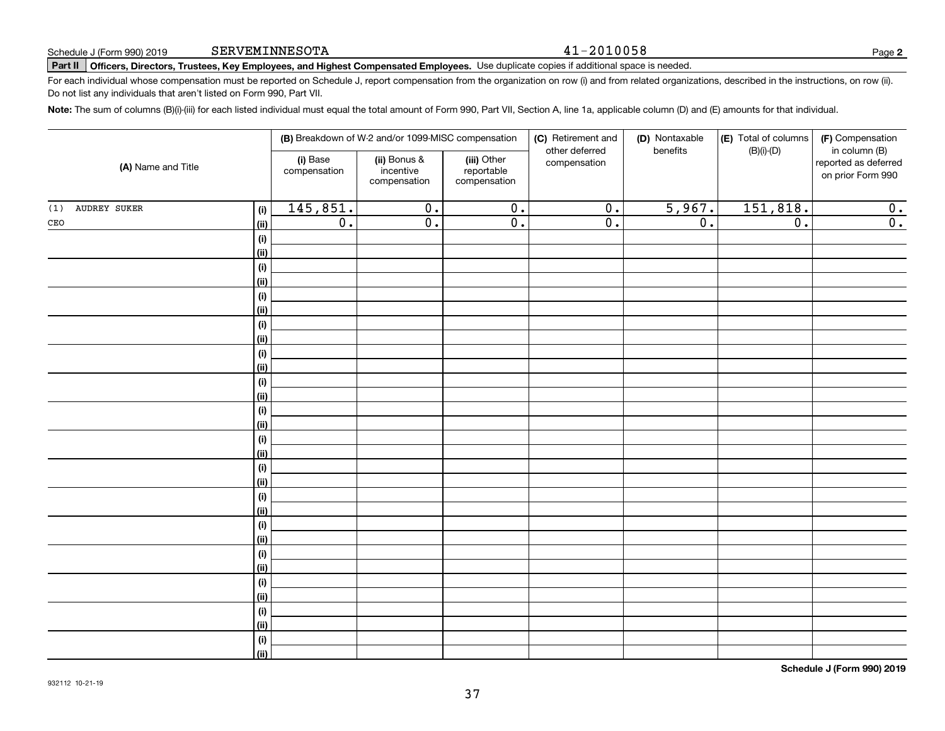#### 41-2010058

**2**

# **Part II Officers, Directors, Trustees, Key Employees, and Highest Compensated Employees.**  Schedule J (Form 990) 2019 Page Use duplicate copies if additional space is needed.

For each individual whose compensation must be reported on Schedule J, report compensation from the organization on row (i) and from related organizations, described in the instructions, on row (ii). Do not list any individuals that aren't listed on Form 990, Part VII.

**Note:**  The sum of columns (B)(i)-(iii) for each listed individual must equal the total amount of Form 990, Part VII, Section A, line 1a, applicable column (D) and (E) amounts for that individual.

| (A) Name and Title         |                | (B) Breakdown of W-2 and/or 1099-MISC compensation |                                           |                                           | (C) Retirement and<br>(D) Nontaxable<br>other deferred<br>benefits | (E) Total of columns<br>(F) Compensation<br>$(B)(i)-(D)$<br>in column (B) |                  |                                           |
|----------------------------|----------------|----------------------------------------------------|-------------------------------------------|-------------------------------------------|--------------------------------------------------------------------|---------------------------------------------------------------------------|------------------|-------------------------------------------|
|                            |                | (i) Base<br>compensation                           | (ii) Bonus &<br>incentive<br>compensation | (iii) Other<br>reportable<br>compensation | compensation                                                       |                                                                           |                  | reported as deferred<br>on prior Form 990 |
| <b>AUDREY SUKER</b><br>(1) | (i)            | 145,851.                                           | $\overline{0}$ .                          | $\overline{0}$ .                          | $\overline{0}$ .                                                   | 5,967.                                                                    | 151,818.         | 0.                                        |
| $\mathtt{CEO}$             | <u>(ii)</u>    | $\overline{0}$ .                                   | $\overline{0}$ .                          | $\overline{0}$ .                          | $\overline{0}$ .                                                   | $\overline{0}$ .                                                          | $\overline{0}$ . | $\overline{0}$ .                          |
|                            | (i)            |                                                    |                                           |                                           |                                                                    |                                                                           |                  |                                           |
|                            | <u>(ii)</u>    |                                                    |                                           |                                           |                                                                    |                                                                           |                  |                                           |
|                            | (i)            |                                                    |                                           |                                           |                                                                    |                                                                           |                  |                                           |
|                            | <u>(ii)</u>    |                                                    |                                           |                                           |                                                                    |                                                                           |                  |                                           |
|                            | (i)            |                                                    |                                           |                                           |                                                                    |                                                                           |                  |                                           |
|                            | <u>(ii)</u>    |                                                    |                                           |                                           |                                                                    |                                                                           |                  |                                           |
|                            | (i)            |                                                    |                                           |                                           |                                                                    |                                                                           |                  |                                           |
|                            | <u>(ii)</u>    |                                                    |                                           |                                           |                                                                    |                                                                           |                  |                                           |
|                            | (i)            |                                                    |                                           |                                           |                                                                    |                                                                           |                  |                                           |
|                            | <u>(ii)</u>    |                                                    |                                           |                                           |                                                                    |                                                                           |                  |                                           |
|                            | (i)            |                                                    |                                           |                                           |                                                                    |                                                                           |                  |                                           |
|                            | (ii)           |                                                    |                                           |                                           |                                                                    |                                                                           |                  |                                           |
|                            | (i)            |                                                    |                                           |                                           |                                                                    |                                                                           |                  |                                           |
|                            | (ii)           |                                                    |                                           |                                           |                                                                    |                                                                           |                  |                                           |
|                            | (i)<br>(ii)    |                                                    |                                           |                                           |                                                                    |                                                                           |                  |                                           |
|                            | (i)            |                                                    |                                           |                                           |                                                                    |                                                                           |                  |                                           |
|                            | (ii)           |                                                    |                                           |                                           |                                                                    |                                                                           |                  |                                           |
|                            | (i)            |                                                    |                                           |                                           |                                                                    |                                                                           |                  |                                           |
|                            | <u>(ii)</u>    |                                                    |                                           |                                           |                                                                    |                                                                           |                  |                                           |
|                            | (i)            |                                                    |                                           |                                           |                                                                    |                                                                           |                  |                                           |
|                            | <u>(ii)</u>    |                                                    |                                           |                                           |                                                                    |                                                                           |                  |                                           |
|                            | (i)            |                                                    |                                           |                                           |                                                                    |                                                                           |                  |                                           |
|                            | <u>(ii)</u>    |                                                    |                                           |                                           |                                                                    |                                                                           |                  |                                           |
|                            | (i)            |                                                    |                                           |                                           |                                                                    |                                                                           |                  |                                           |
|                            | <u>(ii)</u>    |                                                    |                                           |                                           |                                                                    |                                                                           |                  |                                           |
|                            | (i)            |                                                    |                                           |                                           |                                                                    |                                                                           |                  |                                           |
|                            | <u>(ii)</u>    |                                                    |                                           |                                           |                                                                    |                                                                           |                  |                                           |
|                            | (i)            |                                                    |                                           |                                           |                                                                    |                                                                           |                  |                                           |
|                            | $\overline{}}$ |                                                    |                                           |                                           |                                                                    |                                                                           |                  |                                           |

**Schedule J (Form 990) 2019**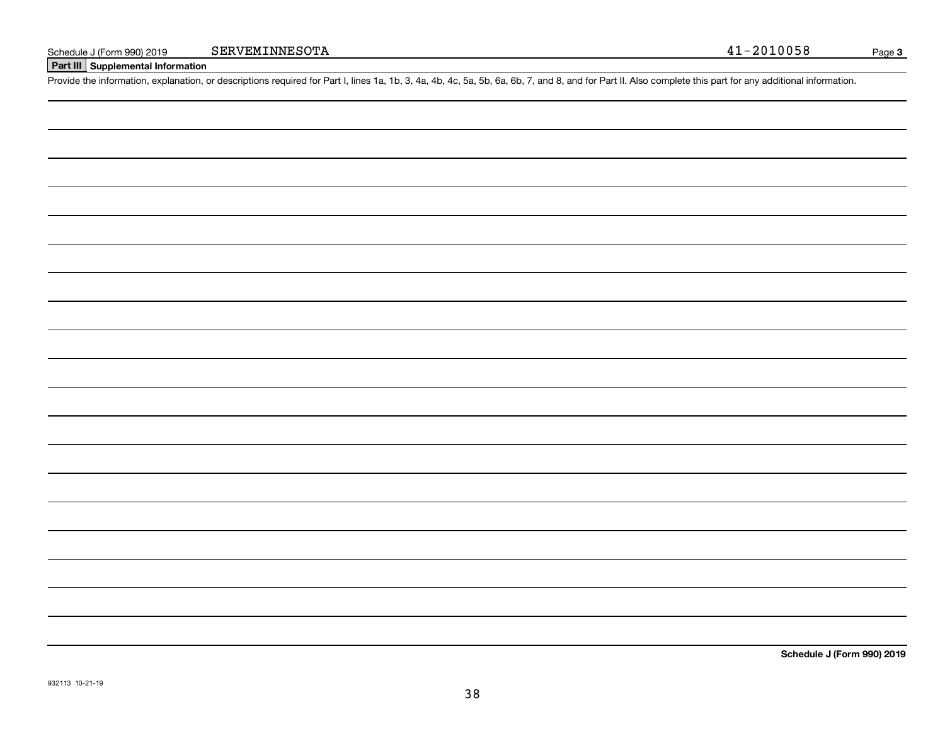# **Part III Supplemental Information**

Schedule J (Form 990) 2019 SERVEMINNESOTA 41-2010058<br>Part III Supplemental Information<br>Provide the information, explanation, or descriptions required for Part I, lines 1a, 1b, 3, 4a, 4b, 4c, 5a, 5b, 6a, 6b, 7, and 8, and f

**Schedule J (Form 990) 2019**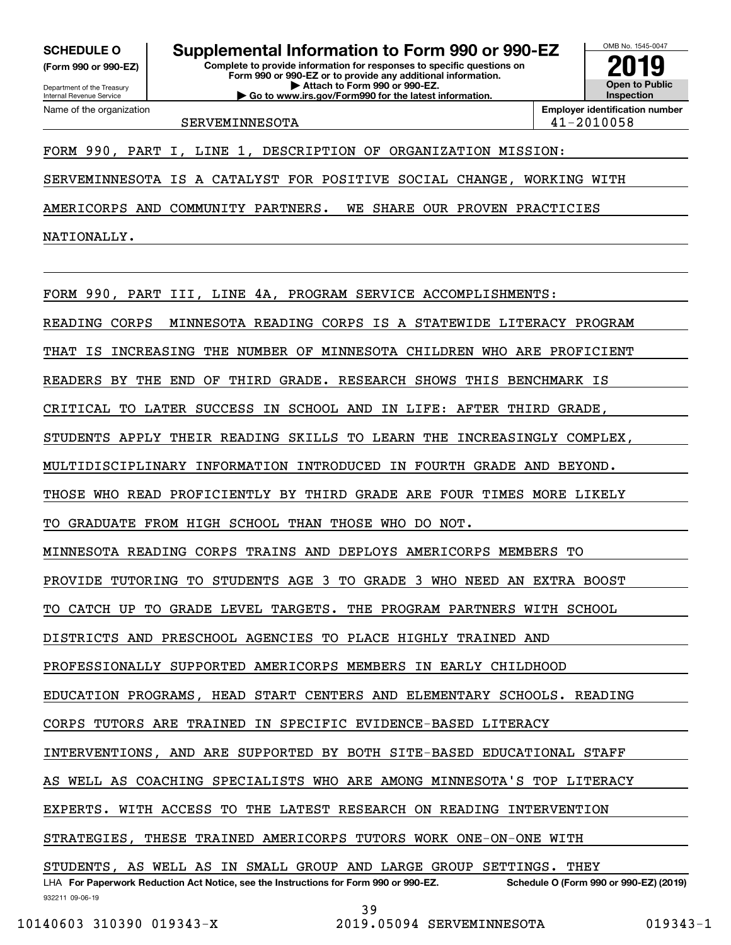**(Form 990 or 990-EZ)**

Department of the Treasury Internal Revenue Service Name of the organization

**Complete to provide information for responses to specific questions on Form 990 or 990-EZ or to provide any additional information. | Attach to Form 990 or 990-EZ. | Go to www.irs.gov/Form990 for the latest information. SCHEDULE O Supplemental Information to Form 990 or 990-EZ**



SERVEMINNESOTA 41-2010058

FORM 990, PART I, LINE 1, DESCRIPTION OF ORGANIZATION MISSION:

SERVEMINNESOTA IS A CATALYST FOR POSITIVE SOCIAL CHANGE, WORKING WITH

AMERICORPS AND COMMUNITY PARTNERS. WE SHARE OUR PROVEN PRACTICIES

NATIONALLY.

FORM 990, PART III, LINE 4A, PROGRAM SERVICE ACCOMPLISHMENTS:

READING CORPS MINNESOTA READING CORPS IS A STATEWIDE LITERACY PROGRAM

THAT IS INCREASING THE NUMBER OF MINNESOTA CHILDREN WHO ARE PROFICIENT

READERS BY THE END OF THIRD GRADE. RESEARCH SHOWS THIS BENCHMARK IS

CRITICAL TO LATER SUCCESS IN SCHOOL AND IN LIFE: AFTER THIRD GRADE,

STUDENTS APPLY THEIR READING SKILLS TO LEARN THE INCREASINGLY COMPLEX,

MULTIDISCIPLINARY INFORMATION INTRODUCED IN FOURTH GRADE AND BEYOND.

THOSE WHO READ PROFICIENTLY BY THIRD GRADE ARE FOUR TIMES MORE LIKELY

TO GRADUATE FROM HIGH SCHOOL THAN THOSE WHO DO NOT.

MINNESOTA READING CORPS TRAINS AND DEPLOYS AMERICORPS MEMBERS TO

PROVIDE TUTORING TO STUDENTS AGE 3 TO GRADE 3 WHO NEED AN EXTRA BOOST

TO CATCH UP TO GRADE LEVEL TARGETS. THE PROGRAM PARTNERS WITH SCHOOL

DISTRICTS AND PRESCHOOL AGENCIES TO PLACE HIGHLY TRAINED AND

PROFESSIONALLY SUPPORTED AMERICORPS MEMBERS IN EARLY CHILDHOOD

EDUCATION PROGRAMS, HEAD START CENTERS AND ELEMENTARY SCHOOLS. READING

CORPS TUTORS ARE TRAINED IN SPECIFIC EVIDENCE-BASED LITERACY

INTERVENTIONS, AND ARE SUPPORTED BY BOTH SITE-BASED EDUCATIONAL STAFF

AS WELL AS COACHING SPECIALISTS WHO ARE AMONG MINNESOTA'S TOP LITERACY

EXPERTS. WITH ACCESS TO THE LATEST RESEARCH ON READING INTERVENTION

STRATEGIES, THESE TRAINED AMERICORPS TUTORS WORK ONE-ON-ONE WITH

LHA For Paperwork Reduction Act Notice, see the Instructions for Form 990 or 990-EZ. Schedule O (Form 990 or 990-EZ) (2019) STUDENTS, AS WELL AS IN SMALL GROUP AND LARGE GROUP SETTINGS. THEY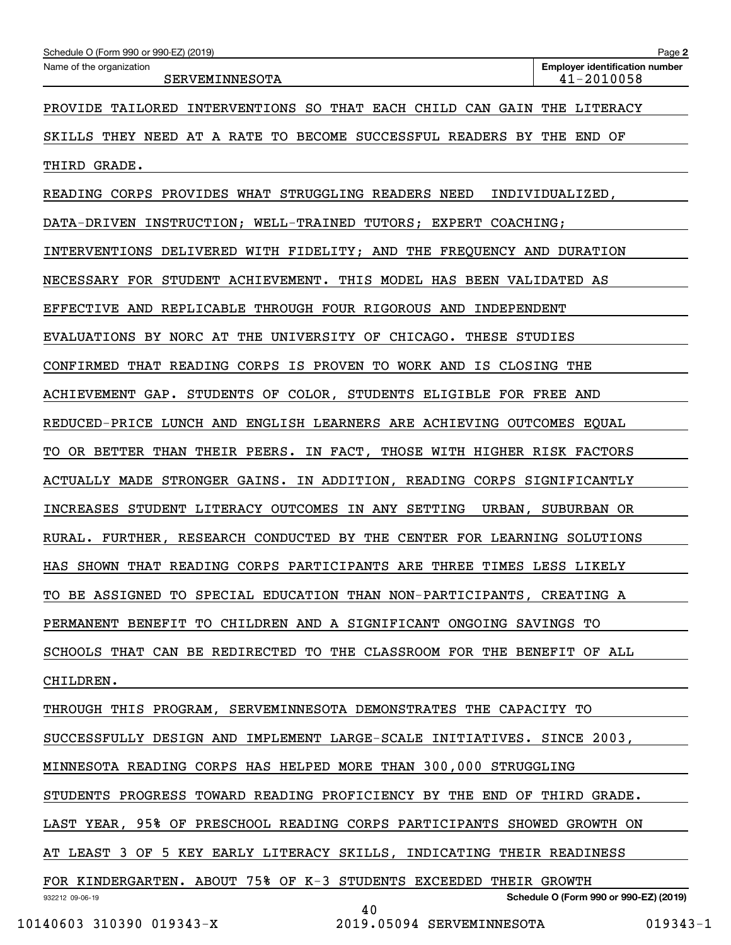| Schedule O (Form 990 or 990-EZ) (2019)                                                     | Page 2                                              |
|--------------------------------------------------------------------------------------------|-----------------------------------------------------|
| Name of the organization<br>SERVEMINNESOTA                                                 | <b>Employer identification number</b><br>41-2010058 |
| PROVIDE TAILORED INTERVENTIONS SO THAT EACH CHILD CAN GAIN THE LITERACY                    |                                                     |
| SKILLS THEY NEED AT A RATE TO BECOME SUCCESSFUL READERS BY THE END OF                      |                                                     |
| THIRD GRADE.                                                                               |                                                     |
| READING CORPS PROVIDES WHAT STRUGGLING READERS NEED                                        | INDIVIDUALIZED,                                     |
| DATA-DRIVEN INSTRUCTION; WELL-TRAINED TUTORS; EXPERT COACHING;                             |                                                     |
| INTERVENTIONS DELIVERED WITH FIDELITY; AND THE FREQUENCY AND DURATION                      |                                                     |
| NECESSARY FOR STUDENT ACHIEVEMENT. THIS MODEL HAS BEEN VALIDATED AS                        |                                                     |
| EFFECTIVE AND REPLICABLE THROUGH FOUR RIGOROUS AND INDEPENDENT                             |                                                     |
| EVALUATIONS BY NORC AT THE UNIVERSITY OF CHICAGO. THESE STUDIES                            |                                                     |
| CONFIRMED THAT READING CORPS IS PROVEN TO WORK AND IS CLOSING THE                          |                                                     |
| ACHIEVEMENT GAP. STUDENTS OF COLOR, STUDENTS ELIGIBLE FOR FREE AND                         |                                                     |
| REDUCED-PRICE LUNCH AND ENGLISH LEARNERS ARE ACHIEVING OUTCOMES EQUAL                      |                                                     |
| TO OR BETTER THAN THEIR PEERS. IN FACT, THOSE WITH HIGHER RISK FACTORS                     |                                                     |
| ACTUALLY MADE STRONGER GAINS. IN ADDITION, READING CORPS SIGNIFICANTLY                     |                                                     |
| INCREASES STUDENT LITERACY OUTCOMES IN ANY SETTING URBAN, SUBURBAN OR                      |                                                     |
| RURAL. FURTHER, RESEARCH CONDUCTED BY THE CENTER FOR LEARNING SOLUTIONS                    |                                                     |
| HAS SHOWN THAT READING CORPS PARTICIPANTS ARE THREE TIMES LESS LIKELY                      |                                                     |
| TO BE ASSIGNED TO SPECIAL EDUCATION THAN NON-PARTICIPANTS, CREATING A                      |                                                     |
| PERMANENT BENEFIT TO CHILDREN AND A SIGNIFICANT ONGOING SAVINGS TO                         |                                                     |
| SCHOOLS THAT CAN BE REDIRECTED TO THE CLASSROOM FOR THE BENEFIT OF ALL                     |                                                     |
| CHILDREN.                                                                                  |                                                     |
| THROUGH THIS PROGRAM, SERVEMINNESOTA DEMONSTRATES THE CAPACITY TO                          |                                                     |
| SUCCESSFULLY DESIGN AND IMPLEMENT LARGE-SCALE INITIATIVES. SINCE 2003,                     |                                                     |
| MINNESOTA READING CORPS HAS HELPED MORE THAN 300,000 STRUGGLING                            |                                                     |
| STUDENTS PROGRESS TOWARD READING PROFICIENCY BY THE END OF THIRD GRADE.                    |                                                     |
| LAST YEAR, 95% OF PRESCHOOL READING CORPS PARTICIPANTS SHOWED GROWTH ON                    |                                                     |
| AT LEAST 3 OF 5 KEY EARLY LITERACY SKILLS, INDICATING THEIR READINESS                      |                                                     |
| FOR KINDERGARTEN. ABOUT 75% OF K-3 STUDENTS EXCEEDED THEIR GROWTH<br>932212 09-06-19<br>40 | Schedule O (Form 990 or 990-EZ) (2019)              |

10140603 310390 019343-X 2019.05094 SERVEMINNESOTA 019343-1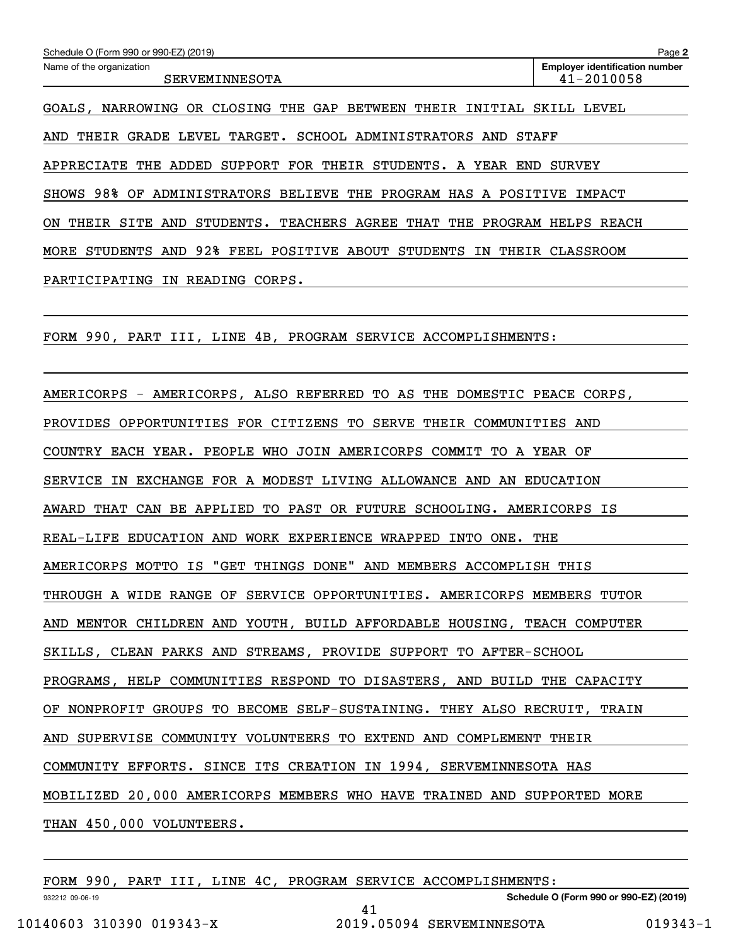| Schedule O (Form 990 or 990-EZ) (2019)                                  | Page 2                                              |  |  |  |
|-------------------------------------------------------------------------|-----------------------------------------------------|--|--|--|
| Name of the organization<br>SERVEMINNESOTA                              | <b>Employer identification number</b><br>41-2010058 |  |  |  |
| GOALS, NARROWING OR CLOSING THE GAP BETWEEN<br>THEIR                    | INITIAL SKILL LEVEL                                 |  |  |  |
| THEIR GRADE LEVEL TARGET.<br>SCHOOL ADMINISTRATORS AND STAFF<br>AND     |                                                     |  |  |  |
| SUPPORT FOR THEIR STUDENTS. A YEAR END<br>APPRECIATE<br>THE ADDED       | SURVEY                                              |  |  |  |
| SHOWS 98%<br>ADMINISTRATORS BELIEVE THE PROGRAM HAS A POSITIVE<br>OF    | IMPACT                                              |  |  |  |
| THEIR SITE AND<br>STUDENTS.<br>TEACHERS AGREE<br>THAT<br>THE<br>ON      | PROGRAM HELPS REACH                                 |  |  |  |
| 92% FEEL POSITIVE ABOUT STUDENTS<br>STUDENTS<br>MORE<br>AND             | IN THEIR CLASSROOM                                  |  |  |  |
| PARTICIPATING<br>IN READING CORPS.                                      |                                                     |  |  |  |
|                                                                         |                                                     |  |  |  |
| FORM 990, PART III, LINE 4B, PROGRAM SERVICE ACCOMPLISHMENTS:           |                                                     |  |  |  |
|                                                                         |                                                     |  |  |  |
| AMERICORPS - AMERICORPS, ALSO REFERRED TO AS THE DOMESTIC PEACE CORPS,  |                                                     |  |  |  |
| OPPORTUNITIES FOR CITIZENS TO SERVE THEIR COMMUNITIES AND<br>PROVIDES   |                                                     |  |  |  |
| COUNTRY EACH YEAR. PEOPLE WHO JOIN AMERICORPS COMMIT TO A YEAR OF       |                                                     |  |  |  |
| SERVICE<br>IN EXCHANGE FOR A MODEST LIVING ALLOWANCE AND AN EDUCATION   |                                                     |  |  |  |
| TO PAST OR FUTURE SCHOOLING. AMERICORPS IS<br>AWARD THAT CAN BE APPLIED |                                                     |  |  |  |
| THE<br>REAL-LIFE EDUCATION AND WORK EXPERIENCE WRAPPED INTO ONE.        |                                                     |  |  |  |
| "GET THINGS DONE" AND MEMBERS ACCOMPLISH THIS<br>AMERICORPS MOTTO IS    |                                                     |  |  |  |
| THROUGH A WIDE RANGE OF SERVICE OPPORTUNITIES. AMERICORPS MEMBERS TUTOR |                                                     |  |  |  |
| AND MENTOR CHILDREN AND YOUTH, BUILD AFFORDABLE HOUSING, TEACH COMPUTER |                                                     |  |  |  |
| SKILLS, CLEAN PARKS AND STREAMS, PROVIDE SUPPORT TO AFTER-SCHOOL        |                                                     |  |  |  |
| PROGRAMS, HELP COMMUNITIES RESPOND TO DISASTERS, AND BUILD THE CAPACITY |                                                     |  |  |  |
| OF NONPROFIT GROUPS TO BECOME SELF-SUSTAINING. THEY ALSO RECRUIT, TRAIN |                                                     |  |  |  |
| AND SUPERVISE COMMUNITY VOLUNTEERS TO EXTEND AND COMPLEMENT THEIR       |                                                     |  |  |  |
| COMMUNITY EFFORTS. SINCE ITS CREATION IN 1994, SERVEMINNESOTA HAS       |                                                     |  |  |  |
| MOBILIZED 20,000 AMERICORPS MEMBERS WHO HAVE TRAINED AND SUPPORTED MORE |                                                     |  |  |  |
| THAN 450,000 VOLUNTEERS.                                                |                                                     |  |  |  |
|                                                                         |                                                     |  |  |  |

FORM 990, PART III, LINE 4C, PROGRAM SERVICE ACCOMPLISHMENTS:

932212 09-06-19

**Schedule O (Form 990 or 990-EZ) (2019)**

41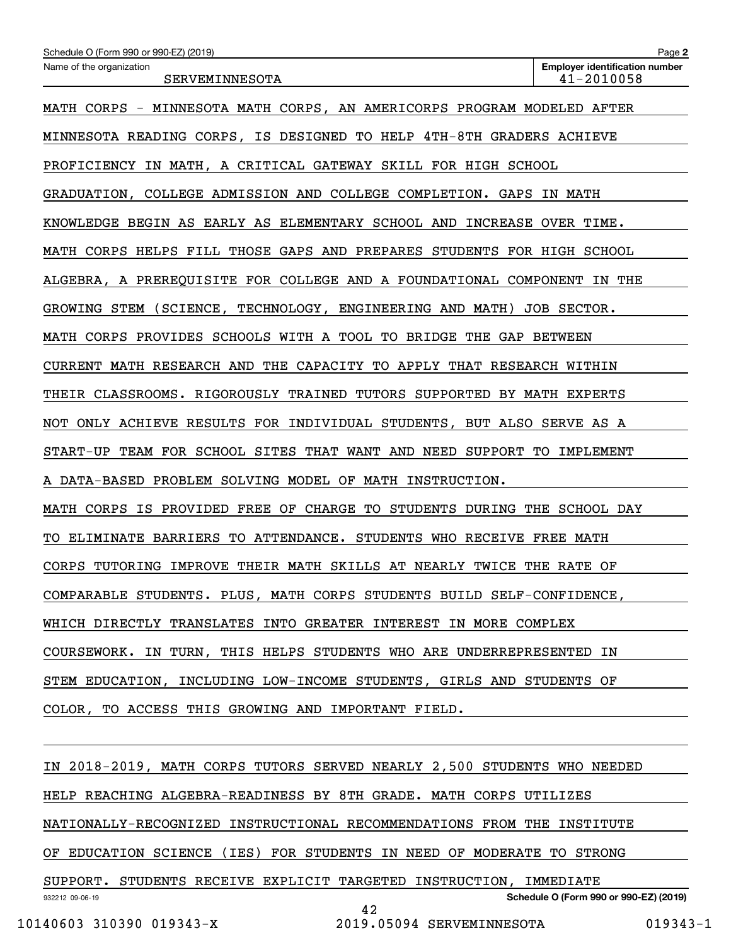| Schedule O (Form 990 or 990-EZ) (2019)                                  | Page 2                                              |  |  |  |  |
|-------------------------------------------------------------------------|-----------------------------------------------------|--|--|--|--|
| Name of the organization<br><b>SERVEMINNESOTA</b>                       | <b>Employer identification number</b><br>41-2010058 |  |  |  |  |
| MATH CORPS - MINNESOTA MATH CORPS, AN AMERICORPS PROGRAM MODELED AFTER  |                                                     |  |  |  |  |
| MINNESOTA READING CORPS, IS DESIGNED TO HELP 4TH-8TH GRADERS ACHIEVE    |                                                     |  |  |  |  |
| PROFICIENCY IN MATH, A CRITICAL GATEWAY SKILL FOR HIGH SCHOOL           |                                                     |  |  |  |  |
| GRADUATION, COLLEGE ADMISSION AND COLLEGE COMPLETION. GAPS IN MATH      |                                                     |  |  |  |  |
| KNOWLEDGE BEGIN AS EARLY AS ELEMENTARY SCHOOL AND INCREASE OVER TIME.   |                                                     |  |  |  |  |
| MATH CORPS HELPS FILL THOSE GAPS AND PREPARES STUDENTS FOR HIGH SCHOOL  |                                                     |  |  |  |  |
| ALGEBRA, A PREREQUISITE FOR COLLEGE AND A FOUNDATIONAL COMPONENT IN THE |                                                     |  |  |  |  |
| GROWING STEM (SCIENCE, TECHNOLOGY, ENGINEERING AND MATH) JOB SECTOR.    |                                                     |  |  |  |  |
| MATH CORPS PROVIDES SCHOOLS WITH A TOOL TO BRIDGE THE GAP BETWEEN       |                                                     |  |  |  |  |
| CURRENT MATH RESEARCH AND THE CAPACITY TO APPLY THAT RESEARCH WITHIN    |                                                     |  |  |  |  |
| THEIR CLASSROOMS. RIGOROUSLY TRAINED TUTORS SUPPORTED BY MATH EXPERTS   |                                                     |  |  |  |  |
| NOT ONLY ACHIEVE RESULTS FOR INDIVIDUAL STUDENTS, BUT ALSO SERVE AS A   |                                                     |  |  |  |  |
| START-UP TEAM FOR SCHOOL SITES THAT WANT AND NEED SUPPORT TO IMPLEMENT  |                                                     |  |  |  |  |
| A DATA-BASED PROBLEM SOLVING MODEL OF MATH INSTRUCTION.                 |                                                     |  |  |  |  |
| MATH CORPS IS PROVIDED FREE OF CHARGE TO STUDENTS DURING THE SCHOOL DAY |                                                     |  |  |  |  |
| TO ELIMINATE BARRIERS TO ATTENDANCE. STUDENTS WHO RECEIVE FREE MATH     |                                                     |  |  |  |  |
| CORPS TUTORING IMPROVE THEIR MATH SKILLS AT NEARLY TWICE THE RATE OF    |                                                     |  |  |  |  |
| COMPARABLE STUDENTS. PLUS, MATH CORPS STUDENTS BUILD SELF-CONFIDENCE,   |                                                     |  |  |  |  |
| WHICH DIRECTLY TRANSLATES INTO GREATER INTEREST IN MORE COMPLEX         |                                                     |  |  |  |  |
| COURSEWORK. IN TURN, THIS HELPS STUDENTS WHO ARE UNDERREPRESENTED IN    |                                                     |  |  |  |  |
| STEM EDUCATION, INCLUDING LOW-INCOME STUDENTS, GIRLS AND STUDENTS OF    |                                                     |  |  |  |  |
| COLOR, TO ACCESS THIS GROWING AND IMPORTANT FIELD.                      |                                                     |  |  |  |  |
|                                                                         |                                                     |  |  |  |  |
| IN 2018-2019, MATH CORPS TUTORS SERVED NEARLY 2,500 STUDENTS WHO NEEDED |                                                     |  |  |  |  |

HELP REACHING ALGEBRA-READINESS BY 8TH GRADE. MATH CORPS UTILIZES

NATIONALLY-RECOGNIZED INSTRUCTIONAL RECOMMENDATIONS FROM THE INSTITUTE

OF EDUCATION SCIENCE (IES) FOR STUDENTS IN NEED OF MODERATE TO STRONG

932212 09-06-19 **Schedule O (Form 990 or 990-EZ) (2019)** SUPPORT. STUDENTS RECEIVE EXPLICIT TARGETED INSTRUCTION, IMMEDIATE 42

10140603 310390 019343-X 2019.05094 SERVEMINNESOTA 019343-1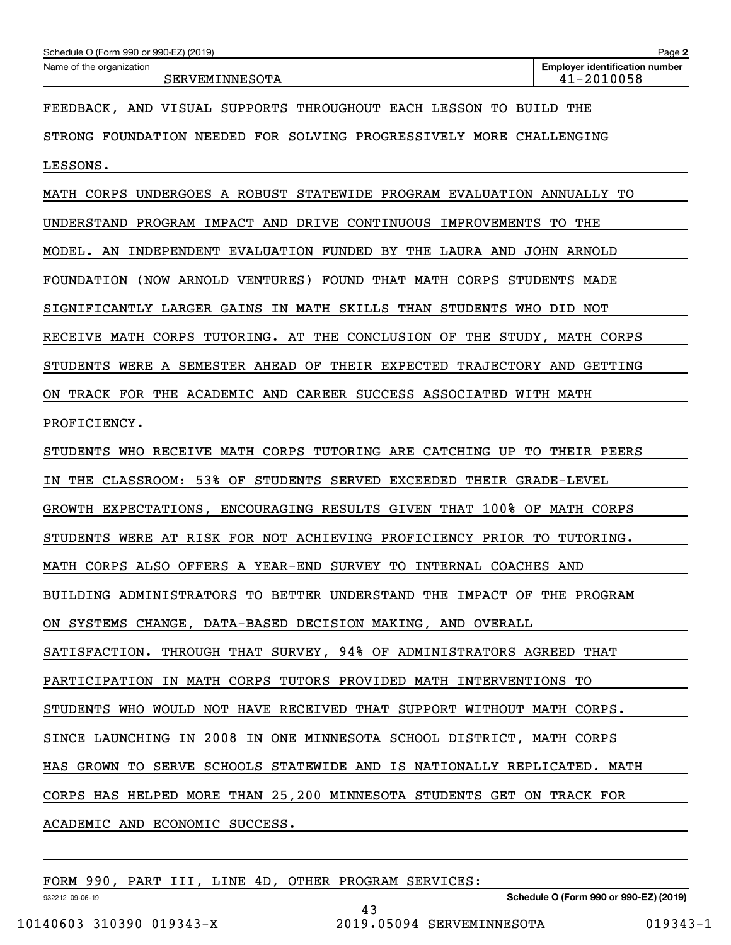| Schedule O (Form 990 or 990-EZ) (2019)                                  | Page 2                                              |
|-------------------------------------------------------------------------|-----------------------------------------------------|
| Name of the organization<br><b>SERVEMINNESOTA</b>                       | <b>Employer identification number</b><br>41-2010058 |
| FEEDBACK, AND VISUAL SUPPORTS THROUGHOUT EACH LESSON TO BUILD THE       |                                                     |
| STRONG FOUNDATION NEEDED FOR SOLVING PROGRESSIVELY MORE CHALLENGING     |                                                     |
| LESSONS.                                                                |                                                     |
| MATH CORPS UNDERGOES A ROBUST STATEWIDE PROGRAM EVALUATION ANNUALLY TO  |                                                     |
| UNDERSTAND PROGRAM IMPACT AND DRIVE CONTINUOUS IMPROVEMENTS TO THE      |                                                     |
| MODEL. AN INDEPENDENT EVALUATION FUNDED BY THE LAURA AND JOHN ARNOLD    |                                                     |
| FOUNDATION (NOW ARNOLD VENTURES) FOUND THAT MATH CORPS STUDENTS MADE    |                                                     |
| SIGNIFICANTLY LARGER GAINS IN MATH SKILLS THAN STUDENTS WHO DID NOT     |                                                     |
| RECEIVE MATH CORPS TUTORING. AT THE CONCLUSION OF THE STUDY, MATH CORPS |                                                     |
| STUDENTS WERE A SEMESTER AHEAD OF THEIR EXPECTED TRAJECTORY AND GETTING |                                                     |
| ON TRACK FOR THE ACADEMIC AND CAREER SUCCESS ASSOCIATED WITH MATH       |                                                     |
| PROFICIENCY.                                                            |                                                     |
| STUDENTS WHO RECEIVE MATH CORPS TUTORING ARE CATCHING UP TO THEIR PEERS |                                                     |
| IN THE CLASSROOM: 53% OF STUDENTS SERVED EXCEEDED THEIR GRADE-LEVEL     |                                                     |
| GROWTH EXPECTATIONS, ENCOURAGING RESULTS GIVEN THAT 100% OF MATH CORPS  |                                                     |
| STUDENTS WERE AT RISK FOR NOT ACHIEVING PROFICIENCY PRIOR TO TUTORING.  |                                                     |
| MATH CORPS ALSO OFFERS A YEAR-END SURVEY TO INTERNAL COACHES AND        |                                                     |
| BUILDING ADMINISTRATORS TO BETTER UNDERSTAND THE IMPACT OF THE PROGRAM  |                                                     |
| ON SYSTEMS CHANGE, DATA-BASED DECISION MAKING, AND OVERALL              |                                                     |
| SATISFACTION. THROUGH THAT SURVEY, 94% OF ADMINISTRATORS AGREED THAT    |                                                     |
| PARTICIPATION IN MATH CORPS TUTORS PROVIDED MATH INTERVENTIONS TO       |                                                     |
| STUDENTS WHO WOULD NOT HAVE RECEIVED THAT SUPPORT WITHOUT MATH CORPS.   |                                                     |
| SINCE LAUNCHING IN 2008 IN ONE MINNESOTA SCHOOL DISTRICT, MATH CORPS    |                                                     |
| HAS GROWN TO SERVE SCHOOLS STATEWIDE AND IS NATIONALLY REPLICATED. MATH |                                                     |
| CORPS HAS HELPED MORE THAN 25,200 MINNESOTA STUDENTS GET ON TRACK FOR   |                                                     |
| ACADEMIC AND ECONOMIC SUCCESS.                                          |                                                     |
|                                                                         |                                                     |

FORM 990, PART III, LINE 4D, OTHER PROGRAM SERVICES:

**Schedule O (Form 990 or 990-EZ) (2019)**

932212 09-06-19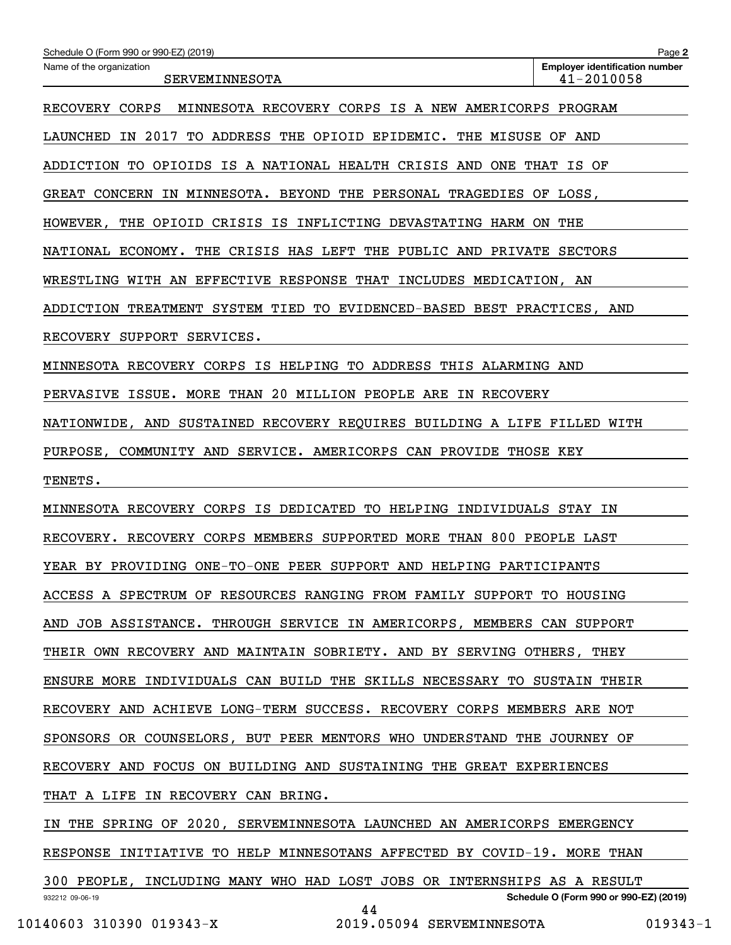| Schedule O (Form 990 or 990-EZ) (2019)                                  | Page 2                                              |
|-------------------------------------------------------------------------|-----------------------------------------------------|
| Name of the organization<br>SERVEMINNESOTA                              | <b>Employer identification number</b><br>41-2010058 |
| RECOVERY CORPS<br>MINNESOTA RECOVERY CORPS IS A NEW AMERICORPS PROGRAM  |                                                     |
| LAUNCHED IN 2017 TO ADDRESS THE OPIOID EPIDEMIC. THE MISUSE OF AND      |                                                     |
| ADDICTION TO OPIOIDS IS A NATIONAL HEALTH CRISIS AND ONE THAT IS OF     |                                                     |
| GREAT CONCERN IN MINNESOTA. BEYOND THE PERSONAL TRAGEDIES OF LOSS,      |                                                     |
| HOWEVER, THE OPIOID CRISIS IS INFLICTING DEVASTATING HARM ON THE        |                                                     |
| NATIONAL ECONOMY. THE CRISIS HAS LEFT THE PUBLIC AND PRIVATE SECTORS    |                                                     |
| WRESTLING WITH AN EFFECTIVE RESPONSE THAT INCLUDES MEDICATION, AN       |                                                     |
| ADDICTION TREATMENT SYSTEM TIED TO EVIDENCED-BASED BEST PRACTICES, AND  |                                                     |
| RECOVERY SUPPORT SERVICES.                                              |                                                     |
| MINNESOTA RECOVERY CORPS IS HELPING TO ADDRESS THIS ALARMING AND        |                                                     |
| PERVASIVE ISSUE. MORE THAN 20 MILLION PEOPLE ARE IN RECOVERY            |                                                     |
| NATIONWIDE, AND SUSTAINED RECOVERY REQUIRES BUILDING A LIFE FILLED WITH |                                                     |
| PURPOSE, COMMUNITY AND SERVICE. AMERICORPS CAN PROVIDE THOSE KEY        |                                                     |
| TENETS.                                                                 |                                                     |
| MINNESOTA RECOVERY CORPS IS DEDICATED TO HELPING INDIVIDUALS STAY IN    |                                                     |
| RECOVERY. RECOVERY CORPS MEMBERS SUPPORTED MORE THAN 800 PEOPLE LAST    |                                                     |
| YEAR BY PROVIDING ONE-TO-ONE PEER SUPPORT AND HELPING PARTICIPANTS      |                                                     |
| ACCESS A SPECTRUM OF RESOURCES RANGING FROM FAMILY SUPPORT TO HOUSING   |                                                     |
| AND JOB ASSISTANCE. THROUGH SERVICE IN AMERICORPS, MEMBERS CAN SUPPORT  |                                                     |
| THEIR OWN RECOVERY AND MAINTAIN SOBRIETY. AND BY SERVING OTHERS, THEY   |                                                     |
| ENSURE MORE INDIVIDUALS CAN BUILD THE SKILLS NECESSARY TO SUSTAIN THEIR |                                                     |
| RECOVERY AND ACHIEVE LONG-TERM SUCCESS. RECOVERY CORPS MEMBERS ARE NOT  |                                                     |
| SPONSORS OR COUNSELORS, BUT PEER MENTORS WHO UNDERSTAND THE JOURNEY OF  |                                                     |
| RECOVERY AND FOCUS ON BUILDING AND SUSTAINING THE GREAT EXPERIENCES     |                                                     |
| THAT A LIFE IN RECOVERY CAN BRING.                                      |                                                     |
| IN THE SPRING OF 2020, SERVEMINNESOTA LAUNCHED AN AMERICORPS EMERGENCY  |                                                     |
| RESPONSE INITIATIVE TO HELP MINNESOTANS AFFECTED BY COVID-19. MORE THAN |                                                     |
| 300 PEOPLE, INCLUDING MANY WHO HAD LOST JOBS OR INTERNSHIPS AS A RESULT | Schedule O (Form 990 or 990-EZ) (2019)              |
| 932212 09-06-19<br>44                                                   |                                                     |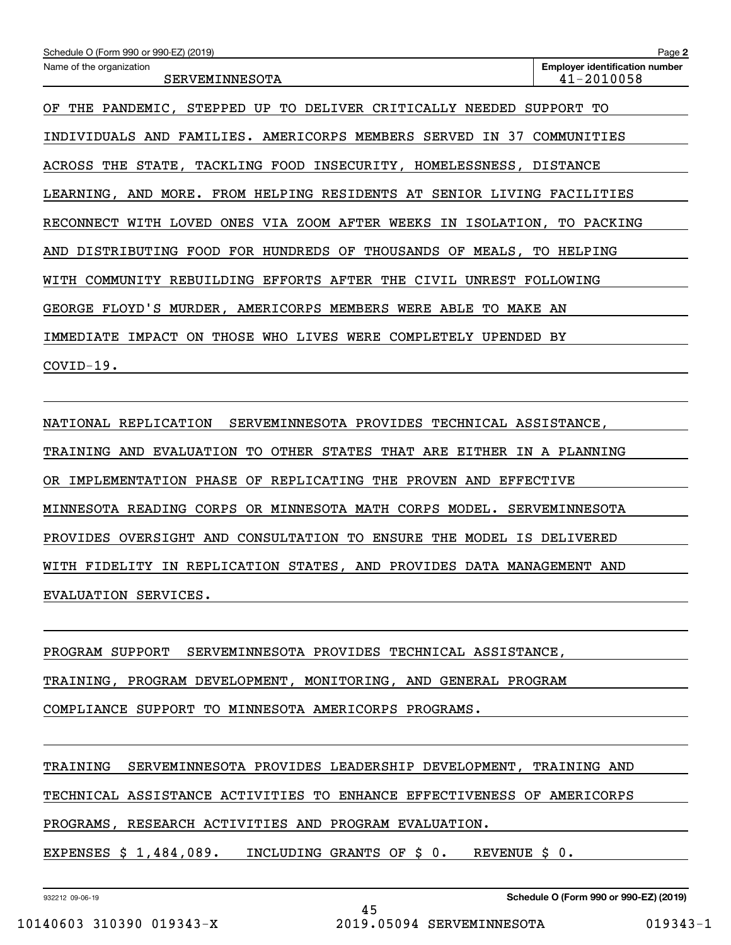| Schedule O (Form 990 or 990-EZ) (2019)                                             | Page 2                                              |
|------------------------------------------------------------------------------------|-----------------------------------------------------|
| Name of the organization<br><b>SERVEMINNESOTA</b>                                  | <b>Employer identification number</b><br>41-2010058 |
| PANDEMIC, STEPPED UP<br>DELIVER CRITICALLY NEEDED<br>THE<br>TO.<br>ОF              | SUPPORT<br>TО                                       |
| FAMILIES. AMERICORPS MEMBERS<br>SERVED<br>INDIVIDUALS AND<br>37<br>IN              | COMMUNITIES                                         |
| ACROSS THE STATE, TACKLING FOOD INSECURITY, HOMELESSNESS, DISTANCE                 |                                                     |
| FROM HELPING RESIDENTS AT<br>MORE.<br>SENIOR LIVING FACILITIES<br>LEARNING, AND    |                                                     |
| ONES VIA ZOOM AFTER WEEKS<br>ISOLATION,<br>RECONNECT<br>WITH LOVED<br>IN           | TO.<br>PACKING                                      |
| FOOD FOR HUNDREDS OF THOUSANDS<br>MEALS,<br>DISTRIBUTING<br>OF<br>AND              | TO.<br>HELPING                                      |
| REBUILDING EFFORTS AFTER THE<br>COMMUNITY<br>CIVIL<br>UNREST FOLLOWING<br>WITH     |                                                     |
| GEORGE FLOYD'S MURDER, AMERICORPS MEMBERS<br><b>WERE ABLE</b><br>TO<br><b>MAKE</b> | AN                                                  |
| THOSE<br>WHO LIVES WERE<br>COMPLETELY<br>IMMEDIATE<br>IMPACT<br>UPENDED<br>ON.     | BY                                                  |
| $COVID-19$ .                                                                       |                                                     |

NATIONAL REPLICATION SERVEMINNESOTA PROVIDES TECHNICAL ASSISTANCE, TRAINING AND EVALUATION TO OTHER STATES THAT ARE EITHER IN A PLANNING OR IMPLEMENTATION PHASE OF REPLICATING THE PROVEN AND EFFECTIVE MINNESOTA READING CORPS OR MINNESOTA MATH CORPS MODEL. SERVEMINNESOTA PROVIDES OVERSIGHT AND CONSULTATION TO ENSURE THE MODEL IS DELIVERED WITH FIDELITY IN REPLICATION STATES, AND PROVIDES DATA MANAGEMENT AND EVALUATION SERVICES.

PROGRAM SUPPORT SERVEMINNESOTA PROVIDES TECHNICAL ASSISTANCE, TRAINING, PROGRAM DEVELOPMENT, MONITORING, AND GENERAL PROGRAM COMPLIANCE SUPPORT TO MINNESOTA AMERICORPS PROGRAMS.

TRAINING SERVEMINNESOTA PROVIDES LEADERSHIP DEVELOPMENT, TRAINING AND TECHNICAL ASSISTANCE ACTIVITIES TO ENHANCE EFFECTIVENESS OF AMERICORPS PROGRAMS, RESEARCH ACTIVITIES AND PROGRAM EVALUATION. EXPENSES \$ 1,484,089. INCLUDING GRANTS OF \$ 0. REVENUE \$ 0.

932212 09-06-19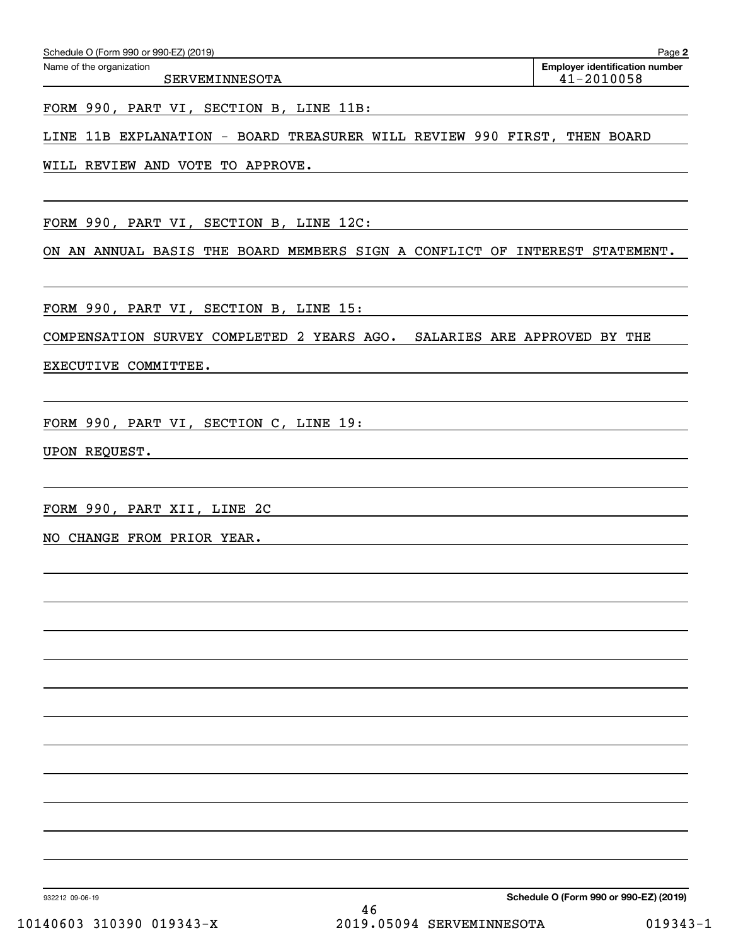| Schedule O (Form 990 or 990-EZ) (2019) |  |  |  |  |
|----------------------------------------|--|--|--|--|
|----------------------------------------|--|--|--|--|

SERVEMINNESOTA 41-2010058

FORM 990, PART VI, SECTION B, LINE 11B:

LINE 11B EXPLANATION - BOARD TREASURER WILL REVIEW 990 FIRST, THEN BOARD

WILL REVIEW AND VOTE TO APPROVE.

FORM 990, PART VI, SECTION B, LINE 12C:

ON AN ANNUAL BASIS THE BOARD MEMBERS SIGN A CONFLICT OF INTEREST STATEMENT.

FORM 990, PART VI, SECTION B, LINE 15:

COMPENSATION SURVEY COMPLETED 2 YEARS AGO. SALARIES ARE APPROVED BY THE

EXECUTIVE COMMITTEE.

FORM 990, PART VI, SECTION C, LINE 19:

UPON REQUEST.

FORM 990, PART XII, LINE 2C

NO CHANGE FROM PRIOR YEAR.

932212 09-06-19